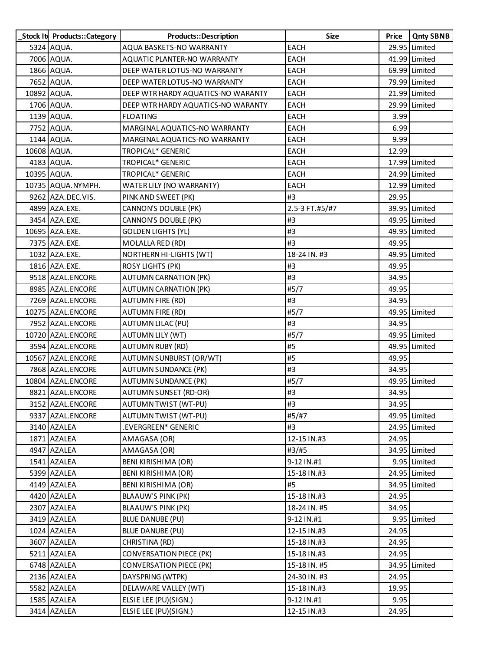| Stock It Products::Category | <b>Products::Description</b>       | <b>Size</b>    | Price | <b>Qnty SBNB</b> |
|-----------------------------|------------------------------------|----------------|-------|------------------|
| 5324 AQUA.                  | AQUA BASKETS-NO WARRANTY           | <b>EACH</b>    |       | 29.95 Limited    |
| 7006 AQUA.                  | AQUATIC PLANTER-NO WARRANTY        | <b>EACH</b>    |       | 41.99 Limited    |
| 1866 AQUA.                  | DEEP WATER LOTUS-NO WARRANTY       | EACH           |       | 69.99 Limited    |
| 7652 AQUA.                  | DEEP WATER LOTUS-NO WARRANTY       | <b>EACH</b>    |       | 79.99 Limited    |
| 10892 AQUA.                 | DEEP WTR HARDY AQUATICS-NO WARANTY | <b>EACH</b>    |       | 21.99 Limited    |
| 1706 AQUA.                  | DEEP WTR HARDY AQUATICS-NO WARANTY | <b>EACH</b>    |       | 29.99 Limited    |
| 1139 AQUA.                  | <b>FLOATING</b>                    | <b>EACH</b>    | 3.99  |                  |
| 7752 AQUA.                  | MARGINAL AQUATICS-NO WARRANTY      | EACH           | 6.99  |                  |
| 1144 AQUA.                  | MARGINAL AQUATICS-NO WARRANTY      | <b>EACH</b>    | 9.99  |                  |
| 10608 AQUA.                 | TROPICAL* GENERIC                  | <b>EACH</b>    | 12.99 |                  |
| 4183 AQUA.                  | TROPICAL* GENERIC                  | <b>EACH</b>    |       | 17.99 Limited    |
| 10395 AQUA.                 | TROPICAL* GENERIC                  | EACH           |       | 24.99 Limited    |
| 10735 AQUA.NYMPH.           | WATER LILY (NO WARRANTY)           | EACH           |       | 12.99 Limited    |
| 9262 AZA.DEC.VIS.           | PINK AND SWEET (PK)                | #3             | 29.95 |                  |
| 4899 AZA.EXE.               | CANNON'S DOUBLE (PK)               | 2.5-3 FT.#5/#7 |       | 39.95 Limited    |
| 3454 AZA.EXE.               | CANNON'S DOUBLE (PK)               | #3             |       | 49.95 Limited    |
| 10695 AZA.EXE.              | <b>GOLDEN LIGHTS (YL)</b>          | #3             |       | 49.95 Limited    |
| 7375 AZA.EXE.               | MOLALLA RED (RD)                   | #3             | 49.95 |                  |
| 1032 AZA.EXE.               | NORTHERN HI-LIGHTS (WT)            | 18-24 IN. #3   |       | 49.95 Limited    |
| 1816 AZA.EXE.               | <b>ROSY LIGHTS (PK)</b>            | #3             | 49.95 |                  |
| 9518 AZAL.ENCORE            | <b>AUTUMN CARNATION (PK)</b>       | #3             | 34.95 |                  |
| 8985 AZAL.ENCORE            | <b>AUTUMN CARNATION (PK)</b>       | #5/7           | 49.95 |                  |
| 7269 AZAL.ENCORE            | <b>AUTUMN FIRE (RD)</b>            | #3             | 34.95 |                  |
| 10275 AZAL.ENCORE           | AUTUMN FIRE (RD)                   | #5/7           |       | 49.95 Limited    |
| 7952 AZAL.ENCORE            | AUTUMN LILAC (PU)                  | #3             | 34.95 |                  |
| 10720 AZAL ENCORE           | <b>AUTUMN LILY (WT)</b>            | #5/7           |       | 49.95 Limited    |
| 3594 AZAL ENCORE            | <b>AUTUMN RUBY (RD)</b>            | #5             |       | 49.95 Limited    |
| 10567 AZAL.ENCORE           | AUTUMN SUNBURST (OR/WT)            | #5             | 49.95 |                  |
| 7868 AZAL.ENCORE            | <b>AUTUMN SUNDANCE (PK)</b>        | #3             | 34.95 |                  |
| 10804 AZAL.ENCORE           | AUTUMN SUNDANCE (PK)               | #5/7           |       | 49.95 Limited    |
| 8821 AZAL.ENCORE            | <b>AUTUMN SUNSET (RD-OR)</b>       | #3             | 34.95 |                  |
| 3152 AZAL.ENCORE            | AUTUMN TWIST (WT-PU)               | #3             | 34.95 |                  |
| 9337 AZAL.ENCORE            | AUTUMN TWIST (WT-PU)               | #5/#7          |       | 49.95 Limited    |
| 3140 AZALEA                 | .EVERGREEN* GENERIC                | #3             |       | 24.95 Limited    |
| 1871 AZALEA                 | AMAGASA (OR)                       | 12-15 IN.#3    | 24.95 |                  |
| 4947 AZALEA                 | AMAGASA (OR)                       | #3/#5          |       | 34.95 Limited    |
| 1541 AZALEA                 | <b>BENI KIRISHIMA (OR)</b>         | 9-12 IN.#1     |       | 9.95 Limited     |
| 5399 AZALEA                 | BENI KIRISHIMA (OR)                | 15-18 IN.#3    |       | 24.95 Limited    |
| 4149 AZALEA                 | BENI KIRISHIMA (OR)                | #5             |       | 34.95 Limited    |
| 4420 AZALEA                 | <b>BLAAUW'S PINK (PK)</b>          | 15-18 IN.#3    | 24.95 |                  |
| 2307 AZALEA                 | BLAAUW'S PINK (PK)                 | 18-24 IN. #5   | 34.95 |                  |
| 3419 AZALEA                 | BLUE DANUBE (PU)                   | 9-12 IN.#1     |       | 9.95 Limited     |
| 1024 AZALEA                 | BLUE DANUBE (PU)                   | 12-15 IN.#3    | 24.95 |                  |
| 3607 AZALEA                 | CHRISTINA (RD)                     | 15-18 IN.#3    | 24.95 |                  |
| 5211 AZALEA                 | CONVERSATION PIECE (PK)            | 15-18 IN.#3    | 24.95 |                  |
| 6748 AZALEA                 | <b>CONVERSATION PIECE (PK)</b>     | 15-18 IN. #5   |       | 34.95 Limited    |
| 2136 AZALEA                 | DAYSPRING (WTPK)                   | 24-30 IN. #3   | 24.95 |                  |
| 5582 AZALEA                 | DELAWARE VALLEY (WT)               | 15-18 IN.#3    | 19.95 |                  |
| 1585 AZALEA                 | ELSIE LEE (PU)(SIGN.)              | 9-12 IN.#1     | 9.95  |                  |
| 3414 AZALEA                 | ELSIE LEE (PU)(SIGN.)              | 12-15 IN.#3    | 24.95 |                  |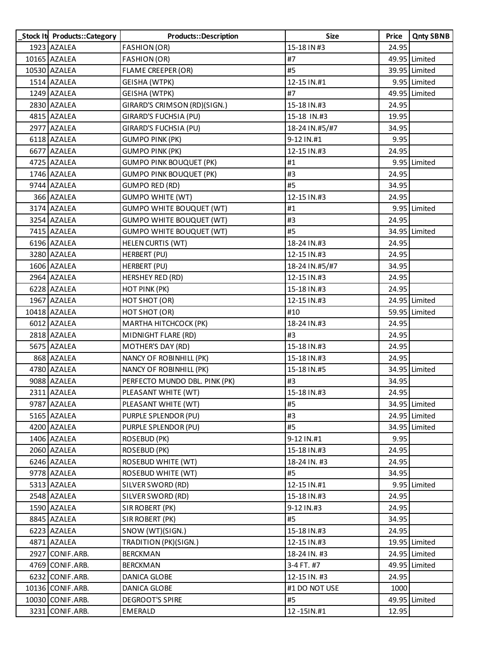| Stock It Products:: Category | Products::Description           | Size           | Price | <b>Qnty SBNB</b> |
|------------------------------|---------------------------------|----------------|-------|------------------|
| 1923 AZALEA                  | FASHION (OR)                    | 15-18 IN #3    | 24.95 |                  |
| 10165 AZALEA                 | <b>FASHION (OR)</b>             | #7             |       | 49.95 Limited    |
| 10530 AZALEA                 | <b>FLAME CREEPER (OR)</b>       | #5             |       | 39.95 Limited    |
| 1514 AZALEA                  | GEISHA (WTPK)                   | 12-15 IN.#1    |       | 9.95 Limited     |
| 1249 AZALEA                  | GEISHA (WTPK)                   | #7             |       | 49.95 Limited    |
| 2830 AZALEA                  | GIRARD'S CRIMSON (RD)(SIGN.)    | 15-18 IN.#3    | 24.95 |                  |
| 4815 AZALEA                  | GIRARD'S FUCHSIA (PU)           | 15-18 IN.#3    | 19.95 |                  |
| 2977 AZALEA                  | GIRARD'S FUCHSIA (PU)           | 18-24 IN.#5/#7 | 34.95 |                  |
| 6118 AZALEA                  | <b>GUMPO PINK (PK)</b>          | 9-12 IN.#1     | 9.95  |                  |
| 6677 AZALEA                  | <b>GUMPO PINK (PK)</b>          | 12-15 IN.#3    | 24.95 |                  |
| 4725 AZALEA                  | <b>GUMPO PINK BOUQUET (PK)</b>  | #1             |       | 9.95 Limited     |
| 1746 AZALEA                  | <b>GUMPO PINK BOUQUET (PK)</b>  | #3             | 24.95 |                  |
| 9744 AZALEA                  | GUMPO RED (RD)                  | #5             | 34.95 |                  |
| 366 AZALEA                   | <b>GUMPO WHITE (WT)</b>         | 12-15 IN.#3    | 24.95 |                  |
| 3174 AZALEA                  | <b>GUMPO WHITE BOUQUET (WT)</b> | #1             |       | 9.95 Limited     |
| 3254 AZALEA                  | <b>GUMPO WHITE BOUQUET (WT)</b> | #3             | 24.95 |                  |
| 7415 AZALEA                  | <b>GUMPO WHITE BOUQUET (WT)</b> | #5             |       | 34.95 Limited    |
| 6196 AZALEA                  | <b>HELEN CURTIS (WT)</b>        | 18-24 IN.#3    | 24.95 |                  |
| 3280 AZALEA                  | HERBERT (PU)                    | 12-15 IN.#3    | 24.95 |                  |
| 1606 AZALEA                  | HERBERT (PU)                    | 18-24 IN.#5/#7 | 34.95 |                  |
| 2964 AZALEA                  | HERSHEY RED (RD)                | 12-15 IN.#3    | 24.95 |                  |
| 6228 AZALEA                  | HOT PINK (PK)                   | 15-18 IN.#3    | 24.95 |                  |
| 1967 AZALEA                  | HOT SHOT (OR)                   | 12-15 IN.#3    |       | 24.95 Limited    |
| 10418 AZALEA                 | HOT SHOT (OR)                   | #10            |       | 59.95 Limited    |
| 6012 AZALEA                  | <b>MARTHA HITCHCOCK (PK)</b>    | 18-24 IN.#3    | 24.95 |                  |
| 2818 AZALEA                  | MIDNIGHT FLARE (RD)             | #3             | 24.95 |                  |
| 5675 AZALEA                  | MOTHER'S DAY (RD)               | 15-18 IN.#3    | 24.95 |                  |
| 868 AZALEA                   | NANCY OF ROBINHILL (PK)         | 15-18 IN.#3    | 24.95 |                  |
| 4780 AZALEA                  | NANCY OF ROBINHILL (PK)         | 15-18 IN.#5    |       | 34.95 Limited    |
| 9088 AZALEA                  | PERFECTO MUNDO DBL. PINK (PK)   | #3             | 34.95 |                  |
| 2311 AZALEA                  | PLEASANT WHITE (WT)             | 15-18 IN.#3    | 24.95 |                  |
| 9787 AZALEA                  | PLEASANT WHITE (WT)             | #5             |       | 34.95 Limited    |
| 5165 AZALEA                  | PURPLE SPLENDOR (PU)            | #3             |       | 24.95 Limited    |
| 4200 AZALEA                  | PURPLE SPLENDOR (PU)            | #5             |       | 34.95 Limited    |
| 1406 AZALEA                  | ROSEBUD (PK)                    | 9-12 IN.#1     | 9.95  |                  |
| 2060 AZALEA                  | ROSEBUD (PK)                    | 15-18 IN.#3    | 24.95 |                  |
| 6246 AZALEA                  | <b>ROSEBUD WHITE (WT)</b>       | 18-24 IN. #3   | 24.95 |                  |
| 9778 AZALEA                  | <b>ROSEBUD WHITE (WT)</b>       | #5             | 34.95 |                  |
| 5313 AZALEA                  | SILVER SWORD (RD)               | 12-15 IN.#1    |       | 9.95 Limited     |
| 2548 AZALEA                  | SILVER SWORD (RD)               | 15-18 IN.#3    | 24.95 |                  |
| 1590 AZALEA                  | SIR ROBERT (PK)                 | 9-12 IN.#3     | 24.95 |                  |
| 8845 AZALEA                  | SIR ROBERT (PK)                 | #5             | 34.95 |                  |
| 6223 AZALEA                  | SNOW (WT)(SIGN.)                | 15-18 IN.#3    | 24.95 |                  |
| 4871 AZALEA                  | TRADITION (PK)(SIGN.)           | 12-15 IN.#3    |       | 19.95 Limited    |
| 2927 CONIF.ARB.              | <b>BERCKMAN</b>                 | 18-24 IN. #3   |       | 24.95 Limited    |
| 4769 CONIF.ARB.              | <b>BERCKMAN</b>                 | 3-4 FT. #7     |       | 49.95 Limited    |
| 6232 CONIF.ARB.              | DANICA GLOBE                    | 12-15 IN. #3   | 24.95 |                  |
| 10136 CONIF.ARB.             | DANICA GLOBE                    | #1 DO NOT USE  | 1000  |                  |
| 10030 CONIF.ARB.             | <b>DEGROOT'S SPIRE</b>          | #5             |       | 49.95 Limited    |
| 3231 CONIF.ARB.              | EMERALD                         | 12-15IN.#1     | 12.95 |                  |
|                              |                                 |                |       |                  |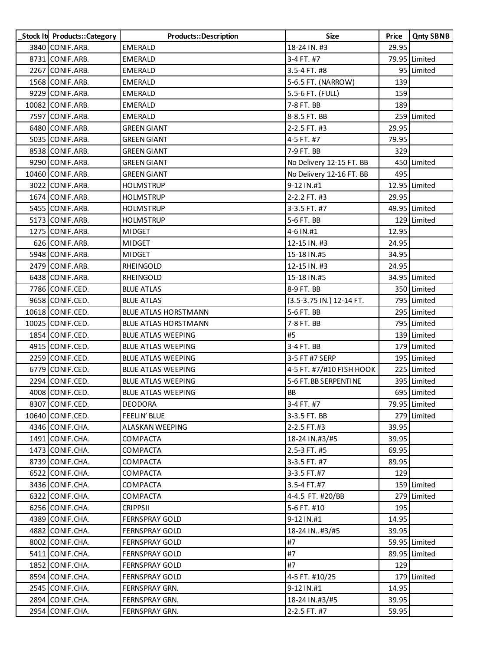| Stock It Products:: Category | <b>Products::Description</b> | Size                     | Price | <b>Qnty SBNB</b> |
|------------------------------|------------------------------|--------------------------|-------|------------------|
| 3840 CONIF.ARB.              | <b>EMERALD</b>               | 18-24 IN. #3             | 29.95 |                  |
| 8731 CONIF.ARB.              | EMERALD                      | 3-4 FT. #7               |       | 79.95 Limited    |
| 2267 CONIF.ARB.              | EMERALD                      | 3.5-4 FT. #8             |       | 95 Limited       |
| 1568 CONIF.ARB.              | EMERALD                      | 5-6.5 FT. (NARROW)       | 139   |                  |
| 9229 CONIF.ARB.              | EMERALD                      | 5.5-6 FT. (FULL)         | 159   |                  |
| 10082 CONIF.ARB.             | EMERALD                      | 7-8 FT. BB               | 189   |                  |
| 7597 CONIF.ARB.              | EMERALD                      | 8-8.5 FT. BB             |       | 259 Limited      |
| 6480 CONIF.ARB.              | <b>GREEN GIANT</b>           | 2-2.5 FT. #3             | 29.95 |                  |
| 5035 CONIF.ARB.              | <b>GREEN GIANT</b>           | 4-5 FT. #7               | 79.95 |                  |
| 8538 CONIF.ARB.              | <b>GREEN GIANT</b>           | 7-9 FT. BB               | 329   |                  |
| 9290 CONIF.ARB.              | <b>GREEN GIANT</b>           | No Delivery 12-15 FT. BB |       | 450 Limited      |
| 10460 CONIF.ARB.             | <b>GREEN GIANT</b>           | No Delivery 12-16 FT. BB | 495   |                  |
| 3022 CONIF.ARB.              | <b>HOLMSTRUP</b>             | 9-12 IN.#1               |       | 12.95 Limited    |
| 1674 CONIF.ARB.              | <b>HOLMSTRUP</b>             | 2-2.2 FT. #3             | 29.95 |                  |
| 5455 CONIF.ARB.              | <b>HOLMSTRUP</b>             | 3-3.5 FT. #7             |       | 49.95 Limited    |
| 5173 CONIF.ARB.              | <b>HOLMSTRUP</b>             | 5-6 FT. BB               |       | 129 Limited      |
| 1275 CONIF.ARB.              | <b>MIDGET</b>                | 4-6 IN.#1                | 12.95 |                  |
| 626 CONIF.ARB.               | <b>MIDGET</b>                | 12-15 IN. #3             | 24.95 |                  |
| 5948 CONIF.ARB.              | <b>MIDGET</b>                | 15-18 IN.#5              | 34.95 |                  |
| 2479 CONIF.ARB.              | RHEINGOLD                    | 12-15 IN. #3             | 24.95 |                  |
| 6438 CONIF.ARB.              | RHEINGOLD                    | 15-18 IN.#5              |       | 34.95 Limited    |
| 7786 CONIF.CED.              | <b>BLUE ATLAS</b>            | 8-9 FT. BB               |       | 350 Limited      |
| 9658 CONIF.CED.              | <b>BLUE ATLAS</b>            | (3.5-3.75 IN.) 12-14 FT. |       | 795 Limited      |
| 10618 CONIF.CED.             | BLUE ATLAS HORSTMANN         | 5-6 FT. BB               |       | 295 Limited      |
| 10025 CONIF.CED.             | <b>BLUE ATLAS HORSTMANN</b>  | 7-8 FT. BB               |       | 795 Limited      |
| 1854 CONIF.CED.              | <b>BLUE ATLAS WEEPING</b>    | #5                       |       | 139 Limited      |
| 4915 CONIF.CED.              | <b>BLUE ATLAS WEEPING</b>    | 3-4 FT. BB               |       | 179 Limited      |
| 2259 CONIF.CED.              | <b>BLUE ATLAS WEEPING</b>    | 3-5 FT #7 SERP           |       | 195 Limited      |
| 6779 CONIF.CED.              | <b>BLUE ATLAS WEEPING</b>    | 4-5 FT. #7/#10 FISH HOOK |       | 225 Limited      |
| 2294 CONIF.CED.              | <b>BLUE ATLAS WEEPING</b>    | 5-6 FT.BB SERPENTINE     |       | 395 Limited      |
| 4008 CONIF.CED.              | <b>BLUE ATLAS WEEPING</b>    | BB                       |       | 695 Limited      |
| 8307 CONIF.CED.              | <b>DEODORA</b>               | 3-4 FT. #7               |       | 79.95 Limited    |
| 10640 CONIF.CED.             | FEELIN' BLUE                 | 3-3.5 FT. BB             |       | 279 Limited      |
| 4346 CONIF.CHA.              | ALASKAN WEEPING              | 2-2.5 FT.#3              | 39.95 |                  |
| 1491 CONIF.CHA.              | COMPACTA                     | 18-24 IN.#3/#5           | 39.95 |                  |
| 1473 CONIF.CHA.              | COMPACTA                     | 2.5-3 FT. #5             | 69.95 |                  |
| 8739 CONIF.CHA.              | COMPACTA                     | 3-3.5 FT. #7             | 89.95 |                  |
| 6522 CONIF.CHA.              | <b>COMPACTA</b>              | 3-3.5 FT.#7              | 129   |                  |
| 3436 CONIF.CHA.              | COMPACTA                     | 3.5-4 FT.#7              |       | 159 Limited      |
| 6322 CONIF.CHA.              | COMPACTA                     | 4-4.5 FT. #20/BB         |       | 279 Limited      |
| 6256 CONIF.CHA.              | <b>CRIPPSII</b>              | 5-6 FT. #10              | 195   |                  |
| 4389 CONIF.CHA.              | <b>FERNSPRAY GOLD</b>        | 9-12 IN.#1               | 14.95 |                  |
| 4882 CONIF.CHA.              | <b>FERNSPRAY GOLD</b>        | 18-24 IN#3/#5            | 39.95 |                  |
| 8002 CONIF.CHA.              | <b>FERNSPRAY GOLD</b>        | #7                       |       | 59.95 Limited    |
| 5411 CONIF.CHA.              | <b>FERNSPRAY GOLD</b>        | #7                       |       | 89.95 Limited    |
| 1852 CONIF.CHA.              | <b>FERNSPRAY GOLD</b>        | #7                       | 129   |                  |
| 8594 CONIF.CHA.              | <b>FERNSPRAY GOLD</b>        | 4-5 FT. #10/25           |       | 179 Limited      |
| 2545 CONIF.CHA.              | FERNSPRAY GRN.               | 9-12 IN.#1               | 14.95 |                  |
| 2894 CONIF.CHA.              | FERNSPRAY GRN.               | 18-24 IN.#3/#5           | 39.95 |                  |
| 2954 CONIF.CHA.              | FERNSPRAY GRN.               | 2-2.5 FT. #7             | 59.95 |                  |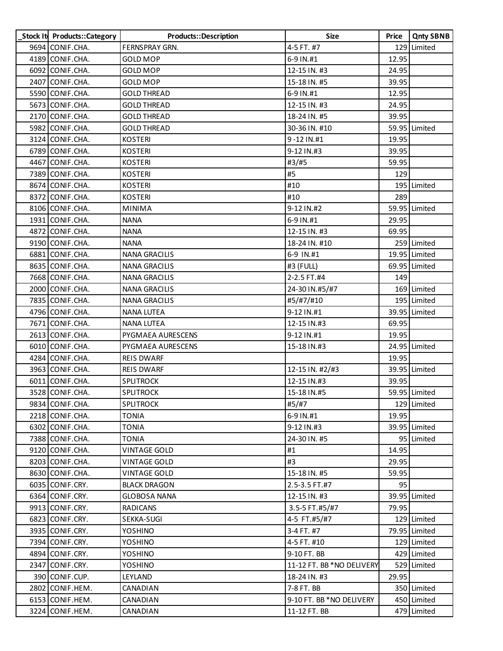| Stock It Products::Category | Products::Description | <b>Size</b>               | Price | <b>Qnty SBNB</b> |
|-----------------------------|-----------------------|---------------------------|-------|------------------|
| 9694 CONIF.CHA.             | <b>FERNSPRAY GRN.</b> | 4-5 FT. #7                |       | 129 Limited      |
| 4189 CONIF.CHA.             | <b>GOLD MOP</b>       | 6-9 IN.#1                 | 12.95 |                  |
| 6092 CONIF.CHA.             | <b>GOLD MOP</b>       | 12-15 IN. #3              | 24.95 |                  |
| 2407 CONIF.CHA.             | <b>GOLD MOP</b>       | 15-18 IN. #5              | 39.95 |                  |
| 5590 CONIF.CHA.             | <b>GOLD THREAD</b>    | 6-9 IN.#1                 | 12.95 |                  |
| 5673 CONIF.CHA.             | <b>GOLD THREAD</b>    | 12-15 IN. #3              | 24.95 |                  |
| 2170 CONIF.CHA.             | <b>GOLD THREAD</b>    | 18-24 IN. #5              | 39.95 |                  |
| 5982 CONIF.CHA.             | <b>GOLD THREAD</b>    | 30-36 IN. #10             |       | 59.95 Limited    |
| 3124 CONIF.CHA.             | <b>KOSTERI</b>        | 9-12 IN.#1                | 19.95 |                  |
| 6789 CONIF.CHA.             | <b>KOSTERI</b>        | 9-12 IN.#3                | 39.95 |                  |
| 4467 CONIF.CHA.             | <b>KOSTERI</b>        | #3/#5                     | 59.95 |                  |
| 7389 CONIF.CHA.             | <b>KOSTERI</b>        | #5                        | 129   |                  |
| 8674 CONIF.CHA.             | <b>KOSTERI</b>        | #10                       |       | 195 Limited      |
| 8372 CONIF.CHA.             | <b>KOSTERI</b>        | #10                       | 289   |                  |
| 8106 CONIF.CHA.             | <b>MINIMA</b>         | 9-12 IN.#2                |       | 59.95 Limited    |
| 1931 CONIF.CHA.             | <b>NANA</b>           | 6-9 IN.#1                 | 29.95 |                  |
| 4872 CONIF.CHA.             | <b>NANA</b>           | 12-15 IN. #3              | 69.95 |                  |
| 9190 CONIF.CHA.             | <b>NANA</b>           | 18-24 IN. #10             |       | 259 Limited      |
| 6881 CONIF.CHA.             | <b>NANA GRACILIS</b>  | 6-9 IN.#1                 |       | 19.95 Limited    |
| 8635 CONIF.CHA.             | <b>NANA GRACILIS</b>  | #3 (FULL)                 |       | 69.95 Limited    |
| 7668 CONIF.CHA.             | <b>NANA GRACILIS</b>  | 2-2.5 FT.#4               | 149   |                  |
| 2000 CONIF.CHA.             | <b>NANA GRACILIS</b>  | 24-30 IN.#5/#7            |       | 169 Limited      |
| 7835 CONIF.CHA.             | <b>NANA GRACILIS</b>  | #5/#7/#10                 |       | 195 Limited      |
| 4796 CONIF.CHA.             | <b>NANA LUTEA</b>     | 9-12 IN.#1                |       | 39.95 Limited    |
| 7671 CONIF.CHA.             | <b>NANA LUTEA</b>     | 12-15 IN.#3               | 69.95 |                  |
| 2613 CONIF.CHA.             | PYGMAEA AURESCENS     | 9-12 IN.#1                | 19.95 |                  |
| 6010 CONIF.CHA.             | PYGMAEA AURESCENS     | 15-18 IN.#3               |       | 24.95 Limited    |
| 4284 CONIF.CHA.             | <b>REIS DWARF</b>     |                           | 19.95 |                  |
| 3963 CONIF.CHA.             | <b>REIS DWARF</b>     | 12-15 IN. #2/#3           |       | 39.95 Limited    |
| 6011 CONIF.CHA.             | <b>SPLITROCK</b>      | 12-15 IN.#3               | 39.95 |                  |
| 3528 CONIF.CHA.             | <b>SPLITROCK</b>      | 15-18 IN.#5               |       | 59.95 Limited    |
| 9834 CONIF.CHA.             | <b>SPLITROCK</b>      | #5/#7                     |       | 129 Limited      |
| 2218 CONIF.CHA.             | <b>TONIA</b>          | 6-9 IN.#1                 | 19.95 |                  |
| 6302 CONIF.CHA.             | <b>TONIA</b>          | 9-12 IN.#3                |       | 39.95 Limited    |
| 7388 CONIF.CHA.             | <b>TONIA</b>          | 24-30 IN. #5              |       | 95 Limited       |
| 9120 CONIF.CHA.             | <b>VINTAGE GOLD</b>   | #1                        | 14.95 |                  |
| 8203 CONIF.CHA.             | <b>VINTAGE GOLD</b>   | #3                        | 29.95 |                  |
| 8630 CONIF.CHA.             | <b>VINTAGE GOLD</b>   | 15-18 IN. #5              | 59.95 |                  |
| 6035 CONIF.CRY.             | <b>BLACK DRAGON</b>   | 2.5-3.5 FT.#7             | 95    |                  |
| 6364 CONIF.CRY.             | <b>GLOBOSA NANA</b>   | 12-15 IN. #3              |       | 39.95 Limited    |
| 9913 CONIF.CRY.             | RADICANS              | 3.5-5 FT.#5/#7            | 79.95 |                  |
| 6823 CONIF.CRY.             | SEKKA-SUGI            | 4-5 FT.#5/#7              |       | 129 Limited      |
| 3935 CONIF.CRY.             | YOSHINO               | 3-4 FT. #7                |       | 79.95 Limited    |
| 7394 CONIF.CRY.             | YOSHINO               | 4-5 FT. #10               |       | 129 Limited      |
| 4894 CONIF.CRY.             | YOSHINO               | 9-10 FT. BB               |       | 429 Limited      |
| 2347 CONIF.CRY.             | YOSHINO               | 11-12 FT. BB *NO DELIVERY |       | 529 Limited      |
| 390 CONIF.CUP.              | LEYLAND               | 18-24 IN. #3              | 29.95 |                  |
| 2802 CONIF.HEM.             | CANADIAN              | 7-8 FT. BB                |       | 350 Limited      |
| 6153 CONIF.HEM.             | CANADIAN              | 9-10 FT. BB *NO DELIVERY  |       | 450 Limited      |
| 3224 CONIF.HEM.             | CANADIAN              | 11-12 FT. BB              |       | 479 Limited      |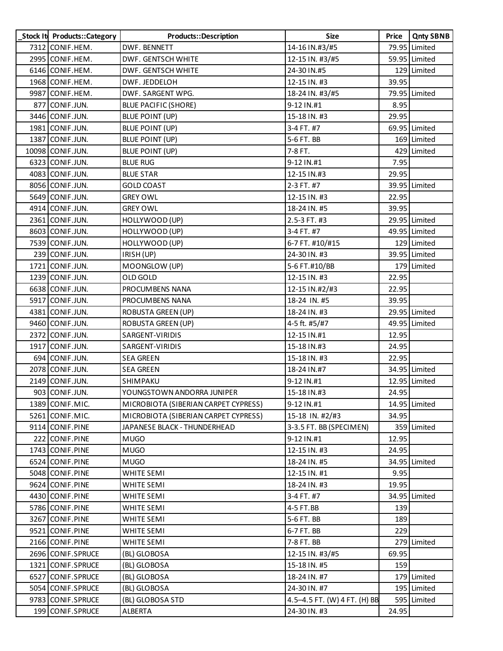| Stock It Products::Category | Products::Description                | <b>Size</b>                  | Price | <b>Qnty SBNB</b> |
|-----------------------------|--------------------------------------|------------------------------|-------|------------------|
| 7312 CONIF.HEM.             | DWF. BENNETT                         | 14-16 IN.#3/#5               |       | 79.95 Limited    |
| 2995 CONIF.HEM.             | DWF. GENTSCH WHITE                   | 12-15 IN. #3/#5              |       | 59.95 Limited    |
| 6146 CONIF.HEM.             | DWF. GENTSCH WHITE                   | 24-30 IN.#5                  |       | 129 Limited      |
| 1968 CONIF.HEM.             | DWF. JEDDELOH                        | 12-15 IN. #3                 | 39.95 |                  |
| 9987 CONIF.HEM.             | DWF. SARGENT WPG.                    | 18-24 IN. #3/#5              |       | 79.95 Limited    |
| 877 CONIF.JUN.              | <b>BLUE PACIFIC (SHORE)</b>          | 9-12 IN.#1                   | 8.95  |                  |
| 3446 CONIF.JUN.             | BLUE POINT (UP)                      | 15-18 IN. #3                 | 29.95 |                  |
| 1981 CONIF.JUN.             | <b>BLUE POINT (UP)</b>               | 3-4 FT. #7                   |       | 69.95 Limited    |
| 1387 CONIF.JUN.             | BLUE POINT (UP)                      | 5-6 FT. BB                   |       | 169 Limited      |
| 10098 CONIF.JUN.            | <b>BLUE POINT (UP)</b>               | 7-8 FT.                      |       | 429 Limited      |
| 6323 CONIF.JUN.             | <b>BLUE RUG</b>                      | 9-12 IN.#1                   | 7.95  |                  |
| 4083 CONIF.JUN.             | <b>BLUE STAR</b>                     | 12-15 IN.#3                  | 29.95 |                  |
| 8056 CONIF.JUN.             | <b>GOLD COAST</b>                    | 2-3 FT. #7                   |       | 39.95 Limited    |
| 5649 CONIF.JUN.             | <b>GREY OWL</b>                      | 12-15 IN. #3                 | 22.95 |                  |
| 4914 CONIF.JUN.             | <b>GREY OWL</b>                      | 18-24 IN. #5                 | 39.95 |                  |
| 2361 CONIF.JUN.             | HOLLYWOOD (UP)                       | 2.5-3 FT. #3                 |       | 29.95 Limited    |
| 8603 CONIF.JUN.             | HOLLYWOOD (UP)                       | 3-4 FT. #7                   |       | 49.95 Limited    |
| 7539 CONIF.JUN.             | HOLLYWOOD (UP)                       | 6-7 FT. #10/#15              |       | 129 Limited      |
| 239 CONIF.JUN.              | IRISH (UP)                           | 24-30 IN. #3                 |       | 39.95 Limited    |
| 1721 CONIF.JUN.             | MOONGLOW (UP)                        | 5-6 FT.#10/BB                |       | 179 Limited      |
| 1239 CONIF.JUN.             | OLD GOLD                             | 12-15 IN. #3                 | 22.95 |                  |
| 6638 CONIF.JUN.             | PROCUMBENS NANA                      | 12-15 IN.#2/#3               | 22.95 |                  |
| 5917 CONIF.JUN.             | PROCUMBENS NANA                      | 18-24 IN. #5                 | 39.95 |                  |
| 4381 CONIF.JUN.             | <b>ROBUSTA GREEN (UP)</b>            | 18-24 IN. #3                 |       | 29.95 Limited    |
| 9460 CONIF.JUN.             | <b>ROBUSTA GREEN (UP)</b>            | 4-5 ft. #5/#7                |       | 49.95 Limited    |
| 2372 CONIF.JUN.             | SARGENT-VIRIDIS                      | 12-15 IN.#1                  | 12.95 |                  |
| 1917 CONIF.JUN.             | SARGENT-VIRIDIS                      | 15-18 IN.#3                  | 24.95 |                  |
| 694 CONIF.JUN.              | <b>SEA GREEN</b>                     | 15-18 IN. #3                 | 22.95 |                  |
| 2078 CONIF.JUN.             | <b>SEA GREEN</b>                     | 18-24 IN.#7                  |       | 34.95 Limited    |
| 2149 CONIF.JUN.             | SHIMPAKU                             | 9-12 IN.#1                   |       | 12.95 Limited    |
| 903 CONIF.JUN.              | YOUNGSTOWN ANDORRA JUNIPER           | 15-18 IN.#3                  | 24.95 |                  |
| 1389 CONIF.MIC.             | MICROBIOTA (SIBERIAN CARPET CYPRESS) | 9-12 IN.#1                   |       | 14.95 Limited    |
| 5261 CONIF.MIC.             | MICROBIOTA (SIBERIAN CARPET CYPRESS) | 15-18 IN. #2/#3              | 34.95 |                  |
| 9114 CONIF.PINE             | JAPANESE BLACK - THUNDERHEAD         | 3-3.5 FT. BB (SPECIMEN)      |       | 359 Limited      |
| 222 CONIF.PINE              | <b>MUGO</b>                          | 9-12 IN.#1                   | 12.95 |                  |
| 1743 CONIF.PINE             | <b>MUGO</b>                          | 12-15 IN. #3                 | 24.95 |                  |
| 6524 CONIF.PINE             | <b>MUGO</b>                          | 18-24 IN. #5                 |       | 34.95 Limited    |
| 5048 CONIF.PINE             | WHITE SEMI                           | 12-15 IN. #1                 | 9.95  |                  |
| 9624 CONIF.PINE             | WHITE SEMI                           | 18-24 IN. #3                 | 19.95 |                  |
| 4430 CONIF.PINE             | WHITE SEMI                           | 3-4 FT. #7                   |       | 34.95 Limited    |
| 5786 CONIF.PINE             | WHITE SEMI                           | 4-5 FT.BB                    | 139   |                  |
| 3267 CONIF.PINE             | WHITE SEMI                           | 5-6 FT. BB                   | 189   |                  |
| 9521 CONIF.PINE             | WHITE SEMI                           | 6-7 FT. BB                   | 229   |                  |
| 2166 CONIF.PINE             | <b>WHITE SEMI</b>                    | 7-8 FT. BB                   |       | 279 Limited      |
| 2696 CONIF.SPRUCE           | (BL) GLOBOSA                         | 12-15 IN. #3/#5              | 69.95 |                  |
| 1321 CONIF.SPRUCE           | (BL) GLOBOSA                         | 15-18 IN. #5                 | 159   |                  |
| 6527 CONIF.SPRUCE           | (BL) GLOBOSA                         | 18-24 IN. #7                 |       | 179 Limited      |
| 5054 CONIF.SPRUCE           | (BL) GLOBOSA                         | 24-30 IN. #7                 |       | 195 Limited      |
| 9783 CONIF.SPRUCE           | (BL) GLOBOSA STD                     | 4.5-4.5 FT. (W) 4 FT. (H) BB |       | 595 Limited      |
| 199 CONIF.SPRUCE            | ALBERTA                              | 24-30 IN. #3                 | 24.95 |                  |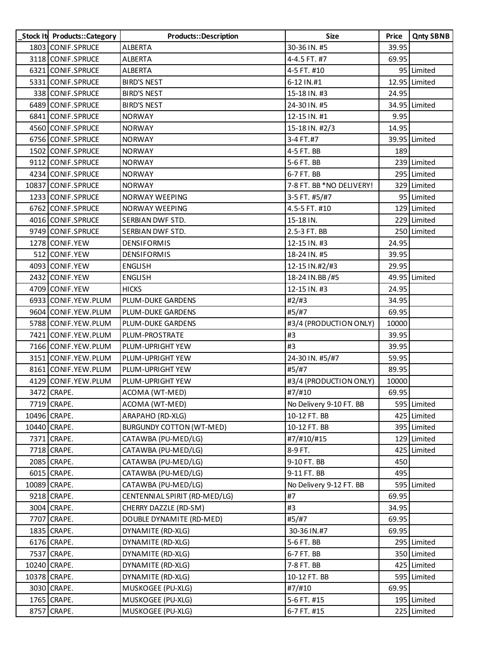| Stock It Products::Category | Products::Description           | Size                     | Price | <b>Qnty SBNB</b> |
|-----------------------------|---------------------------------|--------------------------|-------|------------------|
| 1803 CONIF.SPRUCE           | <b>ALBERTA</b>                  | 30-36 IN. #5             | 39.95 |                  |
| 3118 CONIF.SPRUCE           | <b>ALBERTA</b>                  | 4-4.5 FT. #7             | 69.95 |                  |
| 6321 CONIF.SPRUCE           | ALBERTA                         | 4-5 FT. #10              |       | 95 Limited       |
| 5331 CONIF.SPRUCE           | <b>BIRD'S NEST</b>              | 6-12 IN.#1               |       | 12.95 Limited    |
| 338 CONIF.SPRUCE            | <b>BIRD'S NEST</b>              | 15-18 IN. #3             | 24.95 |                  |
| 6489 CONIF.SPRUCE           | <b>BIRD'S NEST</b>              | 24-30 IN. #5             |       | 34.95 Limited    |
| 6841 CONIF.SPRUCE           | <b>NORWAY</b>                   | 12-15 IN. #1             | 9.95  |                  |
| 4560 CONIF.SPRUCE           | <b>NORWAY</b>                   | 15-18 IN. #2/3           | 14.95 |                  |
| 6756 CONIF.SPRUCE           | <b>NORWAY</b>                   | 3-4 FT.#7                |       | 39.95 Limited    |
| 1502 CONIF.SPRUCE           | <b>NORWAY</b>                   | 4-5 FT. BB               | 189   |                  |
| 9112 CONIF.SPRUCE           | <b>NORWAY</b>                   | 5-6 FT. BB               |       | 239 Limited      |
| 4234 CONIF.SPRUCE           | <b>NORWAY</b>                   | 6-7 FT. BB               |       | 295 Limited      |
| 10837 CONIF.SPRUCE          | <b>NORWAY</b>                   | 7-8 FT. BB *NO DELIVERY! |       | 329 Limited      |
| 1233 CONIF.SPRUCE           | NORWAY WEEPING                  | 3-5 FT. #5/#7            |       | 95 Limited       |
| 6762 CONIF.SPRUCE           | NORWAY WEEPING                  | 4.5-5 FT. #10            |       | 129 Limited      |
| 4016 CONIF.SPRUCE           | SERBIAN DWF STD.                | 15-18 IN.                |       | 229 Limited      |
| 9749 CONIF.SPRUCE           | SERBIAN DWF STD.                | 2.5-3 FT. BB             |       | 250 Limited      |
| 1278 CONIF.YEW              | <b>DENSIFORMIS</b>              | 12-15 IN. #3             | 24.95 |                  |
| 512 CONIF.YEW               | <b>DENSIFORMIS</b>              | 18-24 IN. #5             | 39.95 |                  |
| 4093 CONIF.YEW              | <b>ENGLISH</b>                  | 12-15 IN.#2/#3           | 29.95 |                  |
| 2432 CONIF.YEW              | <b>ENGLISH</b>                  | 18-24 IN.BB/#5           |       | 49.95 Limited    |
| 4709 CONIF.YEW              | <b>HICKS</b>                    | 12-15 IN. #3             | 24.95 |                  |
| 6933 CONIF.YEW.PLUM         | PLUM-DUKE GARDENS               | #2/#3                    | 34.95 |                  |
| 9604 CONIF. YEW. PLUM       | PLUM-DUKE GARDENS               | #5/#7                    | 69.95 |                  |
| 5788 CONIF.YEW.PLUM         | PLUM-DUKE GARDENS               | #3/4 (PRODUCTION ONLY)   | 10000 |                  |
| 7421 CONIF.YEW.PLUM         | PLUM-PROSTRATE                  | #3                       | 39.95 |                  |
| 7166 CONIF.YEW.PLUM         | PLUM-UPRIGHT YEW                | #3                       | 39.95 |                  |
| 3151 CONIF.YEW.PLUM         | PLUM-UPRIGHT YEW                | 24-30 IN. #5/#7          | 59.95 |                  |
| 8161 CONIF. YEW. PLUM       | PLUM-UPRIGHT YEW                | #5/#7                    | 89.95 |                  |
| 4129 CONIF.YEW.PLUM         | PLUM-UPRIGHT YEW                | #3/4 (PRODUCTION ONLY)   | 10000 |                  |
| 3472 CRAPE.                 | ACOMA (WT-MED)                  | #7/#10                   | 69.95 |                  |
| 7719 CRAPE.                 | ACOMA (WT-MED)                  | No Delivery 9-10 FT. BB  |       | 595 Limited      |
| 10496 CRAPE.                | ARAPAHO (RD-XLG)                | 10-12 FT. BB             |       | 425 Limited      |
| 10440 CRAPE.                | <b>BURGUNDY COTTON (WT-MED)</b> | 10-12 FT. BB             |       | 395 Limited      |
| 7371 CRAPE.                 | CATAWBA (PU-MED/LG)             | #7/#10/#15               |       | 129 Limited      |
| 7718 CRAPE.                 | CATAWBA (PU-MED/LG)             | 8-9 FT.                  | 425   | Limited          |
| 2085 CRAPE.                 | CATAWBA (PU-MED/LG)             | 9-10 FT. BB              | 450   |                  |
| 6015 CRAPE.                 | CATAWBA (PU-MED/LG)             | 9-11 FT. BB              | 495   |                  |
| 10089 CRAPE.                | CATAWBA (PU-MED/LG)             | No Delivery 9-12 FT. BB  |       | 595 Limited      |
| 9218 CRAPE.                 | CENTENNIAL SPIRIT (RD-MED/LG)   | #7                       | 69.95 |                  |
| 3004 CRAPE.                 | CHERRY DAZZLE (RD-SM)           | #3                       | 34.95 |                  |
| 7707 CRAPE.                 | DOUBLE DYNAMITE (RD-MED)        | #5/#7                    | 69.95 |                  |
| 1835 CRAPE.                 | DYNAMITE (RD-XLG)               | 30-36 IN.#7              | 69.95 |                  |
| 6176 CRAPE.                 | DYNAMITE (RD-XLG)               | 5-6 FT. BB               |       | 295 Limited      |
| 7537 CRAPE.                 | DYNAMITE (RD-XLG)               | 6-7 FT. BB               |       | 350 Limited      |
| 10240 CRAPE.                | DYNAMITE (RD-XLG)               | 7-8 FT. BB               |       | 425 Limited      |
| 10378 CRAPE.                | DYNAMITE (RD-XLG)               | 10-12 FT. BB             |       | 595 Limited      |
| 3030 CRAPE.                 | MUSKOGEE (PU-XLG)               | #7/#10                   | 69.95 |                  |
| 1765 CRAPE.                 | MUSKOGEE (PU-XLG)               | 5-6 FT. #15              |       | 195 Limited      |
| 8757 CRAPE.                 | MUSKOGEE (PU-XLG)               | 6-7 FT. #15              |       | 225 Limited      |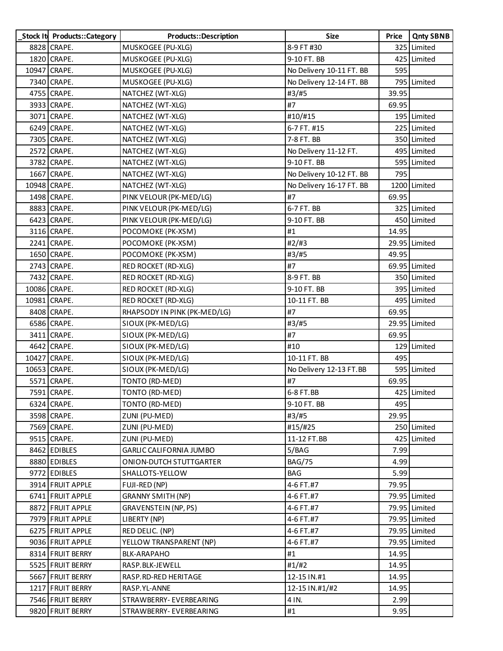| Stock It Products::Category | <b>Products::Description</b>   | <b>Size</b>              | Price | <b>Qnty SBNB</b> |
|-----------------------------|--------------------------------|--------------------------|-------|------------------|
| 8828 CRAPE.                 | MUSKOGEE (PU-XLG)              | 8-9 FT #30               |       | 325 Limited      |
| 1820 CRAPE.                 | MUSKOGEE (PU-XLG)              | 9-10 FT. BB              |       | 425 Limited      |
| 10947 CRAPE.                | MUSKOGEE (PU-XLG)              | No Delivery 10-11 FT. BB | 595   |                  |
| 7340 CRAPE.                 | MUSKOGEE (PU-XLG)              | No Delivery 12-14 FT. BB |       | 795 Limited      |
| 4755 CRAPE.                 | NATCHEZ (WT-XLG)               | #3/#5                    | 39.95 |                  |
| 3933 CRAPE.                 | NATCHEZ (WT-XLG)               | #7                       | 69.95 |                  |
| 3071 CRAPE.                 | NATCHEZ (WT-XLG)               | #10/#15                  |       | 195 Limited      |
| 6249 CRAPE.                 | NATCHEZ (WT-XLG)               | 6-7 FT. #15              |       | 225 Limited      |
| 7305 CRAPE.                 | NATCHEZ (WT-XLG)               | 7-8 FT. BB               |       | 350 Limited      |
| 2572 CRAPE.                 | NATCHEZ (WT-XLG)               | No Delivery 11-12 FT.    |       | 495 Limited      |
| 3782 CRAPE.                 | NATCHEZ (WT-XLG)               | 9-10 FT. BB              |       | 595 Limited      |
| 1667 CRAPE.                 | NATCHEZ (WT-XLG)               | No Delivery 10-12 FT. BB | 795   |                  |
| 10948 CRAPE.                | NATCHEZ (WT-XLG)               | No Delivery 16-17 FT. BB |       | 1200 Limited     |
| 1498 CRAPE.                 | PINK VELOUR (PK-MED/LG)        | #7                       | 69.95 |                  |
| 8883 CRAPE.                 | PINK VELOUR (PK-MED/LG)        | 6-7 FT. BB               |       | 325 Limited      |
| 6423 CRAPE.                 | PINK VELOUR (PK-MED/LG)        | 9-10 FT. BB              |       | 450 Limited      |
| 3116 CRAPE.                 | POCOMOKE (PK-XSM)              | #1                       | 14.95 |                  |
| 2241 CRAPE.                 | POCOMOKE (PK-XSM)              | #2/#3                    |       | 29.95 Limited    |
| 1650 CRAPE.                 | POCOMOKE (PK-XSM)              | #3/#5                    | 49.95 |                  |
| 2743 CRAPE.                 | RED ROCKET (RD-XLG)            | #7                       |       | 69.95 Limited    |
| 7432 CRAPE.                 | RED ROCKET (RD-XLG)            | 8-9 FT. BB               |       | 350 Limited      |
| 10086 CRAPE.                | <b>RED ROCKET (RD-XLG)</b>     | 9-10 FT. BB              |       | 395 Limited      |
| 10981 CRAPE.                | RED ROCKET (RD-XLG)            | 10-11 FT. BB             |       | 495 Limited      |
| 8408 CRAPE.                 | RHAPSODY IN PINK (PK-MED/LG)   | #7                       | 69.95 |                  |
| 6586 CRAPE.                 | SIOUX (PK-MED/LG)              | #3/#5                    |       | 29.95 Limited    |
| 3411 CRAPE.                 | SIOUX (PK-MED/LG)              | #7                       | 69.95 |                  |
| 4642 CRAPE.                 | SIOUX (PK-MED/LG)              | #10                      |       | 129 Limited      |
| 10427 CRAPE.                | SIOUX (PK-MED/LG)              | 10-11 FT. BB             | 495   |                  |
| 10653 CRAPE.                | SIOUX (PK-MED/LG)              | No Delivery 12-13 FT.BB  |       | 595 Limited      |
| 5571 CRAPE.                 | TONTO (RD-MED)                 | #7                       | 69.95 |                  |
| 7591 CRAPE.                 | TONTO (RD-MED)                 | 6-8 FT.BB                |       | 425 Limited      |
| 6324 CRAPE.                 | TONTO (RD-MED)                 | 9-10 FT. BB              | 495   |                  |
| 3598 CRAPE.                 | ZUNI (PU-MED)                  | #3/#5                    | 29.95 |                  |
| 7569 CRAPE.                 | ZUNI (PU-MED)                  | #15/#25                  |       | 250 Limited      |
| 9515 CRAPE.                 | ZUNI (PU-MED)                  | 11-12 FT.BB              |       | 425 Limited      |
| 8462 EDIBLES                | <b>GARLIC CALIFORNIA JUMBO</b> | 5/BAG                    | 7.99  |                  |
| 8880 EDIBLES                | ONION-DUTCH STUTTGARTER        | <b>BAG/75</b>            | 4.99  |                  |
| 9772 EDIBLES                | SHALLOTS-YELLOW                | <b>BAG</b>               | 5.99  |                  |
| 3914 FRUIT APPLE            | FUJI-RED (NP)                  | 4-6 FT.#7                | 79.95 |                  |
| 6741 FRUIT APPLE            | <b>GRANNY SMITH (NP)</b>       | 4-6 FT.#7                |       | 79.95 Limited    |
| 8872 FRUIT APPLE            | GRAVENSTEIN (NP, PS)           | 4-6 FT.#7                |       | 79.95 Limited    |
| 7979 FRUIT APPLE            | LIBERTY (NP)                   | 4-6 FT.#7                |       | 79.95 Limited    |
| 6275 FRUIT APPLE            | RED DELIC. (NP)                | 4-6 FT.#7                |       | 79.95 Limited    |
| 9036 FRUIT APPLE            | YELLOW TRANSPARENT (NP)        | 4-6 FT.#7                |       | 79.95 Limited    |
| 8314 FRUIT BERRY            | <b>BLK-ARAPAHO</b>             | #1                       | 14.95 |                  |
| 5525 FRUIT BERRY            | RASP.BLK-JEWELL                | #1/H2                    | 14.95 |                  |
| 5667 FRUIT BERRY            | RASP.RD-RED HERITAGE           | 12-15 IN.#1              | 14.95 |                  |
| 1217 FRUIT BERRY            | RASP.YL-ANNE                   | 12-15 IN.#1/#2           | 14.95 |                  |
| 7546 FRUIT BERRY            | STRAWBERRY- EVERBEARING        | 4 IN.                    | 2.99  |                  |
| 9820 FRUIT BERRY            | STRAWBERRY- EVERBEARING        | #1                       | 9.95  |                  |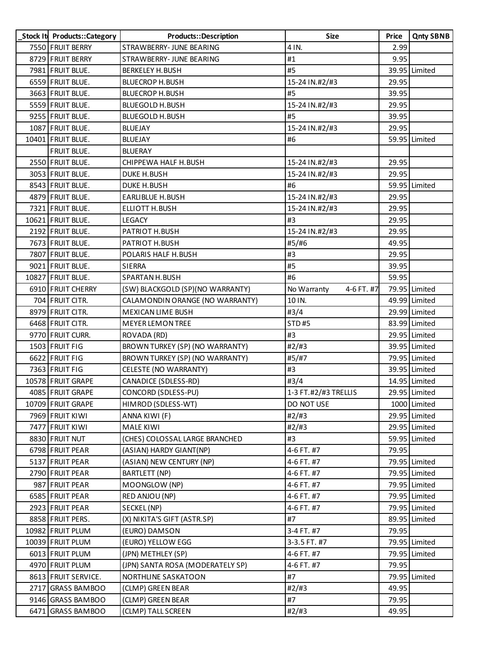| Stock It Products:: Category | Products::Description            | Size                      | Price | <b>Qnty SBNB</b> |
|------------------------------|----------------------------------|---------------------------|-------|------------------|
| 7550 FRUIT BERRY             | STRAWBERRY- JUNE BEARING         | 4 IN.                     | 2.99  |                  |
| 8729 FRUIT BERRY             | STRAWBERRY- JUNE BEARING         | #1                        | 9.95  |                  |
| 7981 FRUIT BLUE.             | <b>BERKELEY H. BUSH</b>          | #5                        |       | 39.95 Limited    |
| 6559 FRUIT BLUE.             | <b>BLUECROP H.BUSH</b>           | 15-24 IN.#2/#3            | 29.95 |                  |
| 3663 FRUIT BLUE.             | <b>BLUECROP H.BUSH</b>           | #5                        | 39.95 |                  |
| 5559 FRUIT BLUE.             | <b>BLUEGOLD H. BUSH</b>          | 15-24 IN.#2/#3            | 29.95 |                  |
| 9255 FRUIT BLUE.             | <b>BLUEGOLD H. BUSH</b>          | #5                        | 39.95 |                  |
| 1087 FRUIT BLUE.             | <b>BLUEJAY</b>                   | 15-24 IN.#2/#3            | 29.95 |                  |
| 10401 FRUIT BLUE.            | <b>BLUEJAY</b>                   | #6                        |       | 59.95 Limited    |
| FRUIT BLUE.                  | <b>BLUERAY</b>                   |                           |       |                  |
| 2550 FRUIT BLUE.             | CHIPPEWA HALF H. BUSH            | 15-24 IN.#2/#3            | 29.95 |                  |
| 3053 FRUIT BLUE.             | <b>DUKE H. BUSH</b>              | 15-24 IN.#2/#3            | 29.95 |                  |
| 8543 FRUIT BLUE.             | <b>DUKE H. BUSH</b>              | #6                        |       | 59.95 Limited    |
| 4879 FRUIT BLUE.             | <b>EARLIBLUE H.BUSH</b>          | 15-24 IN.#2/#3            | 29.95 |                  |
| 7321 FRUIT BLUE.             | <b>ELLIOTT H.BUSH</b>            | 15-24 IN.#2/#3            | 29.95 |                  |
| 10621 FRUIT BLUE.            | <b>LEGACY</b>                    | #3                        | 29.95 |                  |
| 2192 FRUIT BLUE.             | PATRIOT H.BUSH                   | 15-24 IN.#2/#3            | 29.95 |                  |
| 7673 FRUIT BLUE.             | PATRIOT H.BUSH                   | #5/#6                     | 49.95 |                  |
| 7807 FRUIT BLUE.             | POLARIS HALF H.BUSH              | #3                        | 29.95 |                  |
| 9021 FRUIT BLUE.             | SIERRA                           | #5                        | 39.95 |                  |
| 10827 FRUIT BLUE.            | <b>SPARTAN H. BUSH</b>           | #6                        | 59.95 |                  |
| 6910 FRUIT CHERRY            | (SW) BLACKGOLD (SP)(NO WARRANTY) | 4-6 FT. #7<br>No Warranty |       | 79.95 Limited    |
| 704 FRUIT CITR.              | CALAMONDIN ORANGE (NO WARRANTY)  | 10 IN.                    |       | 49.99 Limited    |
| 8979 FRUIT CITR.             | <b>MEXICAN LIME BUSH</b>         | #3/4                      |       | 29.99 Limited    |
| 6468 FRUIT CITR.             | <b>MEYER LEMON TREE</b>          | <b>STD#5</b>              |       | 83.99 Limited    |
| 9770 FRUIT CURR.             | ROVADA (RD)                      | #3                        |       | 29.95 Limited    |
| 1503 FRUIT FIG               | BROWN TURKEY (SP) (NO WARRANTY)  | #2#3                      |       | 39.95 Limited    |
| 6622 FRUIT FIG               | BROWN TURKEY (SP) (NO WARRANTY)  | #5/#7                     |       | 79.95 Limited    |
| 7363 FRUIT FIG               | CELESTE (NO WARRANTY)            | #3                        |       | 39.95 Limited    |
| 10578 FRUIT GRAPE            | CANADICE (SDLESS-RD)             | #3/4                      |       | 14.95 Limited    |
| 4085 FRUIT GRAPE             | CONCORD (SDLESS-PU)              | 1-3 FT.#2/#3 TRELLIS      |       | 29.95 Limited    |
| 10709 FRUIT GRAPE            | HIMROD (SDLESS-WT)               | DO NOT USE                |       | 1000 Limited     |
| 7969 FRUIT KIWI              | ANNA KIWI (F)                    | #2/#3                     |       | 29.95 Limited    |
| 7477 FRUIT KIWI              | <b>MALE KIWI</b>                 | #2/H3                     |       | 29.95 Limited    |
| 8830 FRUIT NUT               | (CHES) COLOSSAL LARGE BRANCHED   | #3                        |       | 59.95 Limited    |
| 6798 FRUIT PEAR              | (ASIAN) HARDY GIANT(NP)          | 4-6 FT. #7                | 79.95 |                  |
| 5137 FRUIT PEAR              | (ASIAN) NEW CENTURY (NP)         | 4-6 FT. #7                |       | 79.95 Limited    |
| 2790 FRUIT PEAR              | <b>BARTLETT (NP)</b>             | 4-6 FT. #7                |       | 79.95 Limited    |
| 987 FRUIT PEAR               | MOONGLOW (NP)                    | 4-6 FT. #7                |       | 79.95 Limited    |
| 6585 FRUIT PEAR              | RED ANJOU (NP)                   | 4-6 FT. #7                |       | 79.95 Limited    |
| 2923 FRUIT PEAR              | SECKEL (NP)                      | 4-6 FT. #7                |       | 79.95 Limited    |
| 8858 FRUIT PERS.             | (X) NIKITA'S GIFT (ASTR.SP)      | #7                        |       | 89.95 Limited    |
| 10982 FRUIT PLUM             | (EURO) DAMSON                    | 3-4 FT. #7                | 79.95 |                  |
| 10039 FRUIT PLUM             | (EURO) YELLOW EGG                | 3-3.5 FT. #7              |       | 79.95 Limited    |
| 6013 FRUIT PLUM              | (JPN) METHLEY (SP)               | 4-6 FT. #7                |       | 79.95 Limited    |
| 4970 FRUIT PLUM              | (JPN) SANTA ROSA (MODERATELY SP) | 4-6 FT. #7                | 79.95 |                  |
| 8613 FRUIT SERVICE.          | NORTHLINE SASKATOON              | #7                        |       | 79.95 Limited    |
| 2717 GRASS BAMBOO            | (CLMP) GREEN BEAR                | #2#3                      | 49.95 |                  |
| 9146 GRASS BAMBOO            | (CLMP) GREEN BEAR                | #7                        | 79.95 |                  |
| 6471 GRASS BAMBOO            | (CLMP) TALL SCREEN               | #2/#3                     | 49.95 |                  |
|                              |                                  |                           |       |                  |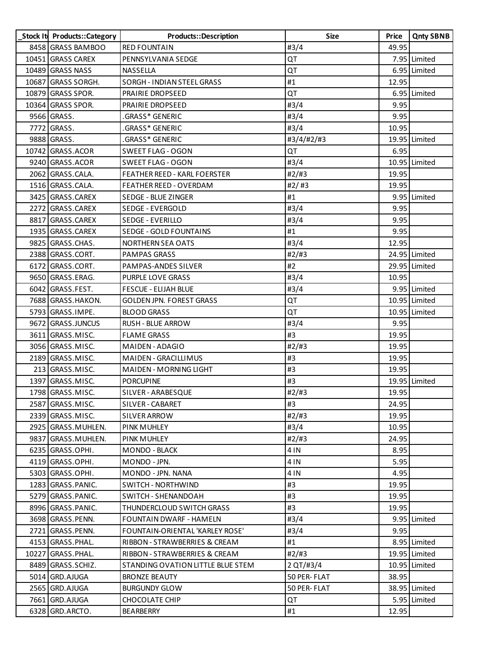| Stock It Products:: Category | <b>Products::Description</b>      | <b>Size</b>  | Price | <b>Qnty SBNB</b> |
|------------------------------|-----------------------------------|--------------|-------|------------------|
| 8458 GRASS BAMBOO            | <b>RED FOUNTAIN</b>               | #3/4         | 49.95 |                  |
| 10451 GRASS CAREX            | PENNSYLVANIA SEDGE                | QT           |       | 7.95 Limited     |
| 10489 GRASS NASS             | NASSELLA                          | QT           |       | 6.95 Limited     |
| 10687 GRASS SORGH.           | SORGH - INDIAN STEEL GRASS        | #1           | 12.95 |                  |
| 10879 GRASS SPOR.            | PRAIRIE DROPSEED                  | QT           |       | 6.95 Limited     |
| 10364 GRASS SPOR.            | PRAIRIE DROPSEED                  | #3/4         | 9.95  |                  |
| 9566 GRASS.                  | .GRASS* GENERIC                   | #3/4         | 9.95  |                  |
| 7772 GRASS.                  | .GRASS* GENERIC                   | #3/4         | 10.95 |                  |
| 9888 GRASS.                  | GRASS* GENERIC                    | #3/4/#2/#3   |       | 19.95 Limited    |
| 10742 GRASS.ACOR             | <b>SWEET FLAG - OGON</b>          | QT           | 6.95  |                  |
| 9240 GRASS.ACOR              | <b>SWEET FLAG - OGON</b>          | #3/4         |       | 10.95 Limited    |
| 2062 GRASS.CALA.             | FEATHER REED - KARL FOERSTER      | #2/#3        | 19.95 |                  |
| 1516 GRASS.CALA.             | FEATHER REED - OVERDAM            | #2/#3        | 19.95 |                  |
| 3425 GRASS.CAREX             | SEDGE - BLUE ZINGER               | #1           |       | 9.95 Limited     |
| 2272 GRASS.CAREX             | SEDGE - EVERGOLD                  | #3/4         | 9.95  |                  |
| 8817 GRASS.CAREX             | <b>SEDGE - EVERILLO</b>           | #3/4         | 9.95  |                  |
| 1935 GRASS.CAREX             | SEDGE - GOLD FOUNTAINS            | #1           | 9.95  |                  |
| 9825 GRASS.CHAS.             | <b>NORTHERN SEA OATS</b>          | #3/4         | 12.95 |                  |
| 2388 GRASS.CORT.             | <b>PAMPAS GRASS</b>               | #2/#3        |       | 24.95 Limited    |
| 6172 GRASS.CORT.             | PAMPAS-ANDES SILVER               | #2           |       | 29.95 Limited    |
| 9650 GRASS.ERAG.             | PURPLE LOVE GRASS                 | #3/4         | 10.95 |                  |
| 6042 GRASS.FEST.             | <b>FESCUE - ELIJAH BLUE</b>       | #3/4         |       | 9.95 Limited     |
| 7688 GRASS.HAKON.            | <b>GOLDEN JPN. FOREST GRASS</b>   | QT           |       | 10.95 Limited    |
| 5793 GRASS.IMPE.             | <b>BLOOD GRASS</b>                | QT           |       | 10.95 Limited    |
| 9672 GRASS.JUNCUS            | RUSH - BLUE ARROW                 | #3/4         | 9.95  |                  |
| 3611 GRASS.MISC.             | <b>FLAME GRASS</b>                | #3           | 19.95 |                  |
| 3056 GRASS.MISC.             | MAIDEN - ADAGIO                   | #2/#3        | 19.95 |                  |
| 2189 GRASS.MISC.             | MAIDEN - GRACILLIMUS              | #3           | 19.95 |                  |
| 213 GRASS.MISC.              | MAIDEN - MORNING LIGHT            | #3           | 19.95 |                  |
| 1397 GRASS.MISC.             | <b>PORCUPINE</b>                  | #3           |       | 19.95 Limited    |
| 1798 GRASS.MISC.             | SILVER - ARABESQUE                | #2/H3        | 19.95 |                  |
| 2587 GRASS.MISC.             | SILVER - CABARET                  | #3           | 24.95 |                  |
| 2339 GRASS.MISC.             | SILVER ARROW                      | #2/#3        | 19.95 |                  |
| 2925 GRASS.MUHLEN.           | PINK MUHLEY                       | #3/4         | 10.95 |                  |
| 9837 GRASS.MUHLEN.           | PINK MUHLEY                       | #2/#3        | 24.95 |                  |
| 6235 GRASS.OPHI.             | <b>MONDO - BLACK</b>              | 4 IN         | 8.95  |                  |
| 4119 GRASS.OPHI.             | MONDO - JPN.                      | 4 IN         | 5.95  |                  |
| 5303 GRASS.OPHI.             | MONDO - JPN. NANA                 | 4 IN         | 4.95  |                  |
| 1283 GRASS.PANIC.            | SWITCH - NORTHWIND                | #3           | 19.95 |                  |
| 5279 GRASS.PANIC.            | SWITCH - SHENANDOAH               | #3           | 19.95 |                  |
| 8996 GRASS. PANIC.           | THUNDERCLOUD SWITCH GRASS         | #3           | 19.95 |                  |
| 3698 GRASS. PENN.            | FOUNTAIN DWARF - HAMELN           | #3/4         |       | 9.95 Limited     |
| 2721 GRASS.PENN.             | FOUNTAIN-ORIENTAL 'KARLEY ROSE'   | #3/4         | 9.95  |                  |
| 4153 GRASS.PHAL.             | RIBBON - STRAWBERRIES & CREAM     | #1           |       | 8.95 Limited     |
| 10227 GRASS.PHAL.            | RIBBON - STRAWBERRIES & CREAM     | #2/#3        |       | 19.95 Limited    |
| 8489 GRASS.SCHIZ.            | STANDING OVATION LITTLE BLUE STEM | 2 QT/#3/4    |       | 10.95 Limited    |
| 5014 GRD.AJUGA               | <b>BRONZE BEAUTY</b>              | 50 PER- FLAT | 38.95 |                  |
| 2565 GRD.AJUGA               | <b>BURGUNDY GLOW</b>              | 50 PER- FLAT |       | 38.95 Limited    |
| 7661 GRD.AJUGA               | <b>CHOCOLATE CHIP</b>             | QT           |       | 5.95 Limited     |
| 6328 GRD.ARCTO.              | BEARBERRY                         | #1           | 12.95 |                  |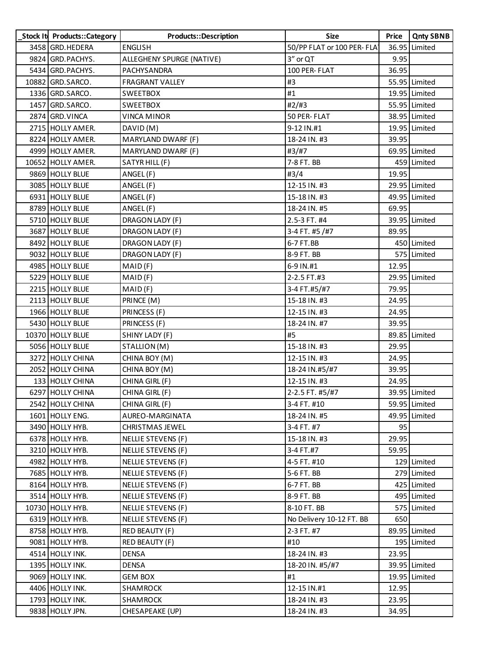| Stock It Products::Category | Products::Description     | <b>Size</b>                 | Price | <b>Qnty SBNB</b> |
|-----------------------------|---------------------------|-----------------------------|-------|------------------|
| 3458 GRD. HEDERA            | <b>ENGLISH</b>            | 50/PP FLAT or 100 PER- FLAT |       | 36.95 Limited    |
| 9824 GRD. PACHYS.           | ALLEGHENY SPURGE (NATIVE) | 3" or QT                    | 9.95  |                  |
| 5434 GRD. PACHYS.           | PACHYSANDRA               | 100 PER- FLAT               | 36.95 |                  |
| 10882 GRD. SARCO.           | <b>FRAGRANT VALLEY</b>    | #3                          |       | 55.95 Limited    |
| 1336 GRD.SARCO.             | <b>SWEETBOX</b>           | #1                          |       | 19.95 Limited    |
| 1457 GRD.SARCO.             | <b>SWEETBOX</b>           | #2/#3                       |       | 55.95 Limited    |
| 2874 GRD. VINCA             | <b>VINCA MINOR</b>        | 50 PER-FLAT                 |       | 38.95 Limited    |
| 2715 HOLLY AMER.            | DAVID (M)                 | 9-12 IN.#1                  |       | 19.95 Limited    |
| 8224 HOLLY AMER.            | MARYLAND DWARF (F)        | 18-24 IN. #3                | 39.95 |                  |
| 4999 HOLLY AMER.            | MARYLAND DWARF (F)        | #3/#7                       |       | 69.95 Limited    |
| 10652 HOLLY AMER.           | SATYR HILL (F)            | 7-8 FT. BB                  |       | 459 Limited      |
| 9869 HOLLY BLUE             | ANGEL (F)                 | #3/4                        | 19.95 |                  |
| 3085 HOLLY BLUE             | ANGEL (F)                 | 12-15 IN. #3                |       | 29.95 Limited    |
| 6931 HOLLY BLUE             | ANGEL (F)                 | 15-18 IN. #3                |       | 49.95 Limited    |
| 8789 HOLLY BLUE             | ANGEL (F)                 | 18-24 IN. #5                | 69.95 |                  |
| 5710 HOLLY BLUE             | DRAGON LADY (F)           | 2.5-3 FT. #4                |       | 39.95 Limited    |
| 3687 HOLLY BLUE             | DRAGON LADY (F)           | 3-4 FT. #5 /#7              | 89.95 |                  |
| 8492 HOLLY BLUE             | DRAGON LADY (F)           | 6-7 FT.BB                   |       | 450 Limited      |
| 9032 HOLLY BLUE             | DRAGON LADY (F)           | 8-9 FT. BB                  |       | 575 Limited      |
| 4985 HOLLY BLUE             | MAID(F)                   | 6-9 IN.#1                   | 12.95 |                  |
| 5229 HOLLY BLUE             | MAID(F)                   | 2-2.5 FT.#3                 |       | 29.95 Limited    |
| 2215 HOLLY BLUE             | MAID(F)                   | 3-4 FT.#5/#7                | 79.95 |                  |
| 2113 HOLLY BLUE             | PRINCE (M)                | 15-18 IN. #3                | 24.95 |                  |
| 1966 HOLLY BLUE             | PRINCESS (F)              | 12-15 IN. #3                | 24.95 |                  |
| 5430 HOLLY BLUE             | PRINCESS (F)              | 18-24 IN. #7                | 39.95 |                  |
| 10370 HOLLY BLUE            | SHINY LADY (F)            | #5                          |       | 89.85 Limited    |
| 5056 HOLLY BLUE             | STALLION (M)              | 15-18 IN. #3                | 29.95 |                  |
| 3272 HOLLY CHINA            | CHINA BOY (M)             | 12-15 IN. #3                | 24.95 |                  |
| 2052 HOLLY CHINA            | CHINA BOY (M)             | 18-24 IN.#5/#7              | 39.95 |                  |
| 133 HOLLY CHINA             | CHINA GIRL (F)            | 12-15 IN. #3                | 24.95 |                  |
| 6297 HOLLY CHINA            | CHINA GIRL (F)            | 2-2.5 FT. #5/#7             |       | 39.95 Limited    |
| 2542 HOLLY CHINA            | CHINA GIRL (F)            | 3-4 FT. #10                 |       | 59.95 Limited    |
| 1601 HOLLY ENG.             | AUREO-MARGINATA           | 18-24 IN. #5                |       | 49.95 Limited    |
| 3490 HOLLY HYB.             | <b>CHRISTMAS JEWEL</b>    | 3-4 FT. #7                  | 95    |                  |
| 6378 HOLLY HYB.             | <b>NELLIE STEVENS (F)</b> | 15-18 IN. #3                | 29.95 |                  |
| 3210 HOLLY HYB.             | NELLIE STEVENS (F)        | 3-4 FT.#7                   | 59.95 |                  |
| 4982 HOLLY HYB.             | <b>NELLIE STEVENS (F)</b> | 4-5 FT. #10                 |       | 129 Limited      |
| 7685 HOLLY HYB.             | NELLIE STEVENS (F)        | 5-6 FT. BB                  |       | 279 Limited      |
| 8164 HOLLY HYB.             | NELLIE STEVENS (F)        | 6-7 FT. BB                  |       | 425 Limited      |
| 3514 HOLLY HYB.             | <b>NELLIE STEVENS (F)</b> | 8-9 FT. BB                  |       | 495 Limited      |
| 10730 HOLLY HYB.            | NELLIE STEVENS (F)        | 8-10 FT. BB                 |       | 575 Limited      |
| 6319 HOLLY HYB.             | NELLIE STEVENS (F)        | No Delivery 10-12 FT. BB    | 650   |                  |
| 8758 HOLLY HYB.             | RED BEAUTY (F)            | 2-3 FT. #7                  |       | 89.95 Limited    |
| 9081 HOLLY HYB.             | RED BEAUTY (F)            | #10                         |       | 195 Limited      |
| 4514 HOLLY INK.             | DENSA                     | 18-24 IN. #3                | 23.95 |                  |
| 1395 HOLLY INK.             | DENSA                     | 18-20 IN. #5/#7             |       | 39.95 Limited    |
| 9069 HOLLY INK.             | <b>GEM BOX</b>            | #1                          |       | 19.95 Limited    |
| 4406 HOLLY INK.             | SHAMROCK                  | 12-15 IN.#1                 | 12.95 |                  |
| 1793 HOLLY INK.             | SHAMROCK                  | 18-24 IN. #3                | 23.95 |                  |
| 9838 HOLLY JPN.             | CHESAPEAKE (UP)           | 18-24 IN. #3                | 34.95 |                  |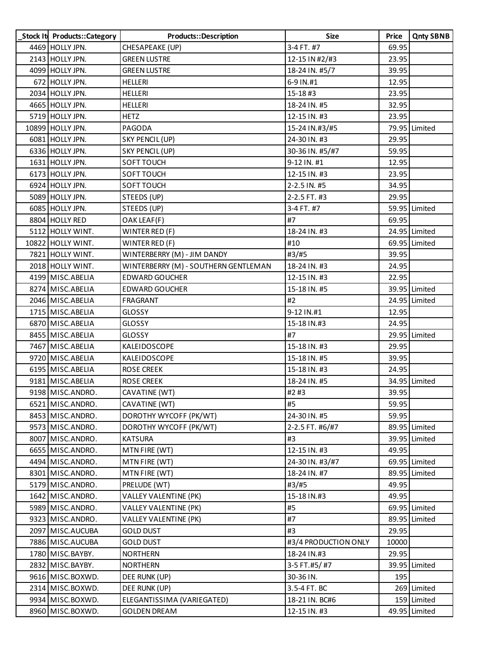| Stock It Products::Category | Products::Description                | <b>Size</b>          | <b>Price</b> | <b>Qnty SBNB</b> |
|-----------------------------|--------------------------------------|----------------------|--------------|------------------|
| 4469 HOLLY JPN.             | CHESAPEAKE (UP)                      | 3-4 FT. #7           | 69.95        |                  |
| 2143 HOLLY JPN.             | <b>GREEN LUSTRE</b>                  | 12-15 IN #2/#3       | 23.95        |                  |
| 4099 HOLLY JPN.             | <b>GREEN LUSTRE</b>                  | 18-24 IN. #5/7       | 39.95        |                  |
| 672 HOLLY JPN.              | <b>HELLERI</b>                       | 6-9 IN.#1            | 12.95        |                  |
| 2034 HOLLY JPN.             | <b>HELLERI</b>                       | 15-18#3              | 23.95        |                  |
| 4665 HOLLY JPN.             | HELLERI                              | 18-24 IN. #5         | 32.95        |                  |
| 5719 HOLLY JPN.             | <b>HETZ</b>                          | 12-15 IN. #3         | 23.95        |                  |
| 10899 HOLLY JPN.            | PAGODA                               | 15-24 IN.#3/#5       |              | 79.95 Limited    |
| 6081 HOLLY JPN.             | SKY PENCIL (UP)                      | 24-30 IN. #3         | 29.95        |                  |
| 6336 HOLLY JPN.             | SKY PENCIL (UP)                      | 30-36 IN. #5/#7      | 59.95        |                  |
| 1631 HOLLY JPN.             | SOFT TOUCH                           | 9-12 IN. #1          | 12.95        |                  |
| 6173 HOLLY JPN.             | SOFT TOUCH                           | 12-15 IN. #3         | 23.95        |                  |
| 6924 HOLLY JPN.             | SOFT TOUCH                           | 2-2.5 IN. #5         | 34.95        |                  |
| 5089 HOLLY JPN.             | STEEDS (UP)                          | 2-2.5 FT. #3         | 29.95        |                  |
| 6085 HOLLY JPN.             | STEEDS (UP)                          | 3-4 FT. #7           |              | 59.95 Limited    |
| 8804 HOLLY RED              | OAK LEAF(F)                          | #7                   | 69.95        |                  |
| 5112 HOLLY WINT.            | WINTER RED (F)                       | 18-24 IN. #3         |              | 24.95 Limited    |
| 10822 HOLLY WINT.           | WINTER RED (F)                       | #10                  |              | 69.95 Limited    |
| 7821 HOLLY WINT.            | WINTERBERRY (M) - JIM DANDY          | #3/#5                | 39.95        |                  |
| 2018 HOLLY WINT.            | WINTERBERRY (M) - SOUTHERN GENTLEMAN | 18-24 IN. #3         | 24.95        |                  |
| 4199 MISC.ABELIA            | <b>EDWARD GOUCHER</b>                | 12-15 IN. #3         | 22.95        |                  |
| 8274 MISC.ABELIA            | <b>EDWARD GOUCHER</b>                | 15-18 IN. #5         |              | 39.95 Limited    |
| 2046 MISC.ABELIA            | FRAGRANT                             | #2                   |              | 24.95 Limited    |
| 1715 MISC.ABELIA            | <b>GLOSSY</b>                        | 9-12 IN.#1           | 12.95        |                  |
| 6870 MISC.ABELIA            | <b>GLOSSY</b>                        | 15-18 IN.#3          | 24.95        |                  |
| 8455 MISC.ABELIA            | <b>GLOSSY</b>                        | #7                   |              | 29.95 Limited    |
| 7467 MISC.ABELIA            | KALEIDOSCOPE                         | 15-18 IN. #3         | 29.95        |                  |
| 9720 MISC.ABELIA            | KALEIDOSCOPE                         | 15-18 IN. #5         | 39.95        |                  |
| 6195 MISC.ABELIA            | <b>ROSE CREEK</b>                    | 15-18 IN. #3         | 24.95        |                  |
| 9181 MISC.ABELIA            | <b>ROSE CREEK</b>                    | 18-24 IN. #5         |              | 34.95 Limited    |
| 9198 MISC.ANDRO.            | CAVATINE (WT)                        | #2#3                 | 39.95        |                  |
| 6521 MISC.ANDRO.            | CAVATINE (WT)                        | #5                   | 59.95        |                  |
| 8453 MISC.ANDRO.            | DOROTHY WYCOFF (PK/WT)               | 24-30 IN. #5         | 59.95        |                  |
| 9573 MISC.ANDRO.            | DOROTHY WYCOFF (PK/WT)               | 2-2.5 FT. #6/#7      |              | 89.95 Limited    |
| 8007 MISC.ANDRO.            | <b>KATSURA</b>                       | #3                   |              | 39.95 Limited    |
| 6655 MISC.ANDRO.            | MTN FIRE (WT)                        | 12-15 IN. #3         | 49.95        |                  |
| 4494 MISC.ANDRO.            | MTN FIRE (WT)                        | 24-30 IN. #3/#7      |              | 69.95 Limited    |
| 8301 MISC.ANDRO.            | MTN FIRE (WT)                        | 18-24 IN. #7         |              | 89.95 Limited    |
| 5179 MISC.ANDRO.            | PRELUDE (WT)                         | #3/#5                | 49.95        |                  |
| 1642 MISC.ANDRO.            | <b>VALLEY VALENTINE (PK)</b>         | 15-18 IN.#3          | 49.95        |                  |
| 5989 MISC.ANDRO.            | <b>VALLEY VALENTINE (PK)</b>         | #5                   |              | 69.95 Limited    |
| 9323 MISC.ANDRO.            | VALLEY VALENTINE (PK)                | #7                   |              | 89.95 Limited    |
| 2097 MISC.AUCUBA            | <b>GOLD DUST</b>                     | #3                   | 29.95        |                  |
| 7886 MISC.AUCUBA            | <b>GOLD DUST</b>                     | #3/4 PRODUCTION ONLY | 10000        |                  |
| 1780 MISC. BAYBY.           | <b>NORTHERN</b>                      | 18-24 IN.#3          | 29.95        |                  |
| 2832 MISC.BAYBY.            | <b>NORTHERN</b>                      | 3-5 FT.#5/ #7        |              | 39.95 Limited    |
| 9616 MISC.BOXWD.            | DEE RUNK (UP)                        | 30-36 IN.            | 195          |                  |
| 2314 MISC.BOXWD.            | DEE RUNK (UP)                        | 3.5-4 FT. BC         |              | 269 Limited      |
| 9934 MISC.BOXWD.            | ELEGANTISSIMA (VARIEGATED)           | 18-21 IN. BC#6       |              | 159 Limited      |
| 8960 MISC.BOXWD.            | <b>GOLDEN DREAM</b>                  | 12-15 IN. #3         |              | 49.95 Limited    |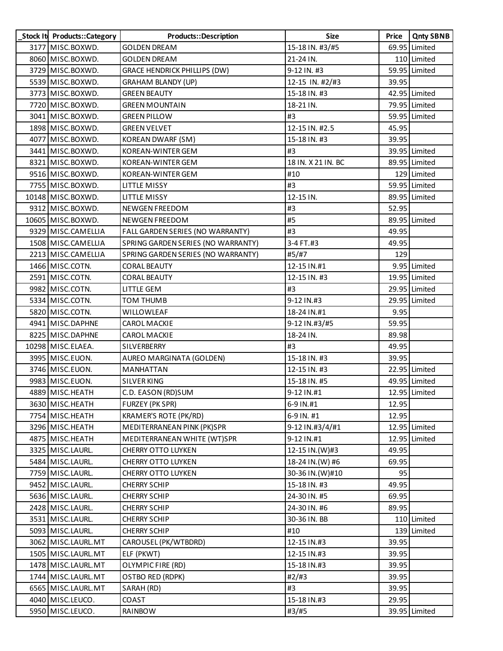| Stock It Products:: Category | <b>Products::Description</b>        | Size               | Price | <b>Qnty SBNB</b> |
|------------------------------|-------------------------------------|--------------------|-------|------------------|
| 3177 MISC.BOXWD.             | <b>GOLDEN DREAM</b>                 | 15-18 IN. #3/#5    |       | 69.95 Limited    |
| 8060 MISC BOXWD.             | <b>GOLDEN DREAM</b>                 | 21-24 IN.          |       | 110 Limited      |
| 3729 MISC BOXWD.             | <b>GRACE HENDRICK PHILLIPS (DW)</b> | 9-12 IN. #3        |       | 59.95 Limited    |
| 5539 MISC BOXWD.             | <b>GRAHAM BLANDY (UP)</b>           | 12-15 IN. #2/#3    | 39.95 |                  |
| 3773 MISC BOXWD.             | <b>GREEN BEAUTY</b>                 | 15-18 IN. #3       |       | 42.95 Limited    |
| 7720 MISC BOXWD.             | <b>GREEN MOUNTAIN</b>               | 18-21 IN.          |       | 79.95 Limited    |
| 3041 MISC.BOXWD.             | <b>GREEN PILLOW</b>                 | #3                 |       | 59.95 Limited    |
| 1898 MISC.BOXWD.             | <b>GREEN VELVET</b>                 | 12-15 IN. #2.5     | 45.95 |                  |
| 4077 MISC.BOXWD.             | <b>KOREAN DWARF (SM)</b>            | 15-18 IN. #3       | 39.95 |                  |
| 3441 MISC.BOXWD.             | KOREAN-WINTER GEM                   | #3                 |       | 39.95 Limited    |
| 8321 MISC.BOXWD.             | KOREAN-WINTER GEM                   | 18 IN. X 21 IN. BC |       | 89.95 Limited    |
| 9516 MISC BOXWD.             | KOREAN-WINTER GEM                   | #10                |       | 129 Limited      |
| 7755 MISC.BOXWD.             | LITTLE MISSY                        | #3                 |       | 59.95 Limited    |
| 10148 MISC.BOXWD.            | LITTLE MISSY                        | 12-15 IN.          |       | 89.95 Limited    |
| 9312 MISC.BOXWD.             | NEWGEN FREEDOM                      | #3                 | 52.95 |                  |
| 10605 MISC.BOXWD.            | NEWGEN FREEDOM                      | #5                 |       | 89.95 Limited    |
| 9329 MISC.CAMELLIA           | FALL GARDEN SERIES (NO WARRANTY)    | #3                 | 49.95 |                  |
| 1508 MISC.CAMELLIA           | SPRING GARDEN SERIES (NO WARRANTY)  | 3-4 FT.#3          | 49.95 |                  |
| 2213 MISC.CAMELLIA           | SPRING GARDEN SERIES (NO WARRANTY)  | #5/#7              | 129   |                  |
| 1466 MISC.COTN.              | <b>CORAL BEAUTY</b>                 | 12-15 IN.#1        |       | 9.95 Limited     |
| 2591 MISC.COTN.              | <b>CORAL BEAUTY</b>                 | 12-15 IN. #3       |       | 19.95 Limited    |
| 9982 MISC.COTN.              | LITTLE GEM                          | #3                 |       | 29.95 Limited    |
| 5334 MISC.COTN.              | <b>TOM THUMB</b>                    | 9-12 IN.#3         |       | 29.95 Limited    |
| 5820 MISC.COTN.              | WILLOWLEAF                          | 18-24 IN.#1        | 9.95  |                  |
| 4941 MISC.DAPHNE             | <b>CAROL MACKIE</b>                 | 9-12 IN.#3/#5      | 59.95 |                  |
| 8225 MISC.DAPHNE             | <b>CAROL MACKIE</b>                 | 18-24 IN.          | 89.98 |                  |
| 10298 MISC. ELAEA.           | SILVERBERRY                         | #3                 | 49.95 |                  |
| 3995 MISC. EUON.             | AUREO MARGINATA (GOLDEN)            | 15-18 IN. #3       | 39.95 |                  |
| 3746 MISC. EUON.             | <b>MANHATTAN</b>                    | 12-15 IN. #3       |       | 22.95 Limited    |
| 9983 MISC.EUON.              | SILVER KING                         | 15-18 IN. #5       |       | 49.95 Limited    |
| 4889 MISC.HEATH              | C.D. EASON (RD)SUM                  | 9-12 IN.#1         |       | 12.95 Limited    |
| 3630 MISC.HEATH              | FURZEY (PK SPR)                     | 6-9 IN.#1          | 12.95 |                  |
| 7754 MISC.HEATH              | KRAMER'S ROTE (PK/RD)               | 6-9 IN. #1         | 12.95 |                  |
| 3296 MISC.HEATH              | MEDITERRANEAN PINK (PK)SPR          | 9-12 IN.#3/4/#1    |       | 12.95 Limited    |
| 4875 MISC.HEATH              | MEDITERRANEAN WHITE (WT)SPR         | 9-12 IN.#1         |       | 12.95 Limited    |
| 3325 MISC.LAURL.             | <b>CHERRY OTTO LUYKEN</b>           | 12-15 IN.(W)#3     | 49.95 |                  |
| 5484 MISC.LAURL.             | CHERRY OTTO LUYKEN                  | 18-24 IN. (W) #6   | 69.95 |                  |
| 7759 MISC.LAURL.             | <b>CHERRY OTTO LUYKEN</b>           | 30-36 IN. (W)#10   | 95    |                  |
| 9452 MISC.LAURL.             | <b>CHERRY SCHIP</b>                 | 15-18 IN. #3       | 49.95 |                  |
| 5636 MISC.LAURL.             | <b>CHERRY SCHIP</b>                 | 24-30 IN. #5       | 69.95 |                  |
| 2428 MISC.LAURL.             | <b>CHERRY SCHIP</b>                 | 24-30 IN. #6       | 89.95 |                  |
| 3531 MISC.LAURL.             | <b>CHERRY SCHIP</b>                 | 30-36 IN. BB       |       | 110 Limited      |
| 5093 MISC.LAURL.             | <b>CHERRY SCHIP</b>                 | #10                |       | 139 Limited      |
| 3062 MISC. LAURL. MT         | CAROUSEL (PK/WTBDRD)                | 12-15 IN.#3        | 39.95 |                  |
| 1505 MISC. LAURL. MT         | ELF (PKWT)                          | 12-15 IN.#3        | 39.95 |                  |
| 1478 MISC. LAURL. MT         | OLYMPIC FIRE (RD)                   | 15-18 IN.#3        | 39.95 |                  |
| 1744 MISC. LAURL. MT         | OSTBO RED (RDPK)                    | #2/#3              | 39.95 |                  |
| 6565 MISC.LAURL.MT           | SARAH (RD)                          | #3                 | 39.95 |                  |
| 4040 MISC.LEUCO.             | COAST                               | 15-18 IN.#3        | 29.95 |                  |
| 5950 MISC.LEUCO.             | RAINBOW                             | #3/#5              |       | 39.95 Limited    |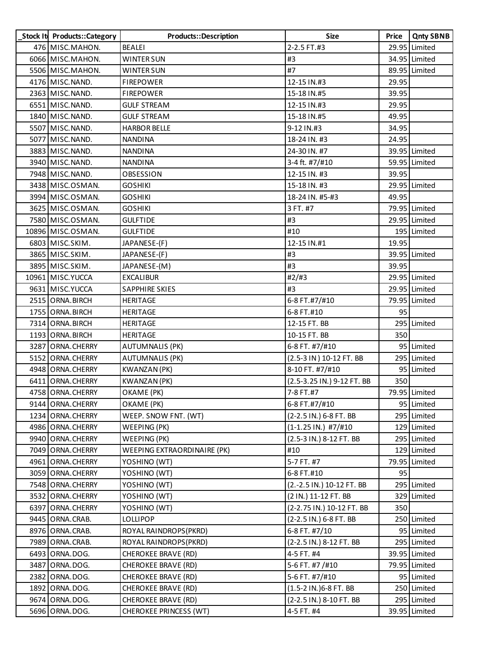| Stock It Products:: Category | Products::Description         | Size                          | Price | <b>Qnty SBNB</b> |
|------------------------------|-------------------------------|-------------------------------|-------|------------------|
| 476 MISC.MAHON.              | <b>BEALEI</b>                 | 2-2.5 FT.#3                   |       | 29.95 Limited    |
| 6066 MISC.MAHON.             | <b>WINTER SUN</b>             | #3                            |       | 34.95 Limited    |
| 5506 MISC.MAHON.             | WINTER SUN                    | #7                            |       | 89.95 Limited    |
| 4176 MISC. NAND.             | <b>FIREPOWER</b>              | 12-15 IN.#3                   | 29.95 |                  |
| 2363 MISC. NAND.             | <b>FIREPOWER</b>              | 15-18 IN.#5                   | 39.95 |                  |
| 6551 MISC NAND.              | <b>GULF STREAM</b>            | 12-15 IN.#3                   | 29.95 |                  |
| 1840 MISC. NAND.             | <b>GULF STREAM</b>            | 15-18 IN.#5                   | 49.95 |                  |
| 5507 MISC. NAND.             | <b>HARBOR BELLE</b>           | 9-12 IN.#3                    | 34.95 |                  |
| 5077 MISC. NAND.             | <b>NANDINA</b>                | 18-24 IN. #3                  | 24.95 |                  |
| 3883 MISC. NAND.             | <b>NANDINA</b>                | 24-30 IN. #7                  |       | 39.95 Limited    |
| 3940 MISC. NAND.             | <b>NANDINA</b>                | 3-4 ft. #7/#10                |       | 59.95 Limited    |
| 7948 MISC NAND.              | OBSESSION                     | 12-15 IN. #3                  | 39.95 |                  |
| 3438 MISC.OSMAN.             | <b>GOSHIKI</b>                | 15-18 IN. #3                  |       | 29.95 Limited    |
| 3994 MISC.OSMAN.             | <b>GOSHIKI</b>                | 18-24 IN. #5-#3               | 49.95 |                  |
| 3625 MISC.OSMAN.             | <b>GOSHIKI</b>                | 3 FT. #7                      |       | 79.95 Limited    |
| 7580 MISC.OSMAN.             | <b>GULFTIDE</b>               | #3                            |       | 29.95 Limited    |
| 10896 MISC.OSMAN.            | <b>GULFTIDE</b>               | #10                           |       | 195 Limited      |
| 6803 MISC.SKIM.              | JAPANESE-(F)                  | 12-15 IN.#1                   | 19.95 |                  |
| 3865 MISC.SKIM.              | JAPANESE-(F)                  | #3                            |       | 39.95 Limited    |
| 3895 MISC.SKIM.              | JAPANESE-(M)                  | #3                            | 39.95 |                  |
| 10961 MISC. YUCCA            | <b>EXCALIBUR</b>              | #2#3                          |       | 29.95 Limited    |
| 9631 MISC. YUCCA             | <b>SAPPHIRE SKIES</b>         | #3                            |       | 29.95 Limited    |
| 2515 ORNA. BIRCH             | HERITAGE                      | 6-8 FT.#7/#10                 |       | 79.95 Limited    |
| 1755 ORNA. BIRCH             | <b>HERITAGE</b>               | 6-8 FT.#10                    | 95    |                  |
| 7314 ORNA. BIRCH             | HERITAGE                      | 12-15 FT. BB                  |       | 295 Limited      |
| 1193 ORNA. BIRCH             | <b>HERITAGE</b>               | 10-15 FT. BB                  | 350   |                  |
| 3287 ORNA.CHERRY             | <b>AUTUMNALIS (PK)</b>        | 6-8 FT. #7/#10                |       | 95 Limited       |
| 5152 ORNA.CHERRY             | <b>AUTUMNALIS (PK)</b>        | (2.5-3 IN) 10-12 FT. BB       |       | 295 Limited      |
| 4948 ORNA.CHERRY             | <b>KWANZAN (PK)</b>           | 8-10 FT. #7/#10               |       | 95 Limited       |
| 6411 ORNA.CHERRY             | <b>KWANZAN (PK)</b>           | (2.5-3.25 IN.) 9-12 FT. BB    | 350   |                  |
| 4758 ORNA.CHERRY             | OKAME (PK)                    | 7-8 FT.#7                     |       | 79.95 Limited    |
| 9144 ORNA.CHERRY             | OKAME (PK)                    | 6-8 FT.#7/#10                 |       | 95 Limited       |
| 1234 ORNA.CHERRY             | WEEP. SNOW FNT. (WT)          | (2-2.5 IN.) 6-8 FT. BB        |       | 295 Limited      |
| 4986 ORNA.CHERRY             | WEEPING (PK)                  | $(1-1.25 \text{ IN.})$ #7/#10 |       | 129 Limited      |
| 9940 ORNA. CHERRY            | WEEPING (PK)                  | (2.5-3 IN.) 8-12 FT. BB       |       | 295 Limited      |
| 7049 ORNA.CHERRY             | WEEPING EXTRAORDINAIRE (PK)   | #10                           |       | 129 Limited      |
| 4961 ORNA.CHERRY             | YOSHINO (WT)                  | 5-7 FT. #7                    |       | 79.95 Limited    |
| 3059 ORNA.CHERRY             | YOSHINO (WT)                  | 6-8 FT.#10                    | 95    |                  |
| 7548 ORNA.CHERRY             | YOSHINO (WT)                  | (2.-2.5 IN.) 10-12 FT. BB     |       | 295 Limited      |
| 3532 ORNA.CHERRY             | YOSHINO (WT)                  | (2 IN.) 11-12 FT. BB          |       | 329 Limited      |
| 6397 ORNA. CHERRY            | YOSHINO (WT)                  | (2-2.75 IN.) 10-12 FT. BB     | 350   |                  |
| 9445 ORNA.CRAB.              | <b>LOLLIPOP</b>               | (2-2.5 IN.) 6-8 FT. BB        |       | 250 Limited      |
| 8976 ORNA.CRAB.              | ROYAL RAINDROPS(PKRD)         | 6-8 FT. #7/10                 |       | 95 Limited       |
| 7989 ORNA.CRAB.              | ROYAL RAINDROPS (PKRD)        | (2-2.5 IN.) 8-12 FT. BB       |       | 295 Limited      |
| 6493 ORNA.DOG.               | CHEROKEE BRAVE (RD)           | 4-5 FT. #4                    |       | 39.95 Limited    |
| 3487 ORNA.DOG.               | CHEROKEE BRAVE (RD)           | 5-6 FT. #7 $/$ #10            |       | 79.95 Limited    |
| 2382 ORNA.DOG.               | <b>CHEROKEE BRAVE (RD)</b>    | 5-6 FT. #7/#10                |       | 95 Limited       |
| 1892 ORNA.DOG.               | <b>CHEROKEE BRAVE (RD)</b>    | $(1.5-2 IN.)6-8 FT. BB$       |       | 250 Limited      |
| 9674 ORNA.DOG.               | CHEROKEE BRAVE (RD)           | (2-2.5 IN.) 8-10 FT. BB       |       | 295 Limited      |
| 5696 ORNA.DOG.               | <b>CHEROKEE PRINCESS (WT)</b> | 4-5 FT. #4                    |       | 39.95 Limited    |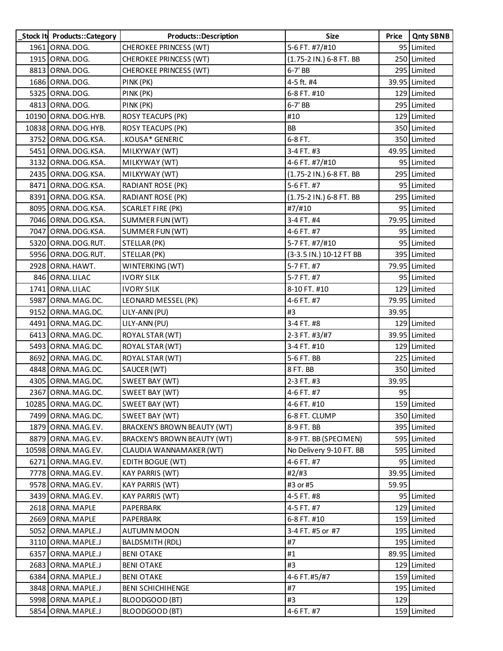| Stock It Products:: Category | Products::Description              | <b>Size</b>             | Price | <b>Qnty SBNB</b> |
|------------------------------|------------------------------------|-------------------------|-------|------------------|
| 1961 ORNA.DOG.               | <b>CHEROKEE PRINCESS (WT)</b>      | 5-6 FT. #7/#10          |       | 95 Limited       |
| 1915 ORNA.DOG.               | CHEROKEE PRINCESS (WT)             | (1.75-2 IN.) 6-8 FT. BB |       | 250 Limited      |
| 8813 ORNA.DOG.               | CHEROKEE PRINCESS (WT)             | 6-7' BB                 |       | 295 Limited      |
| 1686 ORNA.DOG.               | PINK (PK)                          | 4-5 ft. #4              |       | 39.95 Limited    |
| 5325 ORNA.DOG.               | PINK (PK)                          | 6-8 FT. #10             |       | 129 Limited      |
| 4813 ORNA.DOG.               | PINK (PK)                          | 6-7' BB                 |       | 295 Limited      |
| 10190 ORNA.DOG.HYB.          | <b>ROSY TEACUPS (PK)</b>           | #10                     |       | 129 Limited      |
| 10838 ORNA.DOG.HYB.          | <b>ROSY TEACUPS (PK)</b>           | <b>BB</b>               |       | 350 Limited      |
| 3752 ORNA.DOG.KSA.           | .KOUSA* GENERIC                    | 6-8 FT.                 |       | 350 Limited      |
| 5451 ORNA.DOG.KSA.           | MILKYWAY (WT)                      | 3-4 FT. #3              |       | 49.95 Limited    |
| 3132 ORNA.DOG.KSA.           | MILKYWAY (WT)                      | 4-6 FT. #7/#10          |       | 95 Limited       |
| 2435 ORNA.DOG.KSA.           | MILKYWAY (WT)                      | (1.75-2 IN.) 6-8 FT. BB |       | 295 Limited      |
| 8471 ORNA.DOG.KSA.           | RADIANT ROSE (PK)                  | 5-6 FT. #7              |       | 95 Limited       |
| 8391 ORNA.DOG.KSA.           | <b>RADIANT ROSE (PK)</b>           | (1.75-2 IN.) 6-8 FT. BB |       | 295 Limited      |
| 8095 ORNA.DOG.KSA.           | <b>SCARLET FIRE (PK)</b>           | #7/#10                  |       | 95 Limited       |
| 7046 ORNA.DOG.KSA.           | SUMMER FUN (WT)                    | 3-4 FT. #4              |       | 79.95 Limited    |
| 7047 ORNA.DOG.KSA.           | SUMMER FUN (WT)                    | 4-6 FT. #7              |       | 95 Limited       |
| 5320 ORNA.DOG.RUT.           | STELLAR (PK)                       | 5-7 FT. #7/#10          |       | 95 Limited       |
| 5956 ORNA.DOG.RUT.           | STELLAR (PK)                       | (3-3.5 IN.) 10-12 FT BB |       | 395 Limited      |
| 2928 ORNA.HAWT.              | WINTERKING (WT)                    | 5-7 FT. #7              |       | 79.95 Limited    |
| 846 ORNA.LILAC               | <b>IVORY SILK</b>                  | 5-7 FT. #7              |       | 95 Limited       |
| 1741 ORNA.LILAC              | <b>IVORY SILK</b>                  | 8-10 FT. #10            |       | 129 Limited      |
| 5987 ORNA.MAG.DC.            | LEONARD MESSEL (PK)                | 4-6 FT. #7              |       | 79.95 Limited    |
| 9152 ORNA. MAG. DC.          | LILY-ANN (PU)                      | #3                      | 39.95 |                  |
| 4491 ORNA.MAG.DC.            | LILY-ANN (PU)                      | 3-4 FT. #8              |       | 129 Limited      |
| 6413 ORNA.MAG.DC.            | ROYAL STAR (WT)                    | 2-3 FT. #3/#7           |       | 39.95 Limited    |
| 5493 ORNA.MAG.DC.            | ROYAL STAR (WT)                    | 3-4 FT. #10             |       | 129 Limited      |
| 8692 ORNA.MAG.DC.            | ROYAL STAR (WT)                    | 5-6 FT. BB              |       | 225 Limited      |
| 4848 ORNA.MAG.DC.            | SAUCER (WT)                        | 8 FT. BB                |       | 350 Limited      |
| 4305 ORNA.MAG.DC.            | SWEET BAY (WT)                     | 2-3 FT. #3              | 39.95 |                  |
| 2367 ORNA.MAG.DC.            | SWEET BAY (WT)                     | 4-6 FT. #7              | 95    |                  |
| 10285 ORNA. MAG. DC.         | SWEET BAY (WT)                     | 4-6 FT. #10             |       | 159 Limited      |
| 7499 ORNA.MAG.DC.            | SWEET BAY (WT)                     | 6-8 FT. CLUMP           |       | 350 Limited      |
| 1879 ORNA.MAG.EV.            | <b>BRACKEN'S BROWN BEAUTY (WT)</b> | 8-9 FT. BB              |       | 395 Limited      |
| 8879 ORNA.MAG.EV.            | BRACKEN'S BROWN BEAUTY (WT)        | 8-9 FT. BB (SPECIMEN)   |       | 595 Limited      |
| 10598 ORNA.MAG.EV.           | CLAUDIA WANNAMAKER (WT)            | No Delivery 9-10 FT. BB |       | 595 Limited      |
| 6271 ORNA.MAG.EV.            | EDITH BOGUE (WT)                   | 4-6 FT. #7              |       | 95 Limited       |
| 7778 ORNA. MAG. EV.          | <b>KAY PARRIS (WT)</b>             | #2/#3                   |       | 39.95 Limited    |
| 9578 ORNA.MAG.EV.            | KAY PARRIS (WT)                    | #3 or #5                | 59.95 |                  |
| 3439 ORNA.MAG.EV.            | <b>KAY PARRIS (WT)</b>             | 4-5 FT. #8              |       | 95 Limited       |
| 2618 ORNA. MAPLE             | PAPERBARK                          | 4-5 FT. #7              |       | 129 Limited      |
| 2669 ORNA.MAPLE              | PAPERBARK                          | 6-8 FT. #10             |       | 159 Limited      |
| 5052 ORNA.MAPLE.J            | AUTUMN MOON                        | 3-4 FT. #5 or #7        |       | 195 Limited      |
| 3110 ORNA. MAPLE.J           | BALDSMITH (RDL)                    | #7                      |       | 195 Limited      |
| 6357 ORNA.MAPLE.J            | <b>BENI OTAKE</b>                  | #1                      |       | 89.95 Limited    |
| 2683 ORNA.MAPLE.J            | <b>BENI OTAKE</b>                  | #3                      |       | 129 Limited      |
| 6384 ORNA.MAPLE.J            | <b>BENI OTAKE</b>                  | 4-6 FT.#5/#7            |       | 159 Limited      |
| 3848 ORNA. MAPLE.J           | <b>BENI SCHICHIHENGE</b>           | #7                      |       | 195 Limited      |
| 5998 ORNA. MAPLE.J           | BLOODGOOD (BT)                     | #3                      | 129   |                  |
| 5854 ORNA. MAPLE.J           | BLOODGOOD (BT)                     | 4-6 FT. #7              |       | 159 Limited      |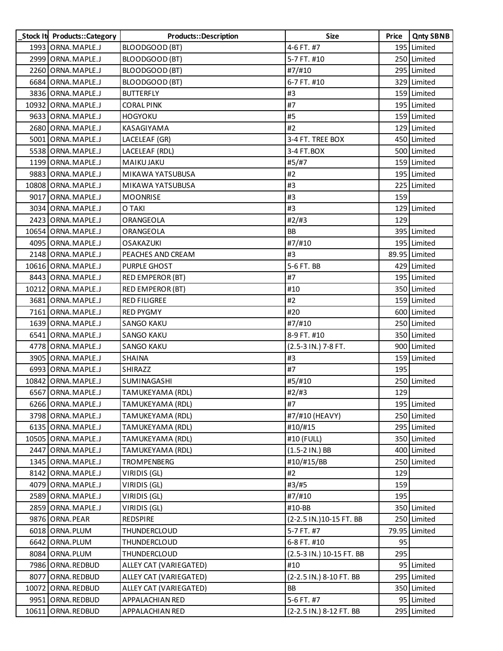| Stock It Products:: Category | <b>Products::Description</b> | <b>Size</b>              | Price | <b>Qnty SBNB</b> |
|------------------------------|------------------------------|--------------------------|-------|------------------|
| 1993 ORNA. MAPLE.J           | BLOODGOOD (BT)               | 4-6 FT. #7               |       | 195 Limited      |
| 2999 ORNA.MAPLE.J            | BLOODGOOD (BT)               | 5-7 FT. #10              |       | 250 Limited      |
| 2260 ORNA.MAPLE.J            | BLOODGOOD (BT)               | #7/#10                   |       | 295 Limited      |
| 6684 ORNA.MAPLE.J            | BLOODGOOD (BT)               | 6-7 FT. #10              |       | 329 Limited      |
| 3836 ORNA.MAPLE.J            | <b>BUTTERFLY</b>             | #3                       |       | 159 Limited      |
| 10932 ORNA.MAPLE.J           | CORAL PINK                   | #7                       |       | 195 Limited      |
| 9633 ORNA.MAPLE.J            | <b>HOGYOKU</b>               | #5                       |       | 159 Limited      |
| 2680 ORNA.MAPLE.J            | KASAGIYAMA                   | #2                       |       | 129 Limited      |
| 5001 ORNA.MAPLE.J            | LACELEAF (GR)                | 3-4 FT. TREE BOX         |       | 450 Limited      |
| 5538 ORNA.MAPLE.J            | LACELEAF (RDL)               | 3-4 FT.BOX               |       | 500 Limited      |
| 1199 ORNA. MAPLE.J           | <b>MAIKU JAKU</b>            | #5/#7                    |       | 159 Limited      |
| 9883 ORNA.MAPLE.J            | MIKAWA YATSUBUSA             | #2                       |       | 195 Limited      |
| 10808 ORNA.MAPLE.J           | MIKAWA YATSUBUSA             | #3                       |       | 225 Limited      |
| 9017 ORNA.MAPLE.J            | <b>MOONRISE</b>              | #3                       | 159   |                  |
| 3034 ORNA.MAPLE.J            | O TAKI                       | #3                       |       | 129 Limited      |
| 2423 ORNA.MAPLE.J            | ORANGEOLA                    | #2/#3                    | 129   |                  |
| 10654 ORNA.MAPLE.J           | ORANGEOLA                    | <b>BB</b>                |       | 395 Limited      |
| 4095 ORNA.MAPLE.J            | <b>OSAKAZUKI</b>             | #7/#10                   |       | 195 Limited      |
| 2148 ORNA. MAPLE.J           | PEACHES AND CREAM            | #3                       |       | 89.95 Limited    |
| 10616 ORNA. MAPLE.J          | <b>PURPLE GHOST</b>          | 5-6 FT. BB               |       | 429 Limited      |
| 8443 ORNA.MAPLE.J            | RED EMPEROR (BT)             | #7                       |       | 195 Limited      |
| 10212 ORNA.MAPLE.J           | RED EMPEROR (BT)             | #10                      |       | 350 Limited      |
| 3681 ORNA.MAPLE.J            | <b>RED FILIGREE</b>          | #2                       |       | 159 Limited      |
| 7161 ORNA.MAPLE.J            | <b>RED PYGMY</b>             | #20                      |       | 600 Limited      |
| 1639 ORNA. MAPLE.J           | <b>SANGO KAKU</b>            | #7/#10                   |       | 250 Limited      |
| 6541 ORNA.MAPLE.J            | <b>SANGO KAKU</b>            | 8-9 FT. #10              |       | 350 Limited      |
| 4778 ORNA.MAPLE.J            | <b>SANGO KAKU</b>            | (2.5-3 IN.) 7-8 FT.      |       | 900 Limited      |
| 3905 ORNA.MAPLE.J            | <b>SHAINA</b>                | #3                       |       | 159 Limited      |
| 6993 ORNA.MAPLE.J            | SHIRAZZ                      | #7                       | 195   |                  |
| 10842 ORNA.MAPLE.J           | SUMINAGASHI                  | #5/#10                   |       | 250 Limited      |
| 6567 ORNA.MAPLE.J            | TAMUKEYAMA (RDL)             | #2/#3                    | 129   |                  |
| 6266 ORNA. MAPLE.J           | TAMUKEYAMA (RDL)             | #7                       |       | 195 Limited      |
| 3798 ORNA. MAPLE.J           | TAMUKEYAMA (RDL)             | #7/#10 (HEAVY)           |       | 250 Limited      |
| 6135 ORNA. MAPLE.J           | TAMUKEYAMA (RDL)             | #10/#15                  |       | 295 Limited      |
| 10505 ORNA.MAPLE.J           | TAMUKEYAMA (RDL)             | #10 (FULL)               |       | 350 Limited      |
| 2447 ORNA. MAPLE.J           | TAMUKEYAMA (RDL)             | (1.5-2 IN.) BB           |       | 400 Limited      |
| 1345 ORNA. MAPLE.J           | <b>TROMPENBERG</b>           | #10/#15/BB               |       | 250 Limited      |
| 8142 ORNA. MAPLE.J           | VIRIDIS (GL)                 | #2                       | 129   |                  |
| 4079 ORNA. MAPLE.J           | VIRIDIS (GL)                 | #3/#5                    | 159   |                  |
| 2589 ORNA.MAPLE.J            | VIRIDIS (GL)                 | #7/#10                   | 195   |                  |
| 2859 ORNA.MAPLE.J            | VIRIDIS (GL)                 | #10-BB                   |       | 350 Limited      |
| 9876 ORNA.PEAR               | REDSPIRE                     | (2-2.5 IN.) 10-15 FT. BB |       | 250 Limited      |
| 6018 ORNA.PLUM               | THUNDERCLOUD                 | 5-7 FT. #7               |       | 79.95 Limited    |
| 6642 ORNA.PLUM               | THUNDERCLOUD                 | 6-8 FT. #10              | 95    |                  |
| 8084 ORNA.PLUM               | THUNDERCLOUD                 | (2.5-3 IN.) 10-15 FT. BB | 295   |                  |
| 7986 ORNA.REDBUD             | ALLEY CAT (VARIEGATED)       | #10                      |       | 95 Limited       |
| 8077 ORNA.REDBUD             | ALLEY CAT (VARIEGATED)       | (2-2.5 IN.) 8-10 FT. BB  |       | 295 Limited      |
| 10072 ORNA.REDBUD            | ALLEY CAT (VARIEGATED)       | BB                       |       | 350 Limited      |
| 9951 ORNA.REDBUD             | APPALACHIAN RED              | 5-6 FT. #7               |       | 95 Limited       |
| 10611 ORNA.REDBUD            | APPALACHIAN RED              | (2-2.5 IN.) 8-12 FT. BB  |       | 295 Limited      |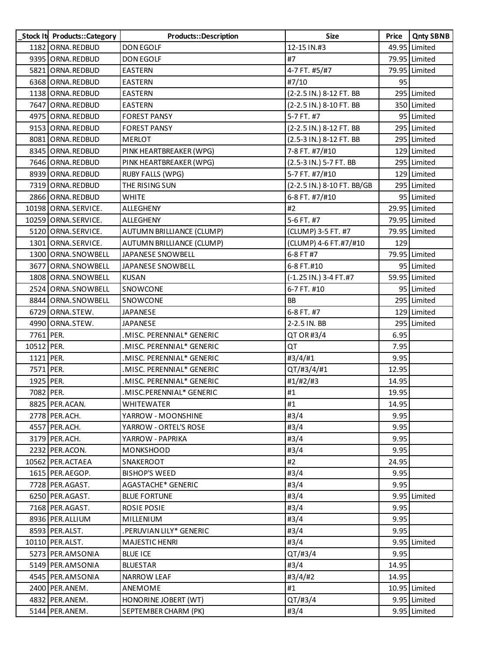|            | Stock It Products::Category | Products::Description     | <b>Size</b>                | Price | <b>Qnty SBNB</b> |
|------------|-----------------------------|---------------------------|----------------------------|-------|------------------|
|            | 1182 ORNA.REDBUD            | <b>DON EGOLF</b>          | 12-15 IN.#3                |       | 49.95 Limited    |
|            | 9395 ORNA.REDBUD            | <b>DON EGOLF</b>          | #7                         |       | 79.95 Limited    |
|            | 5821 ORNA.REDBUD            | <b>EASTERN</b>            | 4-7 FT. #5/#7              |       | 79.95 Limited    |
|            | 6368 ORNA.REDBUD            | <b>EASTERN</b>            | #7/10                      | 95    |                  |
|            | 1138 ORNA.REDBUD            | <b>EASTERN</b>            | (2-2.5 IN.) 8-12 FT. BB    |       | 295 Limited      |
|            | 7647 ORNA.REDBUD            | <b>EASTERN</b>            | (2-2.5 IN.) 8-10 FT. BB    |       | 350 Limited      |
|            | 4975 ORNA.REDBUD            | <b>FOREST PANSY</b>       | 5-7 FT. #7                 |       | 95 Limited       |
|            | 9153 ORNA.REDBUD            | <b>FOREST PANSY</b>       | (2-2.5 IN.) 8-12 FT. BB    |       | 295 Limited      |
|            | 8081 ORNA.REDBUD            | <b>MERLOT</b>             | (2.5-3 IN.) 8-12 FT. BB    |       | 295 Limited      |
|            | 8345 ORNA.REDBUD            | PINK HEARTBREAKER (WPG)   | 7-8 FT. #7/#10             |       | 129 Limited      |
|            | 7646 ORNA.REDBUD            | PINK HEARTBREAKER (WPG)   | (2.5-3 IN.) 5-7 FT. BB     |       | 295 Limited      |
|            | 8939 ORNA.REDBUD            | <b>RUBY FALLS (WPG)</b>   | 5-7 FT. #7/#10             |       | 129 Limited      |
|            | 7319 ORNA.REDBUD            | THE RISING SUN            | (2-2.5 IN.) 8-10 FT. BB/GB |       | 295 Limited      |
|            | 2866 ORNA.REDBUD            | <b>WHITE</b>              | 6-8 FT. #7/#10             |       | 95 Limited       |
|            | 10198 ORNA.SERVICE.         | ALLEGHENY                 | #2                         |       | 29.95 Limited    |
|            | 10259 ORNA.SERVICE.         | ALLEGHENY                 | 5-6 FT. #7                 |       | 79.95 Limited    |
|            | 5120 ORNA.SERVICE.          | AUTUMN BRILLIANCE (CLUMP) | (CLUMP) 3-5 FT. #7         |       | 79.95 Limited    |
|            | 1301 ORNA.SERVICE.          | AUTUMN BRILLIANCE (CLUMP) | (CLUMP) 4-6 FT.#7/#10      | 129   |                  |
|            | 1300 ORNA.SNOWBELL          | JAPANESE SNOWBELL         | 6-8 FT #7                  |       | 79.95 Limited    |
|            | 3677 ORNA.SNOWBELL          | JAPANESE SNOWBELL         | 6-8 FT.#10                 |       | 95 Limited       |
|            | 1808 ORNA.SNOWBELL          | KUSAN                     | (-1.25 IN.) 3-4 FT.#7      |       | 59.95 Limited    |
|            | 2524 ORNA.SNOWBELL          | SNOWCONE                  | 6-7 FT. #10                |       | 95 Limited       |
|            | 8844 ORNA.SNOWBELL          | SNOWCONE                  | <b>BB</b>                  |       | 295 Limited      |
|            | 6729 ORNA.STEW.             | <b>JAPANESE</b>           | 6-8 FT. #7                 |       | 129 Limited      |
|            | 4990 ORNA.STEW.             | <b>JAPANESE</b>           | 2-2.5 IN. BB               |       | 295 Limited      |
| 7761 PER.  |                             | MISC. PERENNIAL* GENERIC  | QT OR #3/4                 | 6.95  |                  |
| 10512 PER. |                             | MISC. PERENNIAL* GENERIC  | QT                         | 7.95  |                  |
| 1121 PER.  |                             | .MISC. PERENNIAL* GENERIC | #3/4/#1                    | 9.95  |                  |
| 7571 PER.  |                             | MISC. PERENNIAL* GENERIC  | QT/#3/4/#1                 | 12.95 |                  |
| 1925 PER.  |                             | MISC. PERENNIAL* GENERIC  | #1/#2/#3                   | 14.95 |                  |
| 7082 PER.  |                             | MISC.PERENNIAL* GENERIC   | #1                         | 19.95 |                  |
|            | 8825 PER.ACAN.              | <b>WHITEWATER</b>         | #1                         | 14.95 |                  |
|            | 2778 PER.ACH.               | YARROW - MOONSHINE        | #3/4                       | 9.95  |                  |
|            | 4557 PER.ACH.               | YARROW - ORTEL'S ROSE     | #3/4                       | 9.95  |                  |
|            | 3179 PER.ACH.               | YARROW - PAPRIKA          | #3/4                       | 9.95  |                  |
|            | 2232 PER.ACON.              | <b>MONKSHOOD</b>          | #3/4                       | 9.95  |                  |
|            | 10562 PER.ACTAEA            | SNAKEROOT                 | #2                         | 24.95 |                  |
|            | 1615 PER.AEGOP.             | <b>BISHOP'S WEED</b>      | #3/4                       | 9.95  |                  |
|            | 7728 PER.AGAST.             | AGASTACHE* GENERIC        | #3/4                       | 9.95  |                  |
|            | 6250 PER.AGAST.             | <b>BLUE FORTUNE</b>       | #3/4                       |       | 9.95 Limited     |
|            | 7168 PER.AGAST.             | ROSIE POSIE               | #3/4                       | 9.95  |                  |
|            | 8936 PER.ALLIUM             | MILLENIUM                 | #3/4                       | 9.95  |                  |
|            | 8593 PER.ALST.              | .PERUVIAN LILY* GENERIC   | #3/4                       | 9.95  |                  |
|            | 10110 PER.ALST.             | <b>MAJESTIC HENRI</b>     | #3/4                       |       | 9.95 Limited     |
|            | 5273 PER.AMSONIA            | <b>BLUE ICE</b>           | $QT/\#3/4$                 | 9.95  |                  |
|            | 5149 PER.AMSONIA            | <b>BLUESTAR</b>           | #3/4                       | 14.95 |                  |
|            | 4545 PER.AMSONIA            | NARROW LEAF               | #3/4/#2                    | 14.95 |                  |
|            | 2400 PER.ANEM.              | ANEMOME                   | #1                         |       | 10.95 Limited    |
|            | 4832 PER.ANEM.              | HONORINE JOBERT (WT)      | $QT/\#3/4$                 |       | 9.95 Limited     |
|            | 5144 PER.ANEM.              | SEPTEMBER CHARM (PK)      | #3/4                       |       | 9.95 Limited     |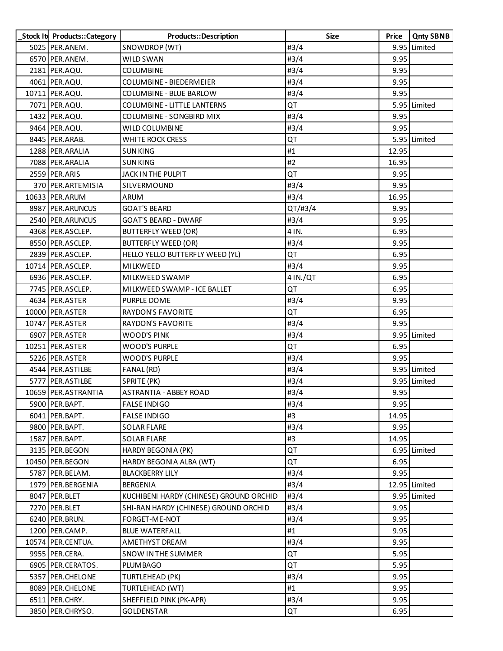| Stock It Products::Category | Products::Description                   | <b>Size</b> | Price | <b>Qnty SBNB</b> |
|-----------------------------|-----------------------------------------|-------------|-------|------------------|
| 5025 PER.ANEM.              | SNOWDROP (WT)                           | #3/4        |       | 9.95 Limited     |
| 6570 PER.ANEM.              | WILD SWAN                               | #3/4        | 9.95  |                  |
| 2181 PER.AQU.               | <b>COLUMBINE</b>                        | #3/4        | 9.95  |                  |
| 4061 PER.AQU.               | COLUMBINE - BIEDERMEIER                 | #3/4        | 9.95  |                  |
| 10711 PER.AQU.              | COLUMBINE - BLUE BARLOW                 | #3/4        | 9.95  |                  |
| 7071 PER.AQU.               | COLUMBINE - LITTLE LANTERNS             | QT          |       | 5.95 Limited     |
| 1432 PER.AQU.               | COLUMBINE - SONGBIRD MIX                | #3/4        | 9.95  |                  |
| 9464 PER.AQU.               | WILD COLUMBINE                          | #3/4        | 9.95  |                  |
| 8445 PER.ARAB.              | WHITE ROCK CRESS                        | QT          |       | 5.95 Limited     |
| 1288 PER.ARALIA             | <b>SUN KING</b>                         | #1          | 12.95 |                  |
| 7088 PER.ARALIA             | <b>SUN KING</b>                         | #2          | 16.95 |                  |
| 2559 PER.ARIS               | JACK IN THE PULPIT                      | QT          | 9.95  |                  |
| 370 PER.ARTEMISIA           | SILVERMOUND                             | #3/4        | 9.95  |                  |
| 10633 PER.ARUM              | <b>ARUM</b>                             | #3/4        | 16.95 |                  |
| 8987 PER.ARUNCUS            | <b>GOAT'S BEARD</b>                     | $QT/\#3/4$  | 9.95  |                  |
| 2540 PER.ARUNCUS            | <b>GOAT'S BEARD - DWARF</b>             | #3/4        | 9.95  |                  |
| 4368 PER.ASCLEP.            | <b>BUTTERFLY WEED (OR)</b>              | 4 IN.       | 6.95  |                  |
| 8550 PER.ASCLEP.            | <b>BUTTERFLY WEED (OR)</b>              | #3/4        | 9.95  |                  |
| 2839 PER.ASCLEP.            | HELLO YELLO BUTTERFLY WEED (YL)         | QT          | 6.95  |                  |
| 10714 PER.ASCLEP.           | MILKWEED                                | #3/4        | 9.95  |                  |
| 6936 PER.ASCLEP.            | MILKWEED SWAMP                          | 4 IN./QT    | 6.95  |                  |
| 7745 PER.ASCLEP.            | MILKWEED SWAMP - ICE BALLET             | QT          | 6.95  |                  |
| 4634 PER.ASTER              | PURPLE DOME                             | #3/4        | 9.95  |                  |
| 10000 PER.ASTER             | <b>RAYDON'S FAVORITE</b>                | QT          | 6.95  |                  |
| 10747 PER.ASTER             | RAYDON'S FAVORITE                       | #3/4        | 9.95  |                  |
| 6907 PER.ASTER              | <b>WOOD'S PINK</b>                      | #3/4        |       | 9.95 Limited     |
| 10251 PER.ASTER             | WOOD'S PURPLE                           | QT          | 6.95  |                  |
| 5226 PER.ASTER              | <b>WOOD'S PURPLE</b>                    | #3/4        | 9.95  |                  |
| 4544 PER.ASTILBE            | FANAL (RD)                              | #3/4        |       | 9.95 Limited     |
| 5777 PER.ASTILBE            | SPRITE (PK)                             | #3/4        |       | 9.95 Limited     |
| 10659 PER.ASTRANTIA         | <b>ASTRANTIA - ABBEY ROAD</b>           | #3/4        | 9.95  |                  |
| 5900 PER. BAPT.             | <b>FALSE INDIGO</b>                     | #3/4        | 9.95  |                  |
| 6041 PER.BAPT.              | <b>FALSE INDIGO</b>                     | #3          | 14.95 |                  |
| 9800 PER. BAPT.             | <b>SOLAR FLARE</b>                      | #3/4        | 9.95  |                  |
| 1587 PER.BAPT.              | <b>SOLAR FLARE</b>                      | #3          | 14.95 |                  |
| 3135 PER.BEGON              | HARDY BEGONIA (PK)                      | QT          |       | 6.95 Limited     |
| 10450 PER. BEGON            | HARDY BEGONIA ALBA (WT)                 | QT          | 6.95  |                  |
| 5787 PER. BELAM.            | <b>BLACKBERRY LILY</b>                  | #3/4        | 9.95  |                  |
| 1979 PER. BERGENIA          | BERGENIA                                | #3/4        |       | 12.95 Limited    |
| 8047 PER.BLET               | KUCHIBENI HARDY (CHINESE) GROUND ORCHID | #3/4        |       | 9.95 Limited     |
| 7270 PER.BLET               | SHI-RAN HARDY (CHINESE) GROUND ORCHID   | #3/4        | 9.95  |                  |
| 6240 PER. BRUN.             | FORGET-ME-NOT                           | #3/4        | 9.95  |                  |
| 1200 PER.CAMP.              | <b>BLUE WATERFALL</b>                   | #1          | 9.95  |                  |
| 10574 PER.CENTUA.           | AMETHYST DREAM                          | #3/4        | 9.95  |                  |
| 9955 PER.CERA.              | SNOW IN THE SUMMER                      | QT          | 5.95  |                  |
| 6905 PER.CERATOS.           | <b>PLUMBAGO</b>                         | QT          | 5.95  |                  |
| 5357 PER. CHELONE           | TURTLEHEAD (PK)                         | #3/4        | 9.95  |                  |
| 8089 PER. CHELONE           | TURTLEHEAD (WT)                         | #1          | 9.95  |                  |
| 6511 PER.CHRY.              | SHEFFIELD PINK (PK-APR)                 | #3/4        | 9.95  |                  |
| 3850 PER.CHRYSO.            | <b>GOLDENSTAR</b>                       | QT          | 6.95  |                  |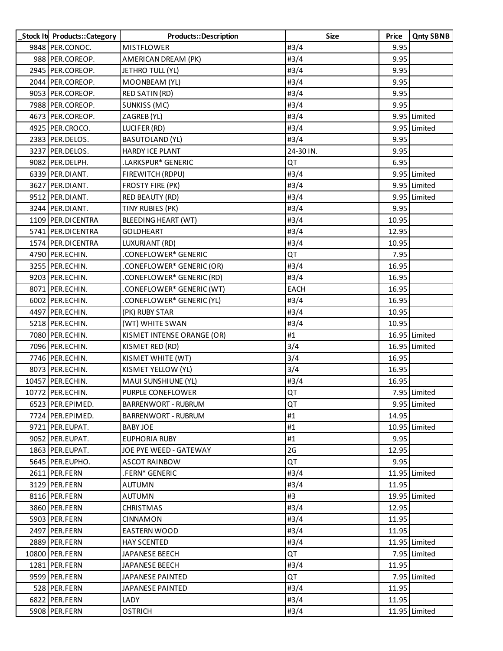| Stock It Products:: Category | Products::Description      | <b>Size</b> | Price | <b>Qnty SBNB</b> |
|------------------------------|----------------------------|-------------|-------|------------------|
| 9848 PER.CONOC.              | <b>MISTFLOWER</b>          | #3/4        | 9.95  |                  |
| 988 PER.COREOP.              | AMERICAN DREAM (PK)        | #3/4        | 9.95  |                  |
| 2945   PER.COREOP.           | JETHRO TULL (YL)           | #3/4        | 9.95  |                  |
| 2044 PER.COREOP.             | MOONBEAM (YL)              | #3/4        | 9.95  |                  |
| 9053 PER.COREOP.             | RED SATIN (RD)             | #3/4        | 9.95  |                  |
| 7988 PER.COREOP.             | SUNKISS (MC)               | #3/4        | 9.95  |                  |
| 4673 PER.COREOP.             | ZAGREB (YL)                | #3/4        |       | 9.95 Limited     |
| 4925 PER.CROCO.              | LUCIFER (RD)               | #3/4        |       | 9.95 Limited     |
| 2383 PER.DELOS.              | <b>BASUTOLAND (YL)</b>     | #3/4        | 9.95  |                  |
| 3237 PER.DELOS.              | HARDY ICE PLANT            | 24-30 IN.   | 9.95  |                  |
| 9082 PER.DELPH.              | .LARKSPUR* GENERIC         | QT          | 6.95  |                  |
| 6339 PER.DIANT.              | FIREWITCH (RDPU)           | #3/4        |       | 9.95 Limited     |
| 3627 PER.DIANT.              | FROSTY FIRE (PK)           | #3/4        |       | 9.95 Limited     |
| 9512 PER.DIANT.              | <b>RED BEAUTY (RD)</b>     | #3/4        |       | 9.95 Limited     |
| 3244 PER.DIANT.              | TINY RUBIES (PK)           | #3/4        | 9.95  |                  |
| 1109 PER. DICENTRA           | <b>BLEEDING HEART (WT)</b> | #3/4        | 10.95 |                  |
| 5741 PER.DICENTRA            | <b>GOLDHEART</b>           | #3/4        | 12.95 |                  |
| 1574 PER. DICENTRA           | LUXURIANT (RD)             | #3/4        | 10.95 |                  |
| 4790 PER.ECHIN.              | .CONEFLOWER* GENERIC       | QT          | 7.95  |                  |
| 3255 PER.ECHIN.              | .CONEFLOWER* GENERIC (OR)  | #3/4        | 16.95 |                  |
| 9203 PER.ECHIN.              | .CONEFLOWER* GENERIC (RD)  | #3/4        | 16.95 |                  |
| 8071 PER.ECHIN.              | .CONEFLOWER* GENERIC (WT)  | EACH        | 16.95 |                  |
| 6002 PER.ECHIN.              | .CONEFLOWER* GENERIC (YL)  | #3/4        | 16.95 |                  |
| 4497 PER.ECHIN.              | (PK) RUBY STAR             | #3/4        | 10.95 |                  |
| 5218 PER.ECHIN.              | (WT) WHITE SWAN            | #3/4        | 10.95 |                  |
| 7080 PER.ECHIN.              | KISMET INTENSE ORANGE (OR) | #1          |       | 16.95 Limited    |
| 7096 PER.ECHIN.              | KISMET RED (RD)            | 3/4         |       | 16.95 Limited    |
| 7746 PER.ECHIN.              | KISMET WHITE (WT)          | 3/4         | 16.95 |                  |
| 8073 PER.ECHIN.              | KISMET YELLOW (YL)         | 3/4         | 16.95 |                  |
| 10457 PER.ECHIN.             | MAUI SUNSHIUNE (YL)        | #3/4        | 16.95 |                  |
| 10772 PER.ECHIN.             | PURPLE CONEFLOWER          | QT          |       | 7.95 Limited     |
| 6523 PER.EPIMED.             | <b>BARRENWORT - RUBRUM</b> | QT          |       | 9.95 Limited     |
| 7724 PER.EPIMED.             | <b>BARRENWORT - RUBRUM</b> | #1          | 14.95 |                  |
| 9721 PER.EUPAT.              | BABY JOE                   | #1          |       | 10.95 Limited    |
| 9052 PER.EUPAT.              | <b>EUPHORIA RUBY</b>       | #1          | 9.95  |                  |
| 1863 PER.EUPAT.              | JOE PYE WEED - GATEWAY     | 2G          | 12.95 |                  |
| 5645 PER.EUPHO.              | <b>ASCOT RAINBOW</b>       | QT          | 9.95  |                  |
| 2611 PER.FERN                | .FERN* GENERIC             | #3/4        |       | 11.95 Limited    |
| 3129 PER.FERN                | <b>AUTUMN</b>              | #3/4        | 11.95 |                  |
| 8116 PER.FERN                | <b>AUTUMN</b>              | #3          |       | 19.95 Limited    |
| 3860 PER.FERN                | <b>CHRISTMAS</b>           | #3/4        | 12.95 |                  |
| 5903 PER.FERN                | <b>CINNAMON</b>            | #3/4        | 11.95 |                  |
| 2497 PER.FERN                | <b>EASTERN WOOD</b>        | #3/4        | 11.95 |                  |
| 2889 PER.FERN                | <b>HAY SCENTED</b>         | #3/4        |       | 11.95 Limited    |
| 10800 PER.FERN               | JAPANESE BEECH             | QT          |       | 7.95 Limited     |
| 1281 PER.FERN                | JAPANESE BEECH             | #3/4        | 11.95 |                  |
| 9599 PER.FERN                | JAPANESE PAINTED           | QT          |       | 7.95 Limited     |
| 528 PER.FERN                 | JAPANESE PAINTED           | #3/4        | 11.95 |                  |
| 6822 PER.FERN                | LADY                       | #3/4        | 11.95 |                  |
| 5908 PER.FERN                | <b>OSTRICH</b>             | #3/4        |       | 11.95 Limited    |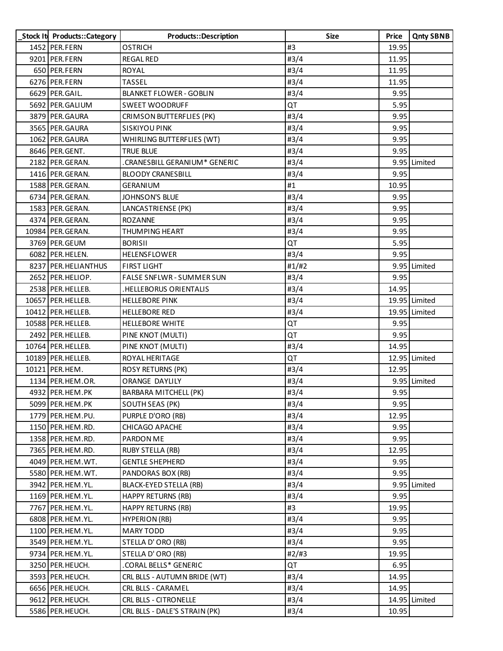| Stock It Products:: Category | Products::Description          | <b>Size</b> | Price | <b>Qnty SBNB</b> |
|------------------------------|--------------------------------|-------------|-------|------------------|
| 1452 PER.FERN                | <b>OSTRICH</b>                 | #3          | 19.95 |                  |
| 9201 PER.FERN                | <b>REGAL RED</b>               | #3/4        | 11.95 |                  |
| 650 PER.FERN                 | <b>ROYAL</b>                   | #3/4        | 11.95 |                  |
| 6276 PER.FERN                | <b>TASSEL</b>                  | #3/4        | 11.95 |                  |
| 6629 PER. GAIL.              | <b>BLANKET FLOWER - GOBLIN</b> | #3/4        | 9.95  |                  |
| 5692 PER. GALIUM             | <b>SWEET WOODRUFF</b>          | QT          | 5.95  |                  |
| 3879 PER.GAURA               | CRIMSON BUTTERFLIES (PK)       | #3/4        | 9.95  |                  |
| 3565 PER.GAURA               | <b>SISKIYOU PINK</b>           | #3/4        | 9.95  |                  |
| 1062 PER. GAURA              | WHIRLING BUTTERFLIES (WT)      | #3/4        | 9.95  |                  |
| 8646 PER.GENT.               | <b>TRUE BLUE</b>               | #3/4        | 9.95  |                  |
| 2182 PER.GERAN.              | .CRANESBILL GERANIUM* GENERIC  | #3/4        |       | 9.95 Limited     |
| 1416 PER. GERAN.             | <b>BLOODY CRANESBILL</b>       | #3/4        | 9.95  |                  |
| 1588 PER.GERAN.              | <b>GERANIUM</b>                | #1          | 10.95 |                  |
| 6734 PER.GERAN.              | <b>JOHNSON'S BLUE</b>          | #3/4        | 9.95  |                  |
| 1583 PER.GERAN.              | LANCASTRIENSE (PK)             | #3/4        | 9.95  |                  |
| 4374 PER.GERAN.              | <b>ROZANNE</b>                 | #3/4        | 9.95  |                  |
| 10984 PER.GERAN.             | <b>THUMPING HEART</b>          | #3/4        | 9.95  |                  |
| 3769 PER.GEUM                | <b>BORISII</b>                 | QT          | 5.95  |                  |
| 6082 PER.HELEN.              | HELENSFLOWER                   | #3/4        | 9.95  |                  |
| 8237 PER.HELIANTHUS          | <b>FIRST LIGHT</b>             | #1/H2       |       | 9.95 Limited     |
| 2652 PER.HELIOP.             | FALSE SNFLWR - SUMMER SUN      | #3/4        | 9.95  |                  |
| 2538 PER.HELLEB.             | .HELLEBORUS ORIENTALIS         | #3/4        | 14.95 |                  |
| 10657 PER.HELLEB.            | <b>HELLEBORE PINK</b>          | #3/4        |       | 19.95 Limited    |
| 10412 PER.HELLEB.            | <b>HELLEBORE RED</b>           | #3/4        |       | 19.95 Limited    |
| 10588 PER.HELLEB.            | <b>HELLEBORE WHITE</b>         | QT          | 9.95  |                  |
| 2492 PER.HELLEB.             | PINE KNOT (MULTI)              | QT          | 9.95  |                  |
| 10764 PER.HELLEB.            | PINE KNOT (MULTI)              | #3/4        | 14.95 |                  |
| 10189 PER. HELLEB.           | ROYAL HERITAGE                 | QT          |       | 12.95 Limited    |
| 10121 PER.HEM.               | <b>ROSY RETURNS (PK)</b>       | #3/4        | 12.95 |                  |
| 1134 PER.HEM.OR.             | <b>ORANGE DAYLILY</b>          | #3/4        |       | 9.95 Limited     |
| 4932 PER.HEM.PK              | BARBARA MITCHELL (PK)          | #3/4        | 9.95  |                  |
| 5099 PER.HEM.PK              | <b>SOUTH SEAS (PK)</b>         | #3/4        | 9.95  |                  |
| 1779 PER.HEM.PU.             | PURPLE D'ORO (RB)              | #3/4        | 12.95 |                  |
| 1150 PER.HEM.RD.             | CHICAGO APACHE                 | #3/4        | 9.95  |                  |
| 1358 PER.HEM.RD.             | PARDON ME                      | #3/4        | 9.95  |                  |
| 7365 PER.HEM.RD.             | <b>RUBY STELLA (RB)</b>        | #3/4        | 12.95 |                  |
| 4049 PER.HEM.WT.             | <b>GENTLE SHEPHERD</b>         | #3/4        | 9.95  |                  |
| 5580 PER.HEM.WT.             | PANDORAS BOX (RB)              | #3/4        | 9.95  |                  |
| 3942 PER.HEM.YL.             | BLACK-EYED STELLA (RB)         | #3/4        |       | 9.95 Limited     |
| 1169 PER.HEM.YL.             | <b>HAPPY RETURNS (RB)</b>      | #3/4        | 9.95  |                  |
| 7767 PER.HEM.YL.             | <b>HAPPY RETURNS (RB)</b>      | #3          | 19.95 |                  |
| 6808 PER.HEM.YL.             | <b>HYPERION (RB)</b>           | #3/4        | 9.95  |                  |
| 1100 PER.HEM.YL.             | <b>MARY TODD</b>               | #3/4        | 9.95  |                  |
| 3549 PER.HEM.YL.             | STELLA D'ORO (RB)              | #3/4        | 9.95  |                  |
| 9734 PER.HEM.YL.             | STELLA D'ORO (RB)              | #2/#3       | 19.95 |                  |
| 3250 PER.HEUCH.              | .CORAL BELLS* GENERIC          | QT          | 6.95  |                  |
| 3593 PER.HEUCH.              | CRL BLLS - AUTUMN BRIDE (WT)   | #3/4        | 14.95 |                  |
| 6656 PER.HEUCH.              | CRL BLLS - CARAMEL             | #3/4        | 14.95 |                  |
| 9612 PER.HEUCH.              | CRL BLLS - CITRONELLE          | #3/4        |       | 14.95 Limited    |
| 5586 PER.HEUCH.              | CRL BLLS - DALE'S STRAIN (PK)  | #3/4        | 10.95 |                  |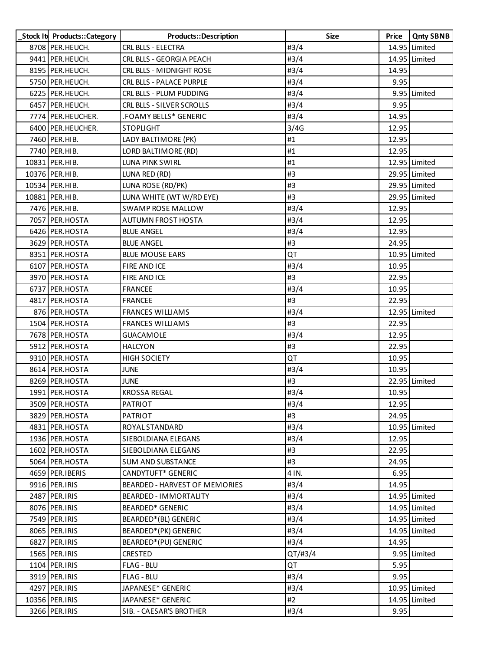| Stock It Products:: Category | <b>Products::Description</b>    | <b>Size</b> | <b>Price</b> | <b>Qnty SBNB</b> |
|------------------------------|---------------------------------|-------------|--------------|------------------|
| 8708 PER.HEUCH.              | CRL BLLS - ELECTRA              | #3/4        |              | 14.95 Limited    |
| 9441 PER.HEUCH.              | CRL BLLS - GEORGIA PEACH        | #3/4        |              | 14.95 Limited    |
| 8195   PER.HEUCH.            | CRL BLLS - MIDNIGHT ROSE        | #3/4        | 14.95        |                  |
| 5750 PER.HEUCH.              | <b>CRL BLLS - PALACE PURPLE</b> | #3/4        | 9.95         |                  |
| 6225 PER.HEUCH.              | CRL BLLS - PLUM PUDDING         | #3/4        |              | 9.95 Limited     |
| 6457   PER.HEUCH.            | CRL BLLS - SILVER SCROLLS       | #3/4        | 9.95         |                  |
| 7774 PER.HEUCHER.            | .FOAMY BELLS* GENERIC           | #3/4        | 14.95        |                  |
| 6400 PER. HEUCHER.           | <b>STOPLIGHT</b>                | 3/4G        | 12.95        |                  |
| 7460 PER.HIB.                | LADY BALTIMORE (PK)             | #1          | 12.95        |                  |
| 7740 PER.HIB.                | LORD BALTIMORE (RD)             | #1          | 12.95        |                  |
| 10831 PER.HIB.               | LUNA PINK SWIRL                 | #1          |              | 12.95 Limited    |
| 10376 PER.HIB.               | LUNA RED (RD)                   | #3          |              | 29.95 Limited    |
| 10534 PER.HIB.               | LUNA ROSE (RD/PK)               | #3          |              | 29.95 Limited    |
| 10881 PER.HIB.               | LUNA WHITE (WT W/RD EYE)        | #3          |              | 29.95 Limited    |
| 7476 PER.HIB.                | <b>SWAMP ROSE MALLOW</b>        | #3/4        | 12.95        |                  |
| 7057 PER.HOSTA               | <b>AUTUMN FROST HOSTA</b>       | #3/4        | 12.95        |                  |
| 6426 PER.HOSTA               | <b>BLUE ANGEL</b>               | #3/4        | 12.95        |                  |
| 3629 PER.HOSTA               | <b>BLUE ANGEL</b>               | #3          | 24.95        |                  |
| 8351 PER.HOSTA               | <b>BLUE MOUSE EARS</b>          | QT          |              | 10.95 Limited    |
| 6107 PER.HOSTA               | FIRE AND ICE                    | #3/4        | 10.95        |                  |
| 3970 PER.HOSTA               | FIRE AND ICE                    | #3          | 22.95        |                  |
| 6737 PER.HOSTA               | <b>FRANCEE</b>                  | #3/4        | 10.95        |                  |
| 4817 PER.HOSTA               | <b>FRANCEE</b>                  | #3          | 22.95        |                  |
| 876 PER.HOSTA                | <b>FRANCES WILLIAMS</b>         | #3/4        |              | 12.95 Limited    |
| 1504 PER.HOSTA               | <b>FRANCES WILLIAMS</b>         | #3          | 22.95        |                  |
| 7678 PER.HOSTA               | <b>GUACAMOLE</b>                | #3/4        | 12.95        |                  |
| 5912 PER.HOSTA               | <b>HALCYON</b>                  | #3          | 22.95        |                  |
| 9310 PER.HOSTA               | <b>HIGH SOCIETY</b>             | QT          | 10.95        |                  |
| 8614 PER.HOSTA               | <b>JUNE</b>                     | #3/4        | 10.95        |                  |
| 8269 PER.HOSTA               | JUNE                            | #3          |              | 22.95 Limited    |
| 1991 PER.HOSTA               | <b>KROSSA REGAL</b>             | #3/4        | 10.95        |                  |
| 3509 PER.HOSTA               | <b>PATRIOT</b>                  | #3/4        | 12.95        |                  |
| 3829 PER.HOSTA               | <b>PATRIOT</b>                  | #3          | 24.95        |                  |
| 4831 PER.HOSTA               | ROYAL STANDARD                  | #3/4        |              | 10.95 Limited    |
| 1936 PER.HOSTA               | SIEBOLDIANA ELEGANS             | #3/4        | 12.95        |                  |
| 1602 PER.HOSTA               | SIEBOLDIANA ELEGANS             | #3          | 22.95        |                  |
| 5064 PER.HOSTA               | <b>SUM AND SUBSTANCE</b>        | #3          | 24.95        |                  |
| 4659 PER.IBERIS              | CANDYTUFT* GENERIC              | 4 IN.       | 6.95         |                  |
| 9916 PER.IRIS                | BEARDED - HARVEST OF MEMORIES   | #3/4        | 14.95        |                  |
| 2487 PER.IRIS                | BEARDED - IMMORTALITY           | #3/4        |              | 14.95 Limited    |
| 8076 PER.IRIS                | BEARDED* GENERIC                | #3/4        |              | 14.95 Limited    |
| 7549 PER.IRIS                | BEARDED*(BL) GENERIC            | #3/4        |              | 14.95 Limited    |
| 8065 PER.IRIS                | BEARDED*(PK) GENERIC            | #3/4        |              | 14.95 Limited    |
| 6827 PER.IRIS                | BEARDED*(PU) GENERIC            | #3/4        | 14.95        |                  |
| 1565 PER.IRIS                | <b>CRESTED</b>                  | QT/#3/4     |              | 9.95 Limited     |
| 1104 PER.IRIS                | FLAG - BLU                      | QT          | 5.95         |                  |
| 3919 PER.IRIS                | <b>FLAG - BLU</b>               | #3/4        | 9.95         |                  |
| 4297 PER.IRIS                | JAPANESE* GENERIC               | #3/4        |              | 10.95 Limited    |
| 10356 PER.IRIS               | JAPANESE* GENERIC               | #2          |              | 14.95 Limited    |
| 3266 PER.IRIS                | SIB. - CAESAR'S BROTHER         | #3/4        | 9.95         |                  |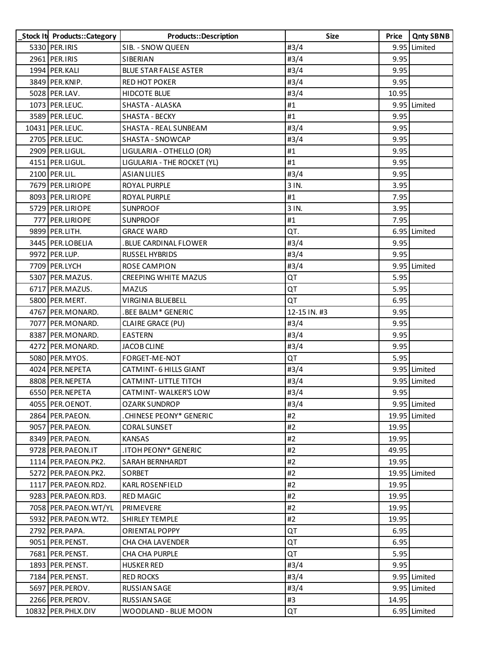| Stock It Products::Category | Products::Description        | <b>Size</b>  | Price | <b>Qnty SBNB</b> |
|-----------------------------|------------------------------|--------------|-------|------------------|
| 5330 PER.IRIS               | SIB. - SNOW QUEEN            | #3/4         |       | 9.95 Limited     |
| 2961 PER.IRIS               | SIBERIAN                     | #3/4         | 9.95  |                  |
| 1994 PER. KALI              | <b>BLUE STAR FALSE ASTER</b> | #3/4         | 9.95  |                  |
| 3849 PER.KNIP.              | <b>RED HOT POKER</b>         | #3/4         | 9.95  |                  |
| 5028 PER.LAV.               | <b>HIDCOTE BLUE</b>          | #3/4         | 10.95 |                  |
| 1073 PER. LEUC.             | SHASTA - ALASKA              | #1           |       | 9.95 Limited     |
| 3589 PER. LEUC.             | SHASTA - BECKY               | #1           | 9.95  |                  |
| 10431 PER. LEUC.            | SHASTA - REAL SUNBEAM        | #3/4         | 9.95  |                  |
| 2705 PER.LEUC.              | SHASTA - SNOWCAP             | #3/4         | 9.95  |                  |
| 2909 PER.LIGUL.             | LIGULARIA - OTHELLO (OR)     | #1           | 9.95  |                  |
| 4151 PER.LIGUL.             | LIGULARIA - THE ROCKET (YL)  | #1           | 9.95  |                  |
| 2100 PER.LIL.               | <b>ASIAN LILIES</b>          | #3/4         | 9.95  |                  |
| 7679 PER.LIRIOPE            | ROYAL PURPLE                 | 3 IN.        | 3.95  |                  |
| 8093 PER.LIRIOPE            | ROYAL PURPLE                 | #1           | 7.95  |                  |
| 5729 PER.LIRIOPE            | <b>SUNPROOF</b>              | 3 IN.        | 3.95  |                  |
| 777 PER.LIRIOPE             | <b>SUNPROOF</b>              | #1           | 7.95  |                  |
| 9899 PER.LITH.              | <b>GRACE WARD</b>            | QT.          |       | 6.95 Limited     |
| 3445 PER.LOBELIA            | BLUE CARDINAL FLOWER.        | #3/4         | 9.95  |                  |
| 9972 PER.LUP.               | RUSSEL HYBRIDS               | #3/4         | 9.95  |                  |
| 7709 PER.LYCH               | <b>ROSE CAMPION</b>          | #3/4         |       | 9.95 Limited     |
| 5307 PER.MAZUS.             | <b>CREEPING WHITE MAZUS</b>  | QT           | 5.95  |                  |
| 6717 PER.MAZUS.             | <b>MAZUS</b>                 | QT           | 5.95  |                  |
| 5800 PER.MERT.              | VIRGINIA BLUEBELL            | QT           | 6.95  |                  |
| 4767 PER.MONARD.            | .BEE BALM* GENERIC           | 12-15 IN. #3 | 9.95  |                  |
| 7077 PER.MONARD.            | CLAIRE GRACE (PU)            | #3/4         | 9.95  |                  |
| 8387 PER.MONARD.            | <b>EASTERN</b>               | #3/4         | 9.95  |                  |
| 4272 PER.MONARD.            | <b>JACOB CLINE</b>           | #3/4         | 9.95  |                  |
| 5080 PER.MYOS.              | FORGET-ME-NOT                | QT           | 5.95  |                  |
| 4024 PER. NEPETA            | CATMINT-6 HILLS GIANT        | #3/4         |       | 9.95 Limited     |
| 8808 PER. NEPETA            | CATMINT-LITTLE TITCH         | #3/4         |       | 9.95 Limited     |
| 6550 PER. NEPETA            | <b>CATMINT-WALKER'S LOW</b>  | #3/4         | 9.95  |                  |
| 4055 PER.OENOT.             | <b>OZARK SUNDROP</b>         | #3/4         |       | 9.95 Limited     |
| 2864 PER.PAEON.             | .CHINESE PEONY* GENERIC      | #2           |       | 19.95 Limited    |
| 9057 PER.PAEON.             | CORAL SUNSET                 | #2           | 19.95 |                  |
| 8349 PER.PAEON.             | <b>KANSAS</b>                | #2           | 19.95 |                  |
| 9728 PER.PAEON.IT           | .ITOH PEONY* GENERIC         | #2           | 49.95 |                  |
| 1114 PER. PAEON. PK2.       | SARAH BERNHARDT              | #2           | 19.95 |                  |
| 5272 PER. PAEON. PK2.       | SORBET                       | #2           |       | 19.95 Limited    |
| 1117 PER. PAEON. RD2.       | <b>KARL ROSENFIELD</b>       | #2           | 19.95 |                  |
| 9283 PER. PAEON. RD3.       | <b>RED MAGIC</b>             | #2           | 19.95 |                  |
| 7058 PER. PAEON. WT/YL      | PRIMEVERE                    | #2           | 19.95 |                  |
| 5932 PER. PAEON. WT2.       | <b>SHIRLEY TEMPLE</b>        | #2           | 19.95 |                  |
| 2792 PER.PAPA.              | ORIENTAL POPPY               | QT           | 6.95  |                  |
| 9051 PER.PENST.             | CHA CHA LAVENDER             | QT           | 6.95  |                  |
| 7681 PER. PENST.            | <b>CHA CHA PURPLE</b>        | QT           | 5.95  |                  |
| 1893 PER.PENST.             | <b>HUSKER RED</b>            | #3/4         | 9.95  |                  |
| 7184 PER.PENST.             | <b>RED ROCKS</b>             | #3/4         |       | 9.95 Limited     |
| 5697 PER.PEROV.             | <b>RUSSIAN SAGE</b>          | #3/4         |       | 9.95 Limited     |
| 2266 PER.PEROV.             | <b>RUSSIAN SAGE</b>          | #3           | 14.95 |                  |
| 10832 PER. PHLX. DIV        | WOODLAND - BLUE MOON         | QT           |       | 6.95 Limited     |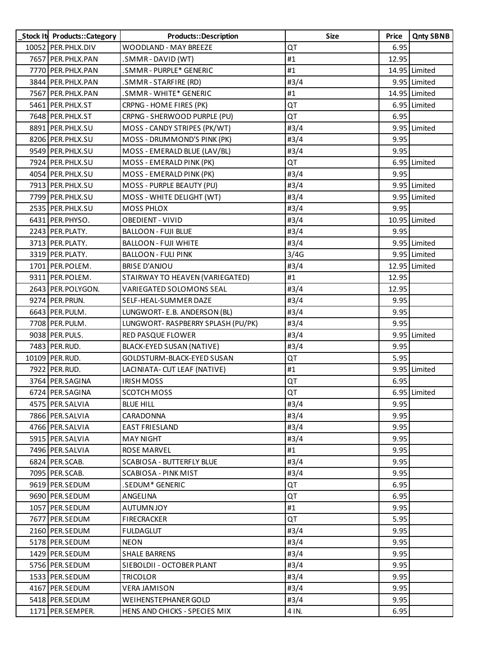| Stock It Products:: Category | Products::Description             | <b>Size</b> | Price | <b>Qnty SBNB</b> |
|------------------------------|-----------------------------------|-------------|-------|------------------|
| 10052 PER. PHLX. DIV         | WOODLAND - MAY BREEZE             | QT          | 6.95  |                  |
| 7657 PER.PHLX.PAN            | .SMMR - DAVID (WT)                | #1          | 12.95 |                  |
| 7770 PER. PHLX. PAN          | .SMMR - PURPLE* GENERIC           | #1          |       | 14.95 Limited    |
| 3844 PER. PHLX. PAN          | .SMMR-STARFIRE (RD)               | #3/4        |       | 9.95 Limited     |
| 7567 PER.PHLX.PAN            | .SMMR - WHITE* GENERIC            | #1          |       | 14.95 Limited    |
| 5461 PER.PHLX.ST             | CRPNG - HOME FIRES (PK)           | QT          |       | 6.95 Limited     |
| 7648 PER. PHLX. ST           | CRPNG - SHERWOOD PURPLE (PU)      | QT          | 6.95  |                  |
| 8891 PER.PHLX.SU             | MOSS - CANDY STRIPES (PK/WT)      | #3/4        |       | 9.95 Limited     |
| 8206 PER. PHLX.SU            | MOSS - DRUMMOND'S PINK (PK)       | #3/4        | 9.95  |                  |
| 9549 PER.PHLX.SU             | MOSS - EMERALD BLUE (LAV/BL)      | #3/4        | 9.95  |                  |
| 7924 PER.PHLX.SU             | MOSS - EMERALD PINK (PK)          | QT          |       | 6.95 Limited     |
| 4054 PER.PHLX.SU             | MOSS - EMERALD PINK (PK)          | #3/4        | 9.95  |                  |
| 7913 PER. PHLX. SU           | MOSS - PURPLE BEAUTY (PU)         | #3/4        |       | 9.95 Limited     |
| 7799 PER.PHLX.SU             | MOSS - WHITE DELIGHT (WT)         | #3/4        |       | 9.95 Limited     |
| 2535 PER.PHLX.SU             | <b>MOSS PHLOX</b>                 | #3/4        | 9.95  |                  |
| 6431 PER.PHYSO.              | <b>OBEDIENT - VIVID</b>           | #3/4        |       | 10.95 Limited    |
| 2243 PER.PLATY.              | <b>BALLOON - FUJI BLUE</b>        | #3/4        | 9.95  |                  |
| 3713 PER.PLATY.              | <b>BALLOON - FUJI WHITE</b>       | #3/4        |       | 9.95 Limited     |
| 3319 PER.PLATY.              | <b>BALLOON - FULI PINK</b>        | 3/4G        |       | 9.95 Limited     |
| 1701 PER.POLEM.              | <b>BRISE D'ANJOU</b>              | #3/4        |       | 12.95 Limited    |
| 9311 PER.POLEM.              | STAIRWAY TO HEAVEN (VARIEGATED)   | #1          | 12.95 |                  |
| 2643 PER.POLYGON.            | VARIEGATED SOLOMONS SEAL          | #3/4        | 12.95 |                  |
| 9274 PER. PRUN.              | SELF-HEAL-SUMMER DAZE             | #3/4        | 9.95  |                  |
| 6643 PER. PULM.              | LUNGWORT- E.B. ANDERSON (BL)      | #3/4        | 9.95  |                  |
| 7708 PER. PULM.              | LUNGWORT-RASPBERRY SPLASH (PU/PK) | #3/4        | 9.95  |                  |
| 9038 PER. PULS.              | RED PASQUE FLOWER                 | #3/4        |       | 9.95 Limited     |
| 7483 PER.RUD.                | BLACK-EYED SUSAN (NATIVE)         | #3/4        | 9.95  |                  |
| 10109 PER.RUD.               | GOLDSTURM-BLACK-EYED SUSAN        | QT          | 5.95  |                  |
| 7922 PER.RUD.                | LACINIATA- CUT LEAF (NATIVE)      | #1          |       | 9.95 Limited     |
| 3764 PER.SAGINA              | <b>IRISH MOSS</b>                 | QT          | 6.95  |                  |
| 6724 PER.SAGINA              | SCOTCH MOSS                       | QT          |       | 6.95 Limited     |
| 4575 PER.SALVIA              | <b>BLUE HILL</b>                  | #3/4        | 9.95  |                  |
| 7866 PER.SALVIA              | CARADONNA                         | #3/4        | 9.95  |                  |
| 4766 PER.SALVIA              | <b>EAST FRIESLAND</b>             | #3/4        | 9.95  |                  |
| 5915 PER.SALVIA              | <b>MAY NIGHT</b>                  | #3/4        | 9.95  |                  |
| 7496 PER.SALVIA              | <b>ROSE MARVEL</b>                | #1          | 9.95  |                  |
| 6824 PER.SCAB.               | SCABIOSA - BUTTERFLY BLUE         | #3/4        | 9.95  |                  |
| 7095 PER.SCAB.               | <b>SCABIOSA - PINK MIST</b>       | #3/4        | 9.95  |                  |
| 9619 PER.SEDUM               | .SEDUM* GENERIC                   | QT          | 6.95  |                  |
| 9690 PER.SEDUM               | ANGELINA                          | QT          | 6.95  |                  |
| 1057 PER.SEDUM               | <b>AUTUMNJOY</b>                  | #1          | 9.95  |                  |
| 7677 PER.SEDUM               | FIRECRACKER                       | QT          | 5.95  |                  |
| 2160 PER.SEDUM               | <b>FULDAGLUT</b>                  | #3/4        | 9.95  |                  |
| 5178 PER.SEDUM               | <b>NEON</b>                       | #3/4        | 9.95  |                  |
| 1429 PER.SEDUM               | <b>SHALE BARRENS</b>              | #3/4        | 9.95  |                  |
| 5756 PER.SEDUM               | SIEBOLDII - OCTOBER PLANT         | #3/4        | 9.95  |                  |
| 1533 PER.SEDUM               | <b>TRICOLOR</b>                   | #3/4        | 9.95  |                  |
| 4167 PER.SEDUM               | VERA JAMISON                      | #3/4        | 9.95  |                  |
| 5418 PER.SEDUM               | WEIHENSTEPHANER GOLD              | #3/4        | 9.95  |                  |
| 1171 PER.SEMPER.             | HENS AND CHICKS - SPECIES MIX     | 4 IN.       | 6.95  |                  |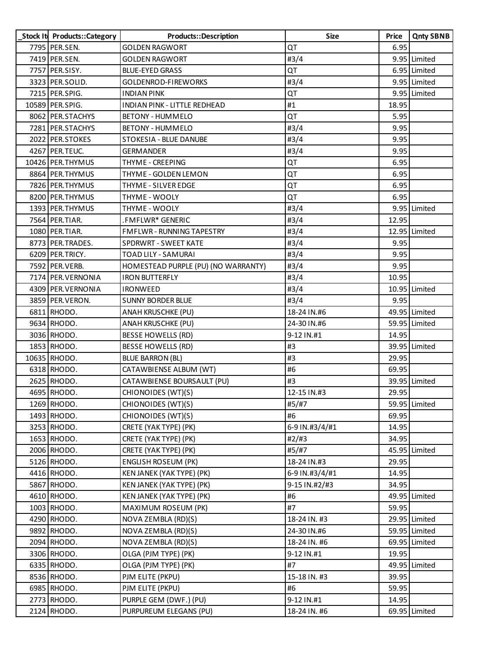| Stock It Products::Category | Products::Description               | <b>Size</b>    | Price | <b>Qnty SBNB</b> |
|-----------------------------|-------------------------------------|----------------|-------|------------------|
| 7795 PER.SEN.               | <b>GOLDEN RAGWORT</b>               | QT             | 6.95  |                  |
| 7419 PER.SEN.               | <b>GOLDEN RAGWORT</b>               | #3/4           |       | 9.95 Limited     |
| 7757 PER.SISY.              | <b>BLUE-EYED GRASS</b>              | QT             |       | 6.95 Limited     |
| 3323 PER.SOLID.             | GOLDENROD-FIREWORKS                 | #3/4           |       | 9.95 Limited     |
| 7215 PER.SPIG.              | <b>INDIAN PINK</b>                  | QT             |       | 9.95 Limited     |
| 10589 PER.SPIG.             | INDIAN PINK - LITTLE REDHEAD        | #1             | 18.95 |                  |
| 8062 PER.STACHYS            | <b>BETONY - HUMMELO</b>             | QT             | 5.95  |                  |
| 7281 PER.STACHYS            | <b>BETONY - HUMMELO</b>             | #3/4           | 9.95  |                  |
| 2022 PER.STOKES             | STOKESIA - BLUE DANUBE              | #3/4           | 9.95  |                  |
| 4267 PER. TEUC.             | <b>GERMANDER</b>                    | #3/4           | 9.95  |                  |
| 10426 PER. THYMUS           | THYME - CREEPING                    | QT             | 6.95  |                  |
| 8864 PER. THYMUS            | THYME - GOLDEN LEMON                | QT             | 6.95  |                  |
| 7826 PER. THYMUS            | THYME - SILVER EDGE                 | QT             | 6.95  |                  |
| 8200 PER.THYMUS             | THYME - WOOLY                       | QT             | 6.95  |                  |
| 1393 PER. THYMUS            | <b>THYME - WOOLY</b>                | #3/4           |       | 9.95 Limited     |
| 7564 PER.TIAR.              | .FMFLWR* GENERIC                    | #3/4           | 12.95 |                  |
| 1080 PER.TIAR.              | FMFLWR - RUNNING TAPESTRY           | #3/4           |       | 12.95 Limited    |
| 8773 PER. TRADES.           | SPDRWRT - SWEET KATE                | #3/4           | 9.95  |                  |
| 6209 PER. TRICY.            | TOAD LILY - SAMURAI                 | #3/4           | 9.95  |                  |
| 7592 PER. VERB.             | HOMESTEAD PURPLE (PU) (NO WARRANTY) | #3/4           | 9.95  |                  |
| 7174 PER. VERNONIA          | <b>IRON BUTTERFLY</b>               | #3/4           | 10.95 |                  |
| 4309 PER. VERNONIA          | <b>IRONWEED</b>                     | #3/4           |       | 10.95 Limited    |
| 3859 PER. VERON.            | <b>SUNNY BORDER BLUE</b>            | #3/4           | 9.95  |                  |
| 6811 RHODO.                 | ANAH KRUSCHKE (PU)                  | 18-24 IN.#6    |       | 49.95 Limited    |
| 9634 RHODO.                 | ANAH KRUSCHKE (PU)                  | 24-30 IN.#6    |       | 59.95 Limited    |
| 3036 RHODO.                 | <b>BESSE HOWELLS (RD)</b>           | 9-12 IN.#1     | 14.95 |                  |
| 1853 RHODO.                 | <b>BESSE HOWELLS (RD)</b>           | #3             |       | 39.95 Limited    |
| 10635 RHODO.                | <b>BLUE BARRON (BL)</b>             | #3             | 29.95 |                  |
| 6318 RHODO.                 | CATAWBIENSE ALBUM (WT)              | #6             | 69.95 |                  |
| 2625 RHODO.                 | CATAWBIENSE BOURSAULT (PU)          | #3             |       | 39.95 Limited    |
| 4695 RHODO.                 | CHIONOIDES (WT)(S)                  | 12-15 IN.#3    | 29.95 |                  |
| 1269 RHODO.                 | CHIONOIDES (WT)(S)                  | #5/#7          |       | 59.95 Limited    |
| 1493 RHODO.                 | CHIONOIDES (WT)(S)                  | #6             | 69.95 |                  |
| 3253 RHODO.                 | CRETE (YAK TYPE) (PK)               | 6-9 IN.#3/4/#1 | 14.95 |                  |
| 1653 RHODO.                 | CRETE (YAK TYPE) (PK)               | #2/#3          | 34.95 |                  |
| 2006 RHODO.                 | CRETE (YAK TYPE) (PK)               | #5/#7          |       | 45.95 Limited    |
| 5126 RHODO.                 | <b>ENGLISH ROSEUM (PK)</b>          | 18-24 IN.#3    | 29.95 |                  |
| 4416 RHODO.                 | KEN JANEK (YAK TYPE) (PK)           | 6-9 IN.#3/4/#1 | 14.95 |                  |
| 5867 RHODO.                 | KEN JANEK (YAK TYPE) (PK)           | 9-15 IN.#2/#3  | 34.95 |                  |
| 4610 RHODO.                 | KEN JANEK (YAK TYPE) (PK)           | #6             |       | 49.95 Limited    |
| 1003 RHODO.                 | MAXIMUM ROSEUM (PK)                 | #7             | 59.95 |                  |
| 4290 RHODO.                 | NOVA ZEMBLA (RD)(S)                 | 18-24 IN. #3   |       | 29.95 Limited    |
| 9892 RHODO.                 | NOVA ZEMBLA (RD)(S)                 | 24-30 IN.#6    |       | 59.95 Limited    |
| 2094 RHODO.                 | NOVA ZEMBLA (RD)(S)                 | 18-24 IN. #6   |       | 69.95 Limited    |
| 3306 RHODO.                 | OLGA (PJM TYPE) (PK)                | 9-12 IN.#1     | 19.95 |                  |
| 6335 RHODO.                 | OLGA (PJM TYPE) (PK)                | #7             |       | 49.95 Limited    |
| 8536 RHODO.                 | PJM ELITE (PKPU)                    | 15-18 IN. #3   | 39.95 |                  |
| 6985 RHODO.                 | PJM ELITE (PKPU)                    | #6             | 59.95 |                  |
| 2773 RHODO.                 | PURPLE GEM (DWF.) (PU)              | 9-12 IN.#1     | 14.95 |                  |
| 2124 RHODO.                 | PURPUREUM ELEGANS (PU)              | 18-24 IN. #6   |       | 69.95 Limited    |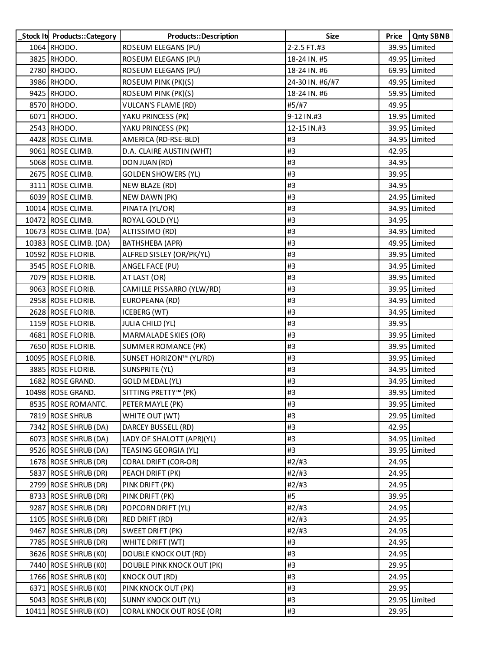| Stock It Products:: Category | Products::Description            | <b>Size</b>     | <b>Price</b> | <b>Qnty SBNB</b> |
|------------------------------|----------------------------------|-----------------|--------------|------------------|
| 1064 RHODO.                  | ROSEUM ELEGANS (PU)              | 2-2.5 FT.#3     |              | 39.95 Limited    |
| 3825 RHODO.                  | ROSEUM ELEGANS (PU)              | 18-24 IN. #5    |              | 49.95 Limited    |
| 2780 RHODO.                  | ROSEUM ELEGANS (PU)              | 18-24 IN. #6    |              | 69.95 Limited    |
| 3986 RHODO.                  | ROSEUM PINK (PK)(S)              | 24-30 IN. #6/#7 |              | 49.95 Limited    |
| 9425 RHODO.                  | ROSEUM PINK (PK)(S)              | 18-24 IN. #6    |              | 59.95 Limited    |
| 8570 RHODO.                  | VULCAN'S FLAME (RD)              | #5/#7           | 49.95        |                  |
| 6071 RHODO.                  | YAKU PRINCESS (PK)               | 9-12 IN.#3      |              | 19.95 Limited    |
| 2543 RHODO.                  | YAKU PRINCESS (PK)               | 12-15 IN.#3     |              | 39.95 Limited    |
| 4428 ROSE CLIMB.             | AMERICA (RD-RSE-BLD)             | #3              |              | 34.95 Limited    |
| 9061 ROSE CLIMB.             | D.A. CLAIRE AUSTIN (WHT)         | #3              | 42.95        |                  |
| 5068 ROSE CLIMB.             | DON JUAN (RD)                    | #3              | 34.95        |                  |
| 2675 ROSE CLIMB.             | <b>GOLDEN SHOWERS (YL)</b>       | #3              | 39.95        |                  |
| 3111 ROSE CLIMB.             | NEW BLAZE (RD)                   | #3              | 34.95        |                  |
| 6039 ROSE CLIMB.             | NEW DAWN (PK)                    | #3              |              | 24.95 Limited    |
| 10014 ROSE CLIMB.            | PINATA (YL/OR)                   | #3              |              | 34.95 Limited    |
| 10472 ROSE CLIMB.            | ROYAL GOLD (YL)                  | #3              | 34.95        |                  |
| 10673 ROSE CLIMB. (DA)       | ALTISSIMO (RD)                   | #3              |              | 34.95 Limited    |
| 10383 ROSE CLIMB. (DA)       | BATHSHEBA (APR)                  | #3              |              | 49.95 Limited    |
| 10592 ROSE FLORIB.           | ALFRED SISLEY (OR/PK/YL)         | #3              |              | 39.95 Limited    |
| 3545 ROSE FLORIB.            | ANGEL FACE (PU)                  | #3              |              | 34.95 Limited    |
| 7079 ROSE FLORIB.            | AT LAST (OR)                     | #3              |              | 39.95 Limited    |
| 9063 ROSE FLORIB.            | CAMILLE PISSARRO (YLW/RD)        | #3              |              | 39.95 Limited    |
| 2958 ROSE FLORIB.            | EUROPEANA (RD)                   | #3              |              | 34.95 Limited    |
| 2628 ROSE FLORIB.            | ICEBERG (WT)                     | #3              |              | 34.95 Limited    |
| 1159 ROSE FLORIB.            | JULIA CHILD (YL)                 | #3              | 39.95        |                  |
| 4681 ROSE FLORIB.            | <b>MARMALADE SKIES (OR)</b>      | #3              |              | 39.95 Limited    |
| 7650 ROSE FLORIB.            | SUMMER ROMANCE (PK)              | #3              |              | 39.95 Limited    |
| 10095 ROSE FLORIB.           | SUNSET HORIZON™ (YL/RD)          | #3              |              | 39.95 Limited    |
| 3885 ROSE FLORIB.            | SUNSPRITE (YL)                   | #3              |              | 34.95 Limited    |
| 1682 ROSE GRAND.             | <b>GOLD MEDAL (YL)</b>           | #3              |              | 34.95 Limited    |
| 10498 ROSE GRAND.            | SITTING PRETTY™ (PK)             | #3              |              | 39.95 Limited    |
| 8535 ROSE ROMANTC.           | PETER MAYLE (PK)                 | #3              |              | 39.95 Limited    |
| 7819 ROSE SHRUB              | WHITE OUT (WT)                   | #3              |              | 29.95 Limited    |
| 7342 ROSE SHRUB (DA)         | DARCEY BUSSELL (RD)              | #3              | 42.95        |                  |
| 6073 ROSE SHRUB (DA)         | LADY OF SHALOTT (APR)(YL)        | #3              |              | 34.95 Limited    |
| 9526 ROSE SHRUB (DA)         | <b>TEASING GEORGIA (YL)</b>      | #3              |              | 39.95 Limited    |
| 1678 ROSE SHRUB (DR)         | <b>CORAL DRIFT (COR-OR)</b>      | #2#3            | 24.95        |                  |
| 5837 ROSE SHRUB (DR)         | PEACH DRIFT (PK)                 | #2/#3           | 24.95        |                  |
| 2799 ROSE SHRUB (DR)         | PINK DRIFT (PK)                  | #2/#3           | 24.95        |                  |
| 8733 ROSE SHRUB (DR)         | PINK DRIFT (PK)                  | #5              | 39.95        |                  |
| 9287 ROSE SHRUB (DR)         | POPCORN DRIFT (YL)               | #2/#3           | 24.95        |                  |
| 1105 ROSE SHRUB (DR)         | RED DRIFT (RD)                   | #2#3            | 24.95        |                  |
| 9467 ROSE SHRUB (DR)         | <b>SWEET DRIFT (PK)</b>          | #2/#3           | 24.95        |                  |
| 7785 ROSE SHRUB (DR)         | WHITE DRIFT (WT)                 | #3              | 24.95        |                  |
| 3626 ROSE SHRUB (KO)         | DOUBLE KNOCK OUT (RD)            | #3              | 24.95        |                  |
| 7440 ROSE SHRUB (KO)         | DOUBLE PINK KNOCK OUT (PK)       | #3              | 29.95        |                  |
| 1766 ROSE SHRUB (KO)         | <b>KNOCK OUT (RD)</b>            | #3              | 24.95        |                  |
| 6371 ROSE SHRUB (KO)         | PINK KNOCK OUT (PK)              | #3              | 29.95        |                  |
| 5043 ROSE SHRUB (KO)         | <b>SUNNY KNOCK OUT (YL)</b>      | #3              |              | 29.95 Limited    |
| 10411 ROSE SHRUB (KO)        | <b>CORAL KNOCK OUT ROSE (OR)</b> | #3              | 29.95        |                  |
|                              |                                  |                 |              |                  |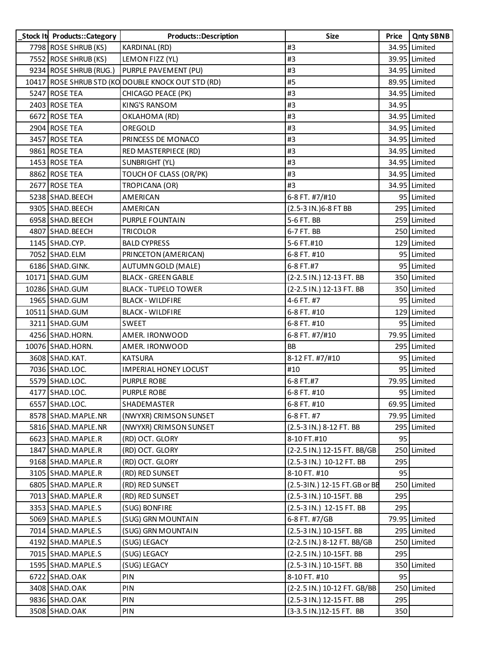| Stock It Products:: Category | Products::Description                              | <b>Size</b>                  | Price | <b>Qnty SBNB</b> |
|------------------------------|----------------------------------------------------|------------------------------|-------|------------------|
| 7798 ROSE SHRUB (KS)         | KARDINAL (RD)                                      | #3                           |       | 34.95 Limited    |
| 7552 ROSE SHRUB (KS)         | LEMON FIZZ (YL)                                    | #3                           |       | 39.95 Limited    |
| 9234 ROSE SHRUB (RUG.)       | PURPLE PAVEMENT (PU)                               | #3                           |       | 34.95 Limited    |
|                              | 10417 ROSE SHRUB STD (KO DOUBLE KNOCK OUT STD (RD) | #5                           |       | 89.95 Limited    |
| 5247 ROSE TEA                | CHICAGO PEACE (PK)                                 | #3                           |       | 34.95 Limited    |
| 2403 ROSE TEA                | <b>KING'S RANSOM</b>                               | #3                           | 34.95 |                  |
| 6672 ROSE TEA                | OKLAHOMA (RD)                                      | #3                           |       | 34.95 Limited    |
| 2904 ROSE TEA                | OREGOLD                                            | #3                           |       | 34.95 Limited    |
| 3457 ROSE TEA                | PRINCESS DE MONACO                                 | #3                           |       | 34.95 Limited    |
| 9861 ROSE TEA                | RED MASTERPIECE (RD)                               | #3                           |       | 34.95 Limited    |
| 1453 ROSE TEA                | SUNBRIGHT (YL)                                     | #3                           |       | 34.95 Limited    |
| 8862 ROSE TEA                | TOUCH OF CLASS (OR/PK)                             | #3                           |       | 34.95 Limited    |
| 2677 ROSE TEA                | TROPICANA (OR)                                     | #3                           |       | 34.95 Limited    |
| 5238 SHAD. BEECH             | <b>AMERICAN</b>                                    | 6-8 FT. #7/#10               |       | 95 Limited       |
| 9305 SHAD. BEECH             | <b>AMERICAN</b>                                    | (2.5-3 IN.) 6-8 FT BB        |       | 295 Limited      |
| 6958 SHAD. BEECH             | PURPLE FOUNTAIN                                    | 5-6 FT. BB                   |       | 259 Limited      |
| 4807 SHAD. BEECH             | <b>TRICOLOR</b>                                    | 6-7 FT. BB                   |       | 250 Limited      |
| 1145 SHAD.CYP.               | <b>BALD CYPRESS</b>                                | 5-6 FT.#10                   |       | 129 Limited      |
| 7052 SHAD.ELM                | PRINCETON (AMERICAN)                               | 6-8 FT. #10                  |       | 95 Limited       |
| 6186 SHAD. GINK.             | <b>AUTUMN GOLD (MALE)</b>                          | 6-8 FT.#7                    |       | 95 Limited       |
| 10171 SHAD. GUM              | <b>BLACK - GREEN GABLE</b>                         | (2-2.5 IN.) 12-13 FT. BB     |       | 350 Limited      |
| 10286 SHAD.GUM               | <b>BLACK - TUPELO TOWER</b>                        | (2-2.5 IN.) 12-13 FT. BB     |       | 350 Limited      |
| 1965 SHAD.GUM                | <b>BLACK - WILDFIRE</b>                            | 4-6 FT. #7                   |       | 95 Limited       |
| 10511 SHAD.GUM               | <b>BLACK - WILDFIRE</b>                            | 6-8 FT. #10                  |       | 129 Limited      |
| 3211 SHAD.GUM                | <b>SWEET</b>                                       | 6-8 FT. #10                  |       | 95 Limited       |
| 4256 SHAD.HORN.              | AMER. IRONWOOD                                     | 6-8 FT. #7/#10               |       | 79.95 Limited    |
| 10076 SHAD. HORN.            | AMER. IRONWOOD                                     | <b>BB</b>                    |       | 295 Limited      |
| 3608 SHAD.KAT.               | <b>KATSURA</b>                                     | 8-12 FT. #7/#10              |       | 95 Limited       |
| 7036 SHAD.LOC.               | <b>IMPERIAL HONEY LOCUST</b>                       | #10                          |       | 95 Limited       |
| 5579 SHAD.LOC.               | PURPLE ROBE                                        | 6-8 FT.#7                    |       | 79.95 Limited    |
| 4177 SHAD.LOC.               | PURPLE ROBE                                        | 6-8 FT. #10                  |       | 95 Limited       |
| 6557 SHAD.LOC.               | SHADEMASTER                                        | 6-8 FT. #10                  |       | 69.95 Limited    |
| 8578 SHAD. MAPLE. NR         | (NWYXR) CRIMSON SUNSET                             | 6-8 FT. #7                   |       | 79.95 Limited    |
| 5816 SHAD. MAPLE. NR         | (NWYXR) CRIMSON SUNSET                             | (2.5-3 IN.) 8-12 FT. BB      |       | 295 Limited      |
| 6623 SHAD. MAPLE.R           | (RD) OCT. GLORY                                    | 8-10 FT.#10                  | 95    |                  |
| 1847 SHAD. MAPLE.R           | (RD) OCT. GLORY                                    | (2-2.5 IN.) 12-15 FT. BB/GB  |       | 250 Limited      |
| 9168 SHAD. MAPLE.R           | (RD) OCT. GLORY                                    | (2.5-3 IN.) 10-12 FT. BB     | 295   |                  |
| 3105 SHAD. MAPLE.R           | (RD) RED SUNSET                                    | 8-10 FT. #10                 | 95    |                  |
| 6805 SHAD. MAPLE.R           | (RD) RED SUNSET                                    | (2.5-3IN.) 12-15 FT.GB or BB |       | 250 Limited      |
| 7013 SHAD. MAPLE.R           | (RD) RED SUNSET                                    | (2.5-3 IN.) 10-15FT. BB      | 295   |                  |
| 3353 SHAD. MAPLE.S           | (SUG) BONFIRE                                      | (2.5-3 IN.) 12-15 FT. BB     | 295   |                  |
| 5069 SHAD. MAPLE.S           | (SUG) GRN MOUNTAIN                                 | 6-8 FT. #7/GB                |       | 79.95 Limited    |
| 7014 SHAD. MAPLE.S           | (SUG) GRN MOUNTAIN                                 | (2.5-3 IN.) 10-15FT. BB      |       | 295 Limited      |
| 4192 SHAD.MAPLE.S            | (SUG) LEGACY                                       | (2-2.5 IN.) 8-12 FT. BB/GB   |       | 250 Limited      |
| 7015 SHAD. MAPLE.S           | (SUG) LEGACY                                       | (2-2.5 IN.) 10-15FT. BB      | 295   |                  |
| 1595 SHAD. MAPLE.S           | (SUG) LEGACY                                       | (2.5-3 IN.) 10-15FT. BB      |       | 350 Limited      |
| 6722 SHAD.OAK                | PIN                                                | 8-10 FT. #10                 | 95    |                  |
| 3408 SHAD.OAK                | PIN                                                | (2-2.5 IN.) 10-12 FT. GB/BB  |       | 250 Limited      |
| 9836 SHAD.OAK                | PIN                                                | (2.5-3 IN.) 12-15 FT. BB     | 295   |                  |
| 3508 SHAD.OAK                | PIN                                                | (3-3.5 IN.) 12-15 FT. BB     | 350   |                  |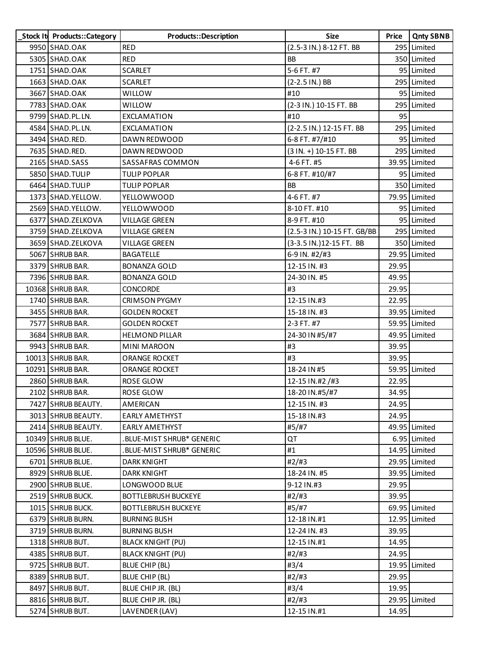| Stock It Products:: Category | Products::Description      | <b>Size</b>                 | Price | <b>Qnty SBNB</b> |
|------------------------------|----------------------------|-----------------------------|-------|------------------|
| 9950 SHAD.OAK                | <b>RED</b>                 | (2.5-3 IN.) 8-12 FT. BB     |       | 295 Limited      |
| 5305 SHAD.OAK                | <b>RED</b>                 | <b>BB</b>                   |       | 350 Limited      |
| 1751 SHAD.OAK                | <b>SCARLET</b>             | 5-6 FT. #7                  |       | 95 Limited       |
| 1663 SHAD.OAK                | <b>SCARLET</b>             | (2-2.5 IN.) BB              |       | 295 Limited      |
| 3667 SHAD.OAK                | <b>WILLOW</b>              | #10                         |       | 95 Limited       |
| 7783 SHAD.OAK                | <b>WILLOW</b>              | (2-3 IN.) 10-15 FT. BB      |       | 295 Limited      |
| 9799 SHAD. PL. LN.           | EXCLAMATION                | #10                         | 95    |                  |
| 4584 SHAD.PL.LN.             | EXCLAMATION                | (2-2.5 IN.) 12-15 FT. BB    |       | 295 Limited      |
| 3494 SHAD.RED.               | DAWN REDWOOD               | 6-8 FT. #7/#10              |       | 95 Limited       |
| 7635 SHAD.RED.               | DAWN REDWOOD               | (3 IN. +) 10-15 FT. BB      |       | 295 Limited      |
| 2165 SHAD.SASS               | SASSAFRAS COMMON           | 4-6 FT. #5                  |       | 39.95 Limited    |
| 5850 SHAD. TULIP             | <b>TULIP POPLAR</b>        | 6-8 FT. #10/#7              |       | 95 Limited       |
| 6464 SHAD. TULIP             | <b>TULIP POPLAR</b>        | <b>BB</b>                   |       | 350 Limited      |
| 1373 SHAD. YELLOW.           | YELLOWWOOD                 | 4-6 FT. #7                  |       | 79.95 Limited    |
| 2569 SHAD. YELLOW.           | <b>YELLOWWOOD</b>          | 8-10 FT. #10                |       | 95 Limited       |
| 6377 SHAD.ZELKOVA            | <b>VILLAGE GREEN</b>       | 8-9 FT. #10                 |       | 95 Limited       |
| 3759 SHAD.ZELKOVA            | <b>VILLAGE GREEN</b>       | (2.5-3 IN.) 10-15 FT. GB/BB |       | 295 Limited      |
| 3659 SHAD.ZELKOVA            | <b>VILLAGE GREEN</b>       | (3-3.5 IN.) 12-15 FT. BB    |       | 350 Limited      |
| 5067 SHRUB BAR.              | <b>BAGATELLE</b>           | 6-9 IN. #2/#3               |       | 29.95 Limited    |
| 3379 SHRUB BAR.              | <b>BONANZA GOLD</b>        | 12-15 IN. #3                | 29.95 |                  |
| 7396 SHRUB BAR.              | <b>BONANZA GOLD</b>        | 24-30 IN. #5                | 49.95 |                  |
| 10368 SHRUB BAR.             | CONCORDE                   | #3                          | 29.95 |                  |
| 1740 SHRUB BAR.              | <b>CRIMSON PYGMY</b>       | 12-15 IN.#3                 | 22.95 |                  |
| 3455 SHRUB BAR.              | <b>GOLDEN ROCKET</b>       | 15-18 IN. #3                |       | 39.95 Limited    |
| 7577 SHRUB BAR.              | <b>GOLDEN ROCKET</b>       | 2-3 FT. #7                  |       | 59.95 Limited    |
| 3684 SHRUB BAR.              | <b>HELMOND PILLAR</b>      | 24-30 IN #5/#7              |       | 49.95 Limited    |
| 9943 SHRUB BAR.              | <b>MINI MAROON</b>         | #3                          | 39.95 |                  |
| 10013 SHRUB BAR.             | ORANGE ROCKET              | #3                          | 39.95 |                  |
| 10291 SHRUB BAR.             | <b>ORANGE ROCKET</b>       | 18-24 IN #5                 |       | 59.95 Limited    |
| 2860 SHRUB BAR.              | ROSE GLOW                  | 12-15 IN.#2 /#3             | 22.95 |                  |
| 2102 SHRUB BAR.              | ROSE GLOW                  | 18-20 IN.#5/#7              | 34.95 |                  |
| 7427 SHRUB BEAUTY.           | AMERICAN                   | 12-15 IN. #3                | 24.95 |                  |
| 3013 SHRUB BEAUTY.           | <b>EARLY AMETHYST</b>      | 15-18 IN.#3                 | 24.95 |                  |
| 2414 SHRUB BEAUTY.           | <b>EARLY AMETHYST</b>      | #5/#7                       |       | 49.95 Limited    |
| 10349 SHRUB BLUE.            | .BLUE-MIST SHRUB* GENERIC  | QT                          |       | 6.95 Limited     |
| 10596 SHRUB BLUE.            | .BLUE-MIST SHRUB* GENERIC  | #1                          |       | 14.95 Limited    |
| 6701 SHRUB BLUE.             | <b>DARK KNIGHT</b>         | #2/#3                       |       | 29.95 Limited    |
| 8929 SHRUB BLUE.             | <b>DARK KNIGHT</b>         | 18-24 IN. #5                |       | 39.95 Limited    |
| 2900 SHRUB BLUE.             | LONGWOOD BLUE              | 9-12 IN.#3                  | 29.95 |                  |
| 2519 SHRUB BUCK.             | <b>BOTTLEBRUSH BUCKEYE</b> | #2/#3                       | 39.95 |                  |
| 1015 SHRUB BUCK.             | <b>BOTTLEBRUSH BUCKEYE</b> | #5/#7                       |       | 69.95 Limited    |
| 6379 SHRUB BURN.             | <b>BURNING BUSH</b>        | 12-18 IN.#1                 |       | 12.95 Limited    |
| 3719 SHRUB BURN.             | <b>BURNING BUSH</b>        | 12-24 IN. #3                | 39.95 |                  |
| 1318 SHRUB BUT.              | <b>BLACK KNIGHT (PU)</b>   | 12-15 IN.#1                 | 14.95 |                  |
| 4385 SHRUB BUT.              | <b>BLACK KNIGHT (PU)</b>   | #2/#3                       | 24.95 |                  |
| 9725 SHRUB BUT.              | BLUE CHIP (BL)             | #3/4                        |       | 19.95 Limited    |
| 8389 SHRUB BUT.              | BLUE CHIP (BL)             | #2/#3                       | 29.95 |                  |
| 8497 SHRUB BUT.              | BLUE CHIP JR. (BL)         | #3/4                        | 19.95 |                  |
| 8816 SHRUB BUT.              | BLUE CHIP JR. (BL)         | #2/#3                       |       | 29.95 Limited    |
| 5274 SHRUB BUT.              | LAVENDER (LAV)             | 12-15 IN.#1                 | 14.95 |                  |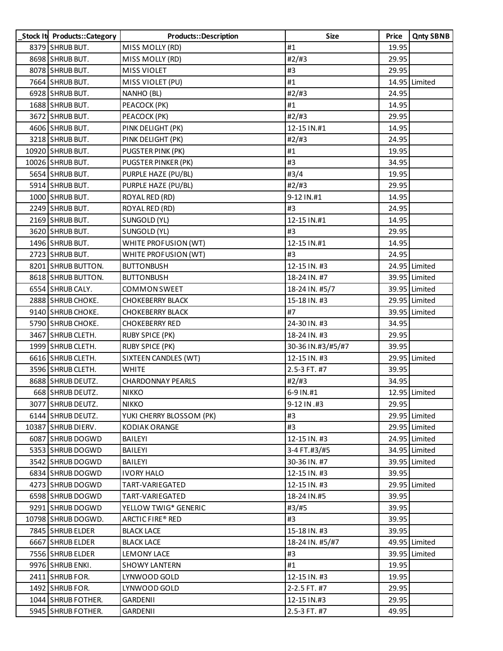| Stock It Products:: Category | Products::Description    | Size              | Price | <b>Qnty SBNB</b> |
|------------------------------|--------------------------|-------------------|-------|------------------|
| 8379 SHRUB BUT.              | MISS MOLLY (RD)          | #1                | 19.95 |                  |
| 8698 SHRUB BUT.              | MISS MOLLY (RD)          | #2/H3             | 29.95 |                  |
| 8078 SHRUB BUT.              | <b>MISS VIOLET</b>       | #3                | 29.95 |                  |
| 7664 SHRUB BUT.              | MISS VIOLET (PU)         | #1                |       | 14.95 Limited    |
| 6928 SHRUB BUT.              | NANHO (BL)               | #2/H3             | 24.95 |                  |
| 1688 SHRUB BUT.              | PEACOCK (PK)             | #1                | 14.95 |                  |
| 3672 SHRUB BUT.              | PEACOCK (PK)             | #2/H3             | 29.95 |                  |
| 4606 SHRUB BUT.              | PINK DELIGHT (PK)        | 12-15 IN.#1       | 14.95 |                  |
| 3218 SHRUB BUT.              | PINK DELIGHT (PK)        | #2#3              | 24.95 |                  |
| 10920 SHRUB BUT.             | PUGSTER PINK (PK)        | #1                | 19.95 |                  |
| 10026 SHRUB BUT.             | PUGSTER PINKER (PK)      | #3                | 34.95 |                  |
| 5654 SHRUB BUT.              | PURPLE HAZE (PU/BL)      | #3/4              | 19.95 |                  |
| 5914 SHRUB BUT.              | PURPLE HAZE (PU/BL)      | #2/#3             | 29.95 |                  |
| 1000 SHRUB BUT.              | ROYAL RED (RD)           | 9-12 IN.#1        | 14.95 |                  |
| 2249 SHRUB BUT.              | ROYAL RED (RD)           | #3                | 24.95 |                  |
| 2169 SHRUB BUT.              | SUNGOLD (YL)             | 12-15 IN.#1       | 14.95 |                  |
| 3620 SHRUB BUT.              | SUNGOLD (YL)             | #3                | 29.95 |                  |
| 1496 SHRUB BUT.              | WHITE PROFUSION (WT)     | 12-15 IN.#1       | 14.95 |                  |
| 2723 SHRUB BUT.              | WHITE PROFUSION (WT)     | #3                | 24.95 |                  |
| 8201 SHRUB BUTTON.           | <b>BUTTONBUSH</b>        | 12-15 IN. #3      |       | 24.95 Limited    |
| 8618 SHRUB BUTTON.           | <b>BUTTONBUSH</b>        | 18-24 IN. #7      |       | 39.95 Limited    |
| 6554 SHRUB CALY.             | <b>COMMON SWEET</b>      | 18-24 IN. #5/7    |       | 39.95 Limited    |
| 2888 SHRUB CHOKE.            | <b>CHOKEBERRY BLACK</b>  | 15-18 IN. #3      |       | 29.95 Limited    |
| 9140 SHRUB CHOKE.            | <b>CHOKEBERRY BLACK</b>  | #7                |       | 39.95 Limited    |
| 5790 SHRUB CHOKE.            | <b>CHOKEBERRY RED</b>    | 24-30 IN. #3      | 34.95 |                  |
| 3467 SHRUB CLETH.            | <b>RUBY SPICE (PK)</b>   | 18-24 IN. #3      | 29.95 |                  |
| 1999 SHRUB CLETH.            | <b>RUBY SPICE (PK)</b>   | 30-36 IN.#3/#5/#7 | 39.95 |                  |
| 6616 SHRUB CLETH.            | SIXTEEN CANDLES (WT)     | 12-15 IN. #3      |       | 29.95 Limited    |
| 3596 SHRUB CLETH.            | <b>WHITE</b>             | 2.5-3 FT. #7      | 39.95 |                  |
| 8688 SHRUB DEUTZ.            | <b>CHARDONNAY PEARLS</b> | #2/H3             | 34.95 |                  |
| 668 SHRUB DEUTZ.             | <b>NIKKO</b>             | 6-9 IN.#1         |       | 12.95 Limited    |
| 3077 SHRUB DEUTZ.            | <b>NIKKO</b>             | 9-12 IN .#3       | 29.95 |                  |
| 6144 SHRUB DEUTZ.            | YUKI CHERRY BLOSSOM (PK) | #3                |       | 29.95 Limited    |
| 10387 SHRUB DIERV.           | KODIAK ORANGE            | #3                |       | 29.95 Limited    |
| 6087 SHRUB DOGWD             | BAILEYI                  | 12-15 IN. #3      |       | 24.95 Limited    |
| 5353 SHRUB DOGWD             | BAILEYI                  | 3-4 FT.#3/#5      |       | 34.95 Limited    |
| 3542 SHRUB DOGWD             | BAILEYI                  | 30-36 IN. #7      |       | 39.95 Limited    |
| 6834 SHRUB DOGWD             | <b>IVORY HALO</b>        | 12-15 IN. #3      | 39.95 |                  |
| 4273 SHRUB DOGWD             | TART-VARIEGATED          | 12-15 IN. #3      |       | 29.95 Limited    |
| 6598 SHRUB DOGWD             | TART-VARIEGATED          | 18-24 IN.#5       | 39.95 |                  |
| 9291 SHRUB DOGWD             | YELLOW TWIG* GENERIC     | #3/#5             | 39.95 |                  |
| 10798 SHRUB DOGWD.           | ARCTIC FIRE® RED         | #3                | 39.95 |                  |
| 7845 SHRUB ELDER             | <b>BLACK LACE</b>        | 15-18 IN. #3      | 39.95 |                  |
| 6667 SHRUB ELDER             | <b>BLACK LACE</b>        | 18-24 IN. #5/#7   |       | 49.95 Limited    |
| 7556 SHRUB ELDER             | LEMONY LACE              | #3                |       | 39.95 Limited    |
| 9976 SHRUB ENKI.             | <b>SHOWY LANTERN</b>     | #1                | 19.95 |                  |
| 2411 SHRUB FOR.              | LYNWOOD GOLD             | 12-15 IN. #3      | 19.95 |                  |
| 1492 SHRUB FOR.              | LYNWOOD GOLD             | 2-2.5 FT. #7      | 29.95 |                  |
| 1044 SHRUB FOTHER.           | <b>GARDENII</b>          | 12-15 IN.#3       | 29.95 |                  |
| 5945 SHRUB FOTHER.           | GARDENII                 | 2.5-3 FT. #7      | 49.95 |                  |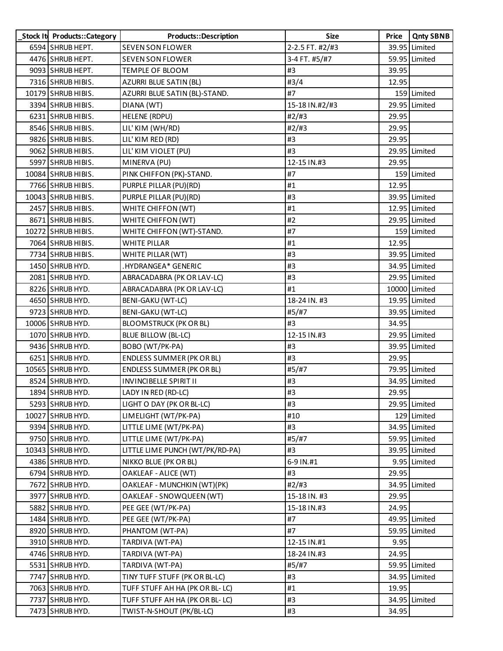| Stock It Products:: Category | Products::Description            | <b>Size</b>     | Price | <b>Qnty SBNB</b> |
|------------------------------|----------------------------------|-----------------|-------|------------------|
| 6594 SHRUB HEPT.             | <b>SEVEN SON FLOWER</b>          | 2-2.5 FT. #2/#3 |       | 39.95 Limited    |
| 4476 SHRUB HEPT.             | <b>SEVEN SON FLOWER</b>          | 3-4 FT. #5/#7   |       | 59.95 Limited    |
| 9093 SHRUB HEPT.             | TEMPLE OF BLOOM                  | #3              | 39.95 |                  |
| 7316 SHRUB HIBIS.            | AZURRI BLUE SATIN (BL)           | #3/4            | 12.95 |                  |
| 10179 SHRUB HIBIS.           | AZURRI BLUE SATIN (BL)-STAND.    | #7              |       | 159 Limited      |
| 3394 SHRUB HIBIS.            | DIANA (WT)                       | 15-18 IN.#2/#3  |       | 29.95 Limited    |
| 6231 SHRUB HIBIS.            | HELENE (RDPU)                    | #2/#3           | 29.95 |                  |
| 8546 SHRUB HIBIS.            | LIL' KIM (WH/RD)                 | #2/H3           | 29.95 |                  |
| 9826 SHRUB HIBIS.            | LIL' KIM RED (RD)                | #3              | 29.95 |                  |
| 9062 SHRUB HIBIS.            | LIL' KIM VIOLET (PU)             | #3              |       | 29.95 Limited    |
| 5997 SHRUB HIBIS.            | MINERVA (PU)                     | 12-15 IN.#3     | 29.95 |                  |
| 10084 SHRUB HIBIS.           | PINK CHIFFON (PK)-STAND.         | #7              |       | 159 Limited      |
| 7766 SHRUB HIBIS.            | PURPLE PILLAR (PU)(RD)           | #1              | 12.95 |                  |
| 10043 SHRUB HIBIS.           | PURPLE PILLAR (PU)(RD)           | #3              |       | 39.95 Limited    |
| 2457 SHRUB HIBIS.            | WHITE CHIFFON (WT)               | #1              |       | 12.95 Limited    |
| 8671 SHRUB HIBIS.            | WHITE CHIFFON (WT)               | #2              |       | 29.95 Limited    |
| 10272 SHRUB HIBIS.           | WHITE CHIFFON (WT)-STAND.        | #7              |       | 159 Limited      |
| 7064 SHRUB HIBIS.            | <b>WHITE PILLAR</b>              | #1              | 12.95 |                  |
| 7734 SHRUB HIBIS.            | WHITE PILLAR (WT)                | #3              |       | 39.95 Limited    |
| 1450 SHRUB HYD.              | .HYDRANGEA* GENERIC              | #3              |       | 34.95 Limited    |
| 2081 SHRUB HYD.              | ABRACADABRA (PK OR LAV-LC)       | #3              |       | 29.95 Limited    |
| 8226 SHRUB HYD.              | ABRACADABRA (PK OR LAV-LC)       | #1              |       | 10000 Limited    |
| 4650 SHRUB HYD.              | <b>BENI-GAKU (WT-LC)</b>         | 18-24 IN. #3    |       | 19.95 Limited    |
| 9723 SHRUB HYD.              | <b>BENI-GAKU (WT-LC)</b>         | #5/#7           |       | 39.95 Limited    |
| 10006 SHRUB HYD.             | <b>BLOOMSTRUCK (PK OR BL)</b>    | #3              | 34.95 |                  |
| 1070 SHRUB HYD.              | <b>BLUE BILLOW (BL-LC)</b>       | 12-15 IN.#3     |       | 29.95 Limited    |
| 9436 SHRUB HYD.              | BOBO (WT/PK-PA)                  | #3              |       | 39.95 Limited    |
| 6251 SHRUB HYD.              | ENDLESS SUMMER (PK OR BL)        | #3              | 29.95 |                  |
| 10565 SHRUB HYD.             | <b>ENDLESS SUMMER (PK OR BL)</b> | #5/#7           |       | 79.95 Limited    |
| 8524 SHRUB HYD.              | <b>INVINCIBELLE SPIRIT II</b>    | #3              |       | 34.95 Limited    |
| 1894 SHRUB HYD.              | LADY IN RED (RD-LC)              | #3              | 29.95 |                  |
| 5293 SHRUB HYD.              | LIGHT O DAY (PK OR BL-LC)        | #3              |       | 29.95 Limited    |
| 10027 SHRUB HYD.             | LIMELIGHT (WT/PK-PA)             | #10             |       | 129 Limited      |
| 9394 SHRUB HYD.              | LITTLE LIME (WT/PK-PA)           | #3              |       | 34.95 Limited    |
| 9750 SHRUB HYD.              | LITTLE LIME (WT/PK-PA)           | #5/#7           |       | 59.95 Limited    |
| 10343 SHRUB HYD.             | LITTLE LIME PUNCH (WT/PK/RD-PA)  | #3              |       | 39.95 Limited    |
| 4386 SHRUB HYD.              | NIKKO BLUE (PK OR BL)            | 6-9 IN.#1       |       | 9.95 Limited     |
| 6794 SHRUB HYD.              | OAKLEAF - ALICE (WT)             | #3              | 29.95 |                  |
| 7672 SHRUB HYD.              | OAKLEAF - MUNCHKIN (WT)(PK)      | #2/#3           |       | 34.95 Limited    |
| 3977 SHRUB HYD.              | OAKLEAF - SNOWQUEEN (WT)         | 15-18 IN. #3    | 29.95 |                  |
| 5882 SHRUB HYD.              | PEE GEE (WT/PK-PA)               | 15-18 IN.#3     | 24.95 |                  |
| 1484 SHRUB HYD.              | PEE GEE (WT/PK-PA)               | #7              |       | 49.95 Limited    |
| 8920 SHRUB HYD.              | PHANTOM (WT-PA)                  | #7              |       | 59.95 Limited    |
| 3910 SHRUB HYD.              | TARDIVA (WT-PA)                  | 12-15 IN.#1     | 9.95  |                  |
| 4746 SHRUB HYD.              | TARDIVA (WT-PA)                  | 18-24 IN.#3     | 24.95 |                  |
| 5531 SHRUB HYD.              | TARDIVA (WT-PA)                  | #5/#7           |       | 59.95 Limited    |
| 7747 SHRUB HYD.              | TINY TUFF STUFF (PK OR BL-LC)    | #3              |       | 34.95 Limited    |
| 7063 SHRUB HYD.              | TUFF STUFF AH HA (PK OR BL- LC)  | #1              | 19.95 |                  |
| 7737 SHRUB HYD.              | TUFF STUFF AH HA (PK OR BL- LC)  | #3              |       | 34.95 Limited    |
| 7473 SHRUB HYD.              | TWIST-N-SHOUT (PK/BL-LC)         | #3              | 34.95 |                  |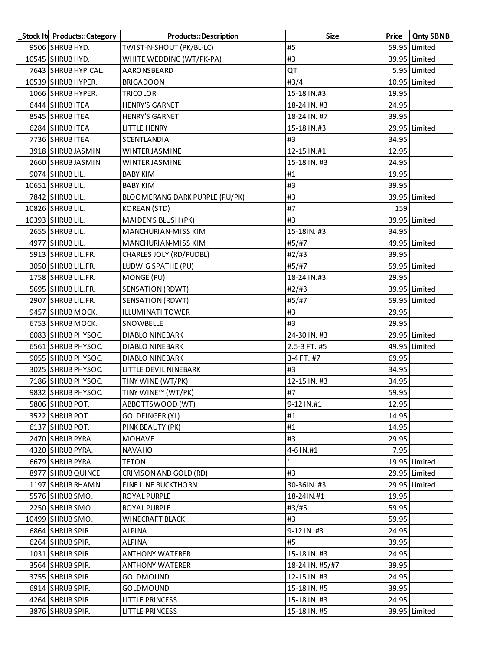| Stock It Products::Category | Products::Description          | <b>Size</b>     | Price | <b>Qnty SBNB</b> |
|-----------------------------|--------------------------------|-----------------|-------|------------------|
| 9506 SHRUB HYD.             | TWIST-N-SHOUT (PK/BL-LC)       | #5              |       | 59.95 Limited    |
| 10545 SHRUB HYD.            | WHITE WEDDING (WT/PK-PA)       | #3              |       | 39.95 Limited    |
| 7643 SHRUB HYP.CAL.         | AARONSBEARD                    | QT              |       | 5.95 Limited     |
| 10539 SHRUB HYPER.          | <b>BRIGADOON</b>               | #3/4            |       | 10.95 Limited    |
| 1066 SHRUB HYPER.           | <b>TRICOLOR</b>                | 15-18 IN.#3     | 19.95 |                  |
| 6444 SHRUB ITEA             | <b>HENRY'S GARNET</b>          | 18-24 IN. #3    | 24.95 |                  |
| 8545 SHRUB ITEA             | <b>HENRY'S GARNET</b>          | 18-24 IN. #7    | 39.95 |                  |
| 6284 SHRUB ITEA             | LITTLE HENRY                   | 15-18 IN.#3     |       | 29.95 Limited    |
| 7736 SHRUB ITEA             | SCENTLANDIA                    | #3              | 34.95 |                  |
| 3918 SHRUB JASMIN           | WINTER JASMINE                 | 12-15 IN.#1     | 12.95 |                  |
| 2660 SHRUB JASMIN           | WINTER JASMINE                 | 15-18 IN. #3    | 24.95 |                  |
| 9074 SHRUB LIL.             | BABY KIM                       | #1              | 19.95 |                  |
| 10651 SHRUB LIL.            | <b>BABY KIM</b>                | #3              | 39.95 |                  |
| 7842 SHRUB LIL.             | BLOOMERANG DARK PURPLE (PU/PK) | #3              |       | 39.95 Limited    |
| 10826 SHRUB LIL.            | <b>KOREAN (STD)</b>            | #7              | 159   |                  |
| 10393 SHRUB LIL.            | MAIDEN'S BLUSH (PK)            | #3              |       | 39.95 Limited    |
| 2655 SHRUB LIL.             | MANCHURIAN-MISS KIM            | 15-18IN. #3     | 34.95 |                  |
| 4977 SHRUB LIL.             | <b>MANCHURIAN-MISS KIM</b>     | #5/#7           |       | 49.95 Limited    |
| 5913 SHRUB LIL.FR.          | CHARLES JOLY (RD/PUDBL)        | #2/H3           | 39.95 |                  |
| 3050 SHRUB LIL.FR.          | LUDWIG SPATHE (PU)             | #5/#7           |       | 59.95 Limited    |
| 1758 SHRUB LIL.FR.          | MONGE (PU)                     | 18-24 IN.#3     | 29.95 |                  |
| 5695 SHRUB LIL.FR.          | <b>SENSATION (RDWT)</b>        | #2#3            |       | 39.95 Limited    |
| 2907 SHRUB LIL.FR.          | <b>SENSATION (RDWT)</b>        | #5/#7           |       | 59.95 Limited    |
| 9457 SHRUB MOCK.            | <b>ILLUMINATI TOWER</b>        | #3              | 29.95 |                  |
| 6753 SHRUB MOCK.            | SNOWBELLE                      | #3              | 29.95 |                  |
| 6083 SHRUB PHYSOC.          | DIABLO NINEBARK                | 24-30 IN. #3    |       | 29.95 Limited    |
| 6561 SHRUB PHYSOC.          | DIABLO NINEBARK                | 2.5-3 FT. #5    |       | 49.95 Limited    |
| 9055 SHRUB PHYSOC.          | <b>DIABLO NINEBARK</b>         | 3-4 FT. #7      | 69.95 |                  |
| 3025 SHRUB PHYSOC.          | LITTLE DEVIL NINEBARK          | #3              | 34.95 |                  |
| 7186 SHRUB PHYSOC.          | TINY WINE (WT/PK)              | 12-15 IN. #3    | 34.95 |                  |
| 9832 SHRUB PHYSOC.          | TINY WINE™ (WT/PK)             | #7              | 59.95 |                  |
| 5806 SHRUB POT.             | ABBOTTSWOOD (WT)               | 9-12 IN.#1      | 12.95 |                  |
| 3522 SHRUB POT.             | GOLDFINGER (YL)                | #1              | 14.95 |                  |
| 6137 SHRUB POT.             | PINK BEAUTY (PK)               | #1              | 14.95 |                  |
| 2470 SHRUB PYRA.            | <b>MOHAVE</b>                  | #3              | 29.95 |                  |
| 4320 SHRUB PYRA.            | <b>NAVAHO</b>                  | 4-6 IN.#1       | 7.95  |                  |
| 6679 SHRUB PYRA.            | <b>TETON</b>                   |                 |       | 19.95 Limited    |
| 8977 SHRUB QUINCE           | CRIMSON AND GOLD (RD)          | #3              |       | 29.95 Limited    |
| 1197 SHRUB RHAMN.           | FINE LINE BUCKTHORN            | 30-36IN. #3     |       | 29.95 Limited    |
| 5576 SHRUB SMO.             | ROYAL PURPLE                   | 18-24IN.#1      | 19.95 |                  |
| 2250 SHRUB SMO.             | ROYAL PURPLE                   | #3/#5           | 59.95 |                  |
| 10499 SHRUB SMO.            | <b>WINECRAFT BLACK</b>         | #3              | 59.95 |                  |
| 6864 SHRUB SPIR.            | <b>ALPINA</b>                  | 9-12 IN. #3     | 24.95 |                  |
| 6264 SHRUB SPIR.            | ALPINA                         | #5              | 39.95 |                  |
| 1031 SHRUB SPIR.            | <b>ANTHONY WATERER</b>         | 15-18 IN. #3    | 24.95 |                  |
| 3564 SHRUB SPIR.            | <b>ANTHONY WATERER</b>         | 18-24 IN. #5/#7 | 39.95 |                  |
| 3755 SHRUB SPIR.            | GOLDMOUND                      | 12-15 IN. #3    | 24.95 |                  |
| 6914 SHRUB SPIR.            | GOLDMOUND                      | 15-18 IN. #5    | 39.95 |                  |
| 4264 SHRUB SPIR.            | LITTLE PRINCESS                | 15-18 IN. #3    | 24.95 |                  |
| 3876 SHRUB SPIR.            | LITTLE PRINCESS                | 15-18 IN. #5    |       | 39.95 Limited    |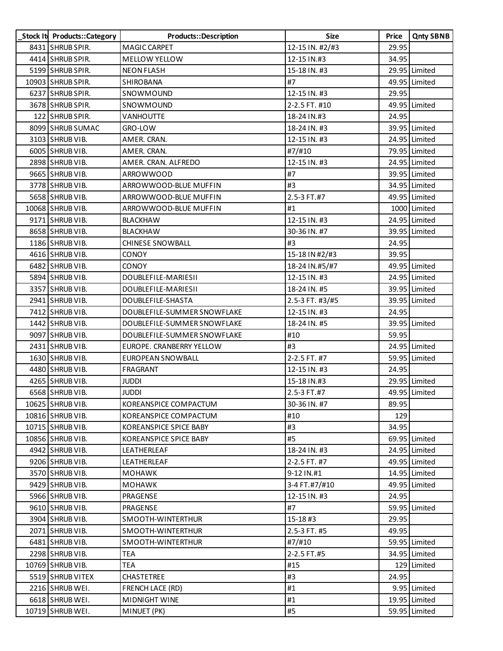| Stock It Products:: Category | Products::Description       | Size            | Price | <b>Qnty SBNB</b> |
|------------------------------|-----------------------------|-----------------|-------|------------------|
| 8431 SHRUB SPIR.             | MAGIC CARPET                | 12-15 IN. #2/#3 | 29.95 |                  |
| 4414 SHRUB SPIR.             | <b>MELLOW YELLOW</b>        | 12-15 IN.#3     | 34.95 |                  |
| 5199 SHRUB SPIR.             | <b>NEON FLASH</b>           | 15-18 IN. #3    |       | 29.95 Limited    |
| 10903 SHRUB SPIR.            | SHIROBANA                   | #7              |       | 49.95 Limited    |
| 6237 SHRUB SPIR.             | SNOWMOUND                   | 12-15 IN. #3    | 29.95 |                  |
| 3678 SHRUB SPIR.             | SNOWMOUND                   | 2-2.5 FT. #10   |       | 49.95 Limited    |
| 122 SHRUB SPIR.              | <b>VANHOUTTE</b>            | 18-24 IN.#3     | 24.95 |                  |
| 8099 SHRUB SUMAC             | GRO-LOW                     | 18-24 IN. #3    |       | 39.95 Limited    |
| 3103 SHRUB VIB.              | AMER. CRAN.                 | 12-15 IN. #3    |       | 24.95 Limited    |
| 6005 SHRUB VIB.              | AMER. CRAN.                 | #7/#10          |       | 79.95 Limited    |
| 2898 SHRUB VIB.              | AMER. CRAN. ALFREDO         | 12-15 IN. #3    |       | 24.95 Limited    |
| 9665 SHRUB VIB.              | ARROWWOOD                   | #7              |       | 39.95 Limited    |
| 3778 SHRUB VIB.              | ARROWWOOD-BLUE MUFFIN       | #3              |       | 34.95 Limited    |
| 5658 SHRUB VIB.              | ARROWWOOD-BLUE MUFFIN       | 2.5-3 FT.#7     |       | 49.95 Limited    |
| 10068 SHRUB VIB.             | ARROWWOOD-BLUE MUFFIN       | #1              |       | 1000 Limited     |
| 9171 SHRUB VIB.              | <b>BLACKHAW</b>             | 12-15 IN. #3    |       | 24.95 Limited    |
| 8658 SHRUB VIB.              | <b>BLACKHAW</b>             | 30-36 IN. #7    |       | 39.95 Limited    |
| 1186 SHRUB VIB.              | <b>CHINESE SNOWBALL</b>     | #3              | 24.95 |                  |
| 4616 SHRUB VIB.              | <b>CONOY</b>                | 15-18 IN #2/#3  | 39.95 |                  |
| 6482 SHRUB VIB.              | <b>CONOY</b>                | 18-24 IN.#5/#7  |       | 49.95 Limited    |
| 5894 SHRUB VIB.              | DOUBLEFILE-MARIESII         | 12-15 IN. #3    |       | 24.95 Limited    |
| 3357 SHRUB VIB.              | DOUBLEFILE-MARIESII         | 18-24 IN. #5    |       | 39.95 Limited    |
| 2941 SHRUB VIB.              | DOUBLEFILE-SHASTA           | 2.5-3 FT. #3/#5 |       | 39.95 Limited    |
| 7412 SHRUB VIB.              | DOUBLEFILE-SUMMER SNOWFLAKE | 12-15 IN. #3    | 24.95 |                  |
| 1442 SHRUB VIB.              | DOUBLEFILE-SUMMER SNOWFLAKE | 18-24 IN. #5    |       | 39.95 Limited    |
| 9097 SHRUB VIB.              | DOUBLEFILE-SUMMER SNOWFLAKE | #10             | 59.95 |                  |
| 2431 SHRUB VIB.              | EUROPE. CRANBERRY YELLOW    | #3              |       | 24.95 Limited    |
| 1630 SHRUB VIB.              | <b>EUROPEAN SNOWBALL</b>    | 2-2.5 FT. #7    |       | 59.95 Limited    |
| 4480 SHRUB VIB.              | FRAGRANT                    | 12-15 IN. #3    | 24.95 |                  |
| 4265 SHRUB VIB.              | Juddi                       | 15-18 IN.#3     |       | 29.95 Limited    |
| 6568 SHRUB VIB.              | <b>JUDDI</b>                | 2.5-3 FT.#7     |       | 49.95 Limited    |
| 10625 SHRUB VIB.             | KOREANSPICE COMPACTUM       | 30-36 IN. #7    | 89.95 |                  |
| 10816 SHRUB VIB.             | KOREANSPICE COMPACTUM       | #10             | 129   |                  |
| 10715 SHRUB VIB.             | KOREANSPICE SPICE BABY      | #3              | 34.95 |                  |
| 10856 SHRUB VIB.             | KOREANSPICE SPICE BABY      | #5              |       | 69.95 Limited    |
| 4942 SHRUB VIB.              | LEATHERLEAF                 | 18-24 IN. #3    |       | 24.95 Limited    |
| 9206 SHRUB VIB.              | LEATHERLEAF                 | 2-2.5 FT. #7    |       | 49.95 Limited    |
| 3570 SHRUB VIB.              | <b>MOHAWK</b>               | 9-12 IN.#1      |       | 14.95 Limited    |
| 9429 SHRUB VIB.              | <b>MOHAWK</b>               | 3-4 FT.#7/#10   |       | 49.95 Limited    |
| 5966 SHRUB VIB.              | PRAGENSE                    | 12-15 IN. #3    | 24.95 |                  |
| 9610 SHRUB VIB.              | PRAGENSE                    | #7              |       | 59.95 Limited    |
| 3904 SHRUB VIB.              | SMOOTH-WINTERTHUR           | 15-18#3         | 29.95 |                  |
| 2071 SHRUB VIB.              | SMOOTH-WINTERTHUR           | 2.5-3 FT. #5    | 49.95 |                  |
| 6481 SHRUB VIB.              | SMOOTH-WINTERTHUR           | #7/#10          |       | 59.95 Limited    |
| 2298 SHRUB VIB.              | TEA                         | 2-2.5 FT.#5     |       | 34.95 Limited    |
| 10769 SHRUB VIB.             | <b>TEA</b>                  | #15             |       | 129 Limited      |
| 5519 SHRUB VITEX             | CHASTETREE                  | #3              | 24.95 |                  |
| 2216 SHRUB WEI.              | FRENCH LACE (RD)            | #1              |       | 9.95 Limited     |
| 6618 SHRUB WEI.              | MIDNIGHT WINE               | #1              |       | 19.95 Limited    |
| 10719 SHRUB WEI.             | MINUET (PK)                 | #5              |       | 59.95 Limited    |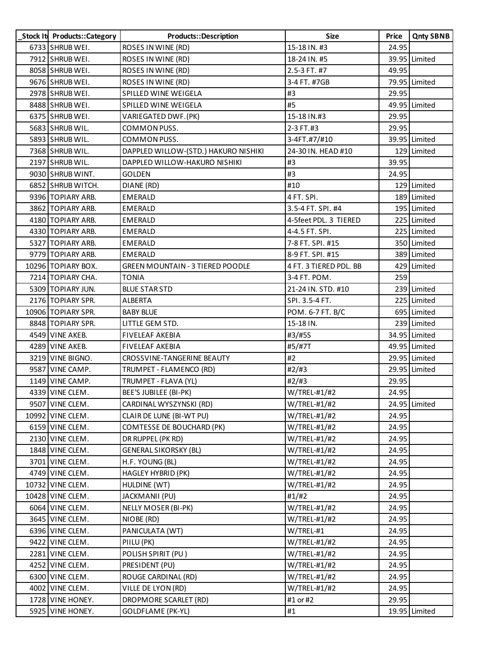| Stock It Products::Category | Products::Description                   | Size                   | Price | <b>Qnty SBNB</b> |
|-----------------------------|-----------------------------------------|------------------------|-------|------------------|
| 6733 SHRUB WEI.             | ROSES IN WINE (RD)                      | 15-18 IN. #3           | 24.95 |                  |
| 7912 SHRUB WEI.             | ROSES IN WINE (RD)                      | 18-24 IN. #5           |       | 39.95 Limited    |
| 8058 SHRUB WEI.             | ROSES IN WINE (RD)                      | 2.5-3 FT. #7           | 49.95 |                  |
| 9676 SHRUB WEI.             | ROSES IN WINE (RD)                      | 3-4 FT. #7GB           |       | 79.95 Limited    |
| 2978 SHRUB WEI.             | SPILLED WINE WEIGELA                    | #3                     | 29.95 |                  |
| 8488 SHRUB WEI.             | SPILLED WINE WEIGELA                    | #5                     |       | 49.95 Limited    |
| 6375 SHRUB WEI.             | VARIEGATED DWF.(PK)                     | 15-18 IN.#3            | 29.95 |                  |
| 5683 SHRUB WIL.             | COMMON PUSS.                            | 2-3 FT.#3              | 29.95 |                  |
| 5893 SHRUB WIL.             | COMMON PUSS.                            | 3-4FT.#7/#10           |       | 39.95 Limited    |
| 7368 SHRUB WIL.             | DAPPLED WILLOW-(STD.) HAKURO NISHIKI    | 24-30 IN. HEAD #10     |       | 129 Limited      |
| 2197 SHRUB WIL.             | DAPPLED WILLOW-HAKURO NISHIKI           | #3                     | 39.95 |                  |
| 9030 SHRUB WINT.            | <b>GOLDEN</b>                           | #3                     | 24.95 |                  |
| 6852 SHRUB WITCH.           | DIANE (RD)                              | #10                    |       | 129 Limited      |
| 9396 TOPIARY ARB.           | <b>EMERALD</b>                          | 4 FT. SPI.             |       | 189 Limited      |
| 3862 TOPIARY ARB.           | <b>EMERALD</b>                          | 3.5-4 FT. SPI. #4      |       | 195 Limited      |
| 4180 TOPIARY ARB.           | <b>EMERALD</b>                          | 4-5feet PDL. 3 TIERED  |       | 225 Limited      |
| 4330 TOPIARY ARB.           | <b>EMERALD</b>                          | 4-4.5 FT. SPI.         |       | 225 Limited      |
| 5327 TOPIARY ARB.           | <b>EMERALD</b>                          | 7-8 FT. SPI. #15       |       | 350 Limited      |
| 9779 TOPIARY ARB.           | <b>EMERALD</b>                          | 8-9 FT. SPI. #15       |       | 389 Limited      |
| 10296 TOPIARY BOX.          | <b>GREEN MOUNTAIN - 3 TIERED POODLE</b> | 4 FT. 3 TIERED PDL. BB |       | 429 Limited      |
| 7214   TOPIARY CHA.         | <b>TONIA</b>                            | 3-4 FT. POM.           | 259   |                  |
| 5309 TOPIARY JUN.           | <b>BLUE STAR STD</b>                    | 21-24 IN. STD. #10     |       | 239 Limited      |
| 2176 TOPIARY SPR.           | ALBERTA                                 | SPI. 3.5-4 FT.         |       | 225 Limited      |
| 10906   TOPIARY SPR.        | <b>BABY BLUE</b>                        | POM. 6-7 FT. B/C       |       | 695 Limited      |
| 8848 TOPIARY SPR.           | LITTLE GEM STD.                         | 15-18 IN.              |       | 239 Limited      |
| 4549 VINE AKEB.             | <b>FIVELEAF AKEBIA</b>                  | #3/#5S                 |       | 34.95 Limited    |
| 4289 VINE AKEB.             | <b>FIVELEAF AKEBIA</b>                  | #5/#7T                 |       | 49.95 Limited    |
| 3219 VINE BIGNO.            | CROSSVINE-TANGERINE BEAUTY              | #2                     |       | 29.95 Limited    |
| 9587 VINE CAMP.             | TRUMPET - FLAMENCO (RD)                 | #2/#3                  |       | 29.95 Limited    |
| 1149 VINE CAMP.             | TRUMPET - FLAVA (YL)                    | #2/#3                  | 29.95 |                  |
| 4339 VINE CLEM.             | BEE'S JUBILEE (BI-PK)                   | W/TREL-#1/#2           | 24.95 |                  |
| 9507 VINE CLEM.             | CARDINAL WYSZYNSKI (RD)                 | W/TREL-#1/#2           |       | 24.95 Limited    |
| 10992 VINE CLEM.            | CLAIR DE LUNE (BI-WT PU)                | W/TREL-#1/#2           | 24.95 |                  |
| 6159 VINE CLEM.             | COMTESSE DE BOUCHARD (PK)               | W/TREL-#1/#2           | 24.95 |                  |
| 2130 VINE CLEM.             | DR RUPPEL (PK RD)                       | W/TREL-#1/#2           | 24.95 |                  |
| 1848 VINE CLEM.             | <b>GENERAL SIKORSKY (BL)</b>            | $W/$ TREL-#1/#2        | 24.95 |                  |
| 3701 VINE CLEM.             | H.F. YOUNG (BL)                         | W/TREL-#1/#2           | 24.95 |                  |
| 4749 VINE CLEM.             | HAGLEY HYBRID (PK)                      | W/TREL-#1/#2           | 24.95 |                  |
| 10732 VINE CLEM.            | HULDINE (WT)                            | $W/$ TREL-#1/#2        | 24.95 |                  |
| 10428 VINE CLEM.            | JACKMANII (PU)                          | #1/#2                  | 24.95 |                  |
| 6064 VINE CLEM.             | NELLY MOSER (BI-PK)                     | W/TREL-#1/#2           | 24.95 |                  |
| 3645 VINE CLEM.             | NIOBE (RD)                              | $W/$ TREL-#1/#2        | 24.95 |                  |
| 6396 VINE CLEM.             | PANICULATA (WT)                         | W/TREL-#1              | 24.95 |                  |
| 9422 VINE CLEM.             | PIILU (PK)                              | W/TREL-#1/#2           | 24.95 |                  |
| 2281 VINE CLEM.             | POLISH SPIRIT (PU)                      | $W/$ TREL-#1/#2        | 24.95 |                  |
| 4252 VINE CLEM.             | PRESIDENT (PU)                          | W/TREL-#1/#2           | 24.95 |                  |
| 6300 VINE CLEM.             | ROUGE CARDINAL (RD)                     | W/TREL-#1/#2           | 24.95 |                  |
| 4002 VINE CLEM.             | VILLE DE LYON (RD)                      | $W/$ TREL-#1/#2        | 24.95 |                  |
| 1728 VINE HONEY.            | DROPMORE SCARLET (RD)                   | #1 or #2               | 29.95 |                  |
| 5925 VINE HONEY.            | <b>GOLDFLAME (PK-YL)</b>                | #1                     |       | 19.95 Limited    |